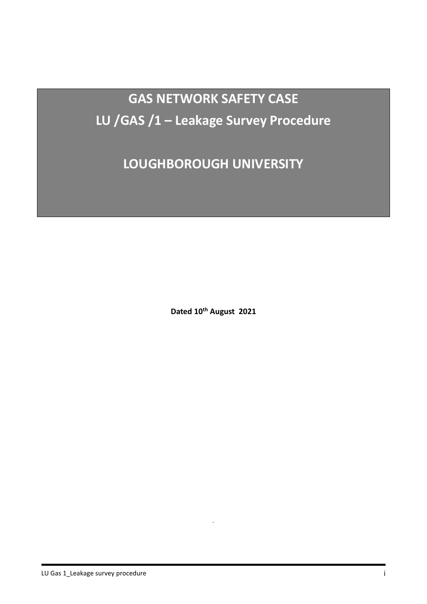**GAS NETWORK SAFETY CASE LU /GAS /1 – Leakage Survey Procedure**

**LOUGHBOROUGH UNIVERSITY**

**Dated 10th August 2021**

*.*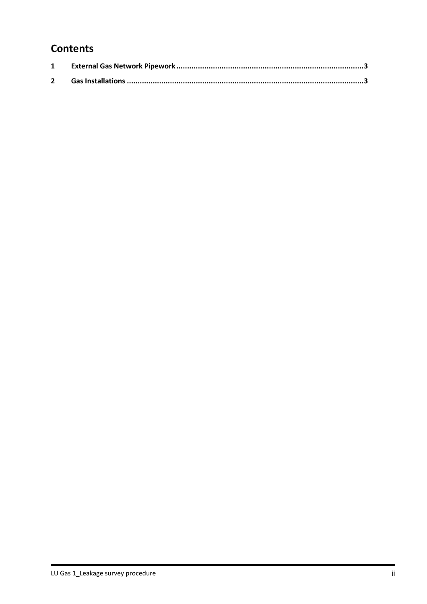## **Contents**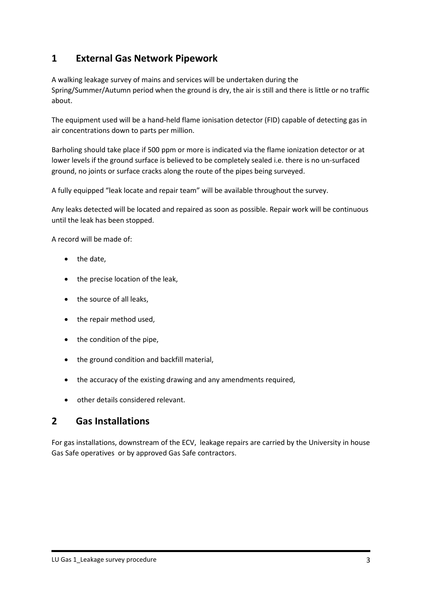## **1 External Gas Network Pipework**

A walking leakage survey of mains and services will be undertaken during the Spring/Summer/Autumn period when the ground is dry, the air is still and there is little or no traffic about.

The equipment used will be a hand-held flame ionisation detector (FID) capable of detecting gas in air concentrations down to parts per million.

Barholing should take place if 500 ppm or more is indicated via the flame ionization detector or at lower levels if the ground surface is believed to be completely sealed i.e. there is no un-surfaced ground, no joints or surface cracks along the route of the pipes being surveyed.

A fully equipped "leak locate and repair team" will be available throughout the survey.

Any leaks detected will be located and repaired as soon as possible. Repair work will be continuous until the leak has been stopped.

A record will be made of:

- the date,
- the precise location of the leak,
- the source of all leaks,
- the repair method used,
- the condition of the pipe,
- the ground condition and backfill material,
- the accuracy of the existing drawing and any amendments required,
- other details considered relevant.

#### **2 Gas Installations**

For gas installations, downstream of the ECV, leakage repairs are carried by the University in house Gas Safe operatives or by approved Gas Safe contractors.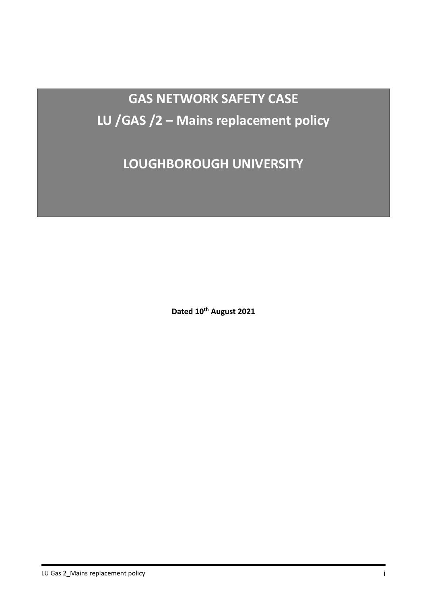**GAS NETWORK SAFETY CASE LU /GAS /2 – Mains replacement policy**

**LOUGHBOROUGH UNIVERSITY**

**Dated 10th August 2021**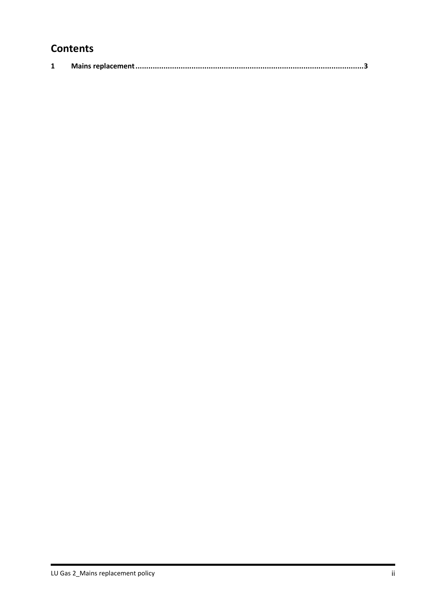## **Contents**

|--|--|--|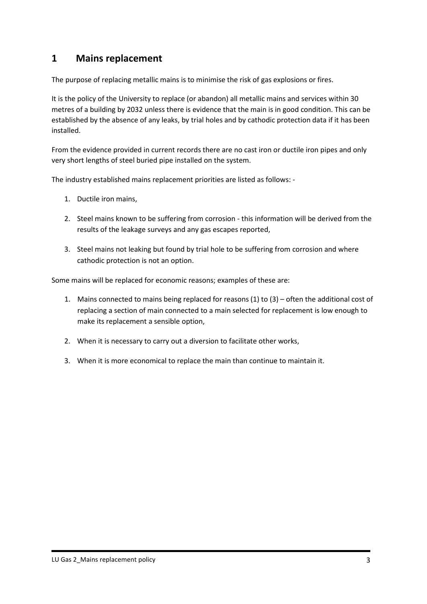## **1 Mains replacement**

The purpose of replacing metallic mains is to minimise the risk of gas explosions or fires.

It is the policy of the University to replace (or abandon) all metallic mains and services within 30 metres of a building by 2032 unless there is evidence that the main is in good condition. This can be established by the absence of any leaks, by trial holes and by cathodic protection data if it has been installed.

From the evidence provided in current records there are no cast iron or ductile iron pipes and only very short lengths of steel buried pipe installed on the system.

The industry established mains replacement priorities are listed as follows: -

- 1. Ductile iron mains,
- 2. Steel mains known to be suffering from corrosion this information will be derived from the results of the leakage surveys and any gas escapes reported,
- 3. Steel mains not leaking but found by trial hole to be suffering from corrosion and where cathodic protection is not an option.

Some mains will be replaced for economic reasons; examples of these are:

- 1. Mains connected to mains being replaced for reasons (1) to (3) often the additional cost of replacing a section of main connected to a main selected for replacement is low enough to make its replacement a sensible option,
- 2. When it is necessary to carry out a diversion to facilitate other works,
- 3. When it is more economical to replace the main than continue to maintain it.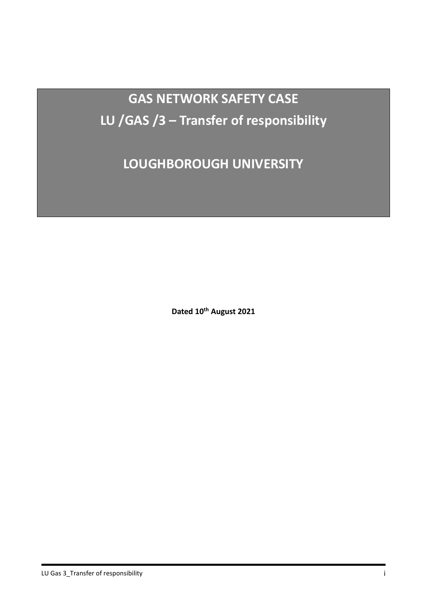**GAS NETWORK SAFETY CASE LU /GAS /3 – Transfer of responsibility**

**LOUGHBOROUGH UNIVERSITY**

**Dated 10th August 2021**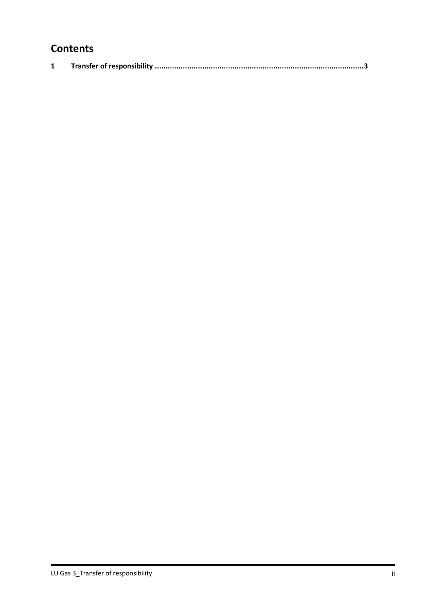## **Contents**

|--|--|--|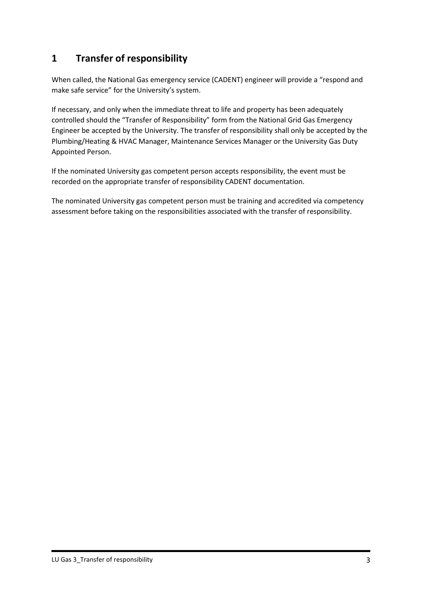## **1 Transfer of responsibility**

When called, the National Gas emergency service (CADENT) engineer will provide a "respond and make safe service" for the University's system.

If necessary, and only when the immediate threat to life and property has been adequately controlled should the "Transfer of Responsibility" form from the National Grid Gas Emergency Engineer be accepted by the University. The transfer of responsibility shall only be accepted by the Plumbing/Heating & HVAC Manager, Maintenance Services Manager or the University Gas Duty Appointed Person.

If the nominated University gas competent person accepts responsibility, the event must be recorded on the appropriate transfer of responsibility CADENT documentation.

The nominated University gas competent person must be training and accredited via competency assessment before taking on the responsibilities associated with the transfer of responsibility.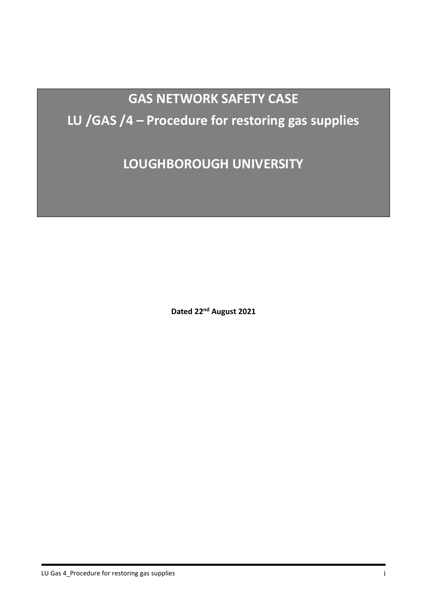# **GAS NETWORK SAFETY CASE**

## **LU /GAS /4 – Procedure for restoring gas supplies**

**LOUGHBOROUGH UNIVERSITY**

**Dated 22nd August 2021**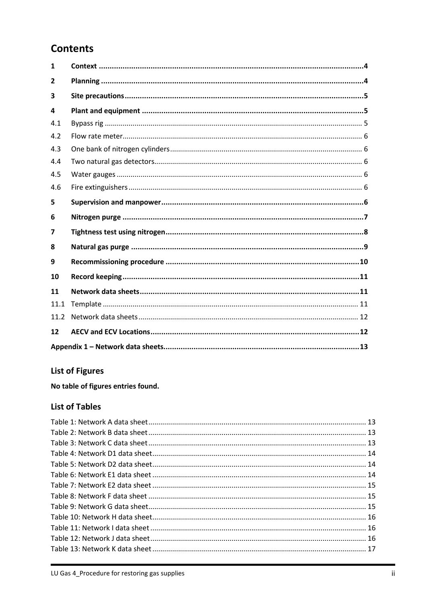## **Contents**

| $\mathbf{1}$   |  |
|----------------|--|
| $\overline{2}$ |  |
| 3              |  |
| 4              |  |
| 4.1            |  |
| 4.2            |  |
| 4.3            |  |
| 4.4            |  |
| 4.5            |  |
| 4.6            |  |
| 5              |  |
| 6              |  |
|                |  |
| 7              |  |
| 8              |  |
| 9              |  |
| 10             |  |
| 11             |  |
| 11.1           |  |
| 11.2           |  |
| 12             |  |

## **List of Figures**

No table of figures entries found.

#### **List of Tables**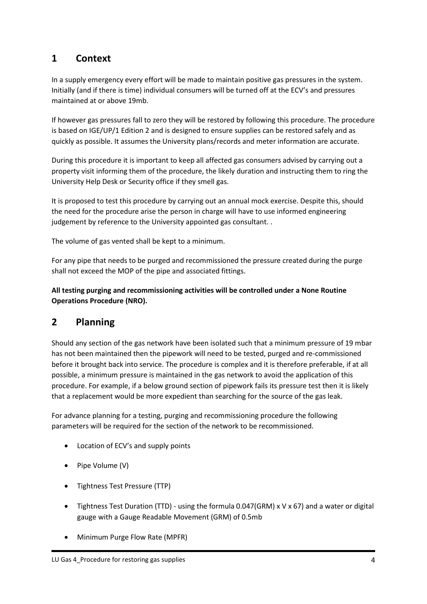#### <span id="page-12-0"></span>**1 Context**

In a supply emergency every effort will be made to maintain positive gas pressures in the system. Initially (and if there is time) individual consumers will be turned off at the ECV's and pressures maintained at or above 19mb.

If however gas pressures fall to zero they will be restored by following this procedure. The procedure is based on IGE/UP/1 Edition 2 and is designed to ensure supplies can be restored safely and as quickly as possible. It assumes the University plans/records and meter information are accurate.

During this procedure it is important to keep all affected gas consumers advised by carrying out a property visit informing them of the procedure, the likely duration and instructing them to ring the University Help Desk or Security office if they smell gas.

It is proposed to test this procedure by carrying out an annual mock exercise. Despite this, should the need for the procedure arise the person in charge will have to use informed engineering judgement by reference to the University appointed gas consultant. .

The volume of gas vented shall be kept to a minimum.

For any pipe that needs to be purged and recommissioned the pressure created during the purge shall not exceed the MOP of the pipe and associated fittings.

**All testing purging and recommissioning activities will be controlled under a None Routine Operations Procedure (NRO).**

#### <span id="page-12-1"></span>**2 Planning**

Should any section of the gas network have been isolated such that a minimum pressure of 19 mbar has not been maintained then the pipework will need to be tested, purged and re-commissioned before it brought back into service. The procedure is complex and it is therefore preferable, if at all possible, a minimum pressure is maintained in the gas network to avoid the application of this procedure. For example, if a below ground section of pipework fails its pressure test then it is likely that a replacement would be more expedient than searching for the source of the gas leak.

For advance planning for a testing, purging and recommissioning procedure the following parameters will be required for the section of the network to be recommissioned.

- Location of ECV's and supply points
- Pipe Volume (V)
- Tightness Test Pressure (TTP)
- Tightness Test Duration (TTD) using the formula 0.047(GRM) x V x 67) and a water or digital gauge with a Gauge Readable Movement (GRM) of 0.5mb
- Minimum Purge Flow Rate (MPFR)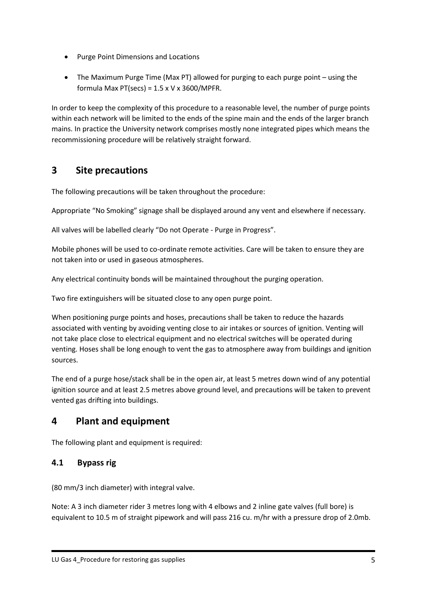- Purge Point Dimensions and Locations
- The Maximum Purge Time (Max PT) allowed for purging to each purge point using the formula Max PT(secs) =  $1.5 \times V \times 3600/M$ PFR.

In order to keep the complexity of this procedure to a reasonable level, the number of purge points within each network will be limited to the ends of the spine main and the ends of the larger branch mains. In practice the University network comprises mostly none integrated pipes which means the recommissioning procedure will be relatively straight forward.

## <span id="page-13-0"></span>**3 Site precautions**

The following precautions will be taken throughout the procedure:

Appropriate "No Smoking" signage shall be displayed around any vent and elsewhere if necessary.

All valves will be labelled clearly "Do not Operate - Purge in Progress".

Mobile phones will be used to co-ordinate remote activities. Care will be taken to ensure they are not taken into or used in gaseous atmospheres.

Any electrical continuity bonds will be maintained throughout the purging operation.

Two fire extinguishers will be situated close to any open purge point.

When positioning purge points and hoses, precautions shall be taken to reduce the hazards associated with venting by avoiding venting close to air intakes or sources of ignition. Venting will not take place close to electrical equipment and no electrical switches will be operated during venting. Hoses shall be long enough to vent the gas to atmosphere away from buildings and ignition sources.

The end of a purge hose/stack shall be in the open air, at least 5 metres down wind of any potential ignition source and at least 2.5 metres above ground level, and precautions will be taken to prevent vented gas drifting into buildings.

## <span id="page-13-1"></span>**4 Plant and equipment**

The following plant and equipment is required:

#### <span id="page-13-2"></span>**4.1 Bypass rig**

(80 mm/3 inch diameter) with integral valve.

Note: A 3 inch diameter rider 3 metres long with 4 elbows and 2 inline gate valves (full bore) is equivalent to 10.5 m of straight pipework and will pass 216 cu. m/hr with a pressure drop of 2.0mb.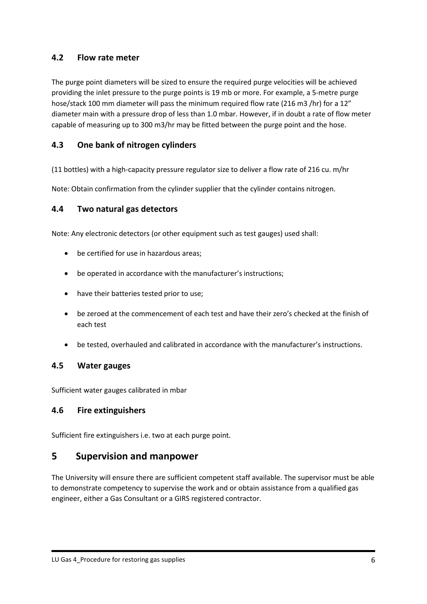#### <span id="page-14-0"></span>**4.2 Flow rate meter**

The purge point diameters will be sized to ensure the required purge velocities will be achieved providing the inlet pressure to the purge points is 19 mb or more. For example, a 5-metre purge hose/stack 100 mm diameter will pass the minimum required flow rate (216 m3 /hr) for a 12" diameter main with a pressure drop of less than 1.0 mbar. However, if in doubt a rate of flow meter capable of measuring up to 300 m3/hr may be fitted between the purge point and the hose.

#### <span id="page-14-1"></span>**4.3 One bank of nitrogen cylinders**

(11 bottles) with a high-capacity pressure regulator size to deliver a flow rate of 216 cu. m/hr

Note: Obtain confirmation from the cylinder supplier that the cylinder contains nitrogen.

#### <span id="page-14-2"></span>**4.4 Two natural gas detectors**

Note: Any electronic detectors (or other equipment such as test gauges) used shall:

- be certified for use in hazardous areas;
- be operated in accordance with the manufacturer's instructions;
- have their batteries tested prior to use;
- be zeroed at the commencement of each test and have their zero's checked at the finish of each test
- be tested, overhauled and calibrated in accordance with the manufacturer's instructions.

#### <span id="page-14-3"></span>**4.5 Water gauges**

Sufficient water gauges calibrated in mbar

#### <span id="page-14-4"></span>**4.6 Fire extinguishers**

Sufficient fire extinguishers i.e. two at each purge point.

#### <span id="page-14-5"></span>**5 Supervision and manpower**

The University will ensure there are sufficient competent staff available. The supervisor must be able to demonstrate competency to supervise the work and or obtain assistance from a qualified gas engineer, either a Gas Consultant or a GIRS registered contractor.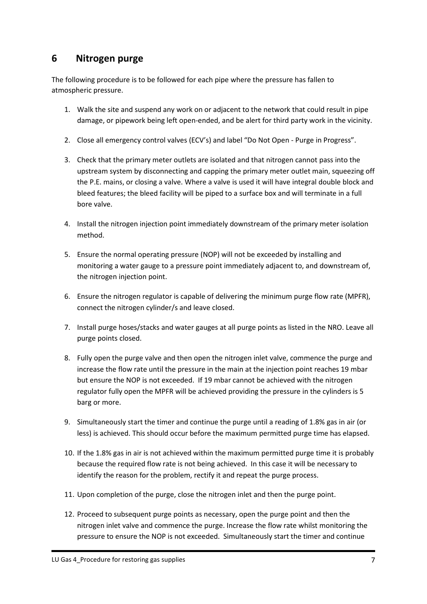## <span id="page-15-0"></span>**6 Nitrogen purge**

The following procedure is to be followed for each pipe where the pressure has fallen to atmospheric pressure.

- 1. Walk the site and suspend any work on or adjacent to the network that could result in pipe damage, or pipework being left open-ended, and be alert for third party work in the vicinity.
- 2. Close all emergency control valves (ECV's) and label "Do Not Open Purge in Progress".
- 3. Check that the primary meter outlets are isolated and that nitrogen cannot pass into the upstream system by disconnecting and capping the primary meter outlet main, squeezing off the P.E. mains, or closing a valve. Where a valve is used it will have integral double block and bleed features; the bleed facility will be piped to a surface box and will terminate in a full bore valve.
- 4. Install the nitrogen injection point immediately downstream of the primary meter isolation method.
- 5. Ensure the normal operating pressure (NOP) will not be exceeded by installing and monitoring a water gauge to a pressure point immediately adjacent to, and downstream of, the nitrogen injection point.
- 6. Ensure the nitrogen regulator is capable of delivering the minimum purge flow rate (MPFR), connect the nitrogen cylinder/s and leave closed.
- 7. Install purge hoses/stacks and water gauges at all purge points as listed in the NRO. Leave all purge points closed.
- 8. Fully open the purge valve and then open the nitrogen inlet valve, commence the purge and increase the flow rate until the pressure in the main at the injection point reaches 19 mbar but ensure the NOP is not exceeded. If 19 mbar cannot be achieved with the nitrogen regulator fully open the MPFR will be achieved providing the pressure in the cylinders is 5 barg or more.
- 9. Simultaneously start the timer and continue the purge until a reading of 1.8% gas in air (or less) is achieved. This should occur before the maximum permitted purge time has elapsed.
- 10. If the 1.8% gas in air is not achieved within the maximum permitted purge time it is probably because the required flow rate is not being achieved. In this case it will be necessary to identify the reason for the problem, rectify it and repeat the purge process.
- 11. Upon completion of the purge, close the nitrogen inlet and then the purge point.
- 12. Proceed to subsequent purge points as necessary, open the purge point and then the nitrogen inlet valve and commence the purge. Increase the flow rate whilst monitoring the pressure to ensure the NOP is not exceeded. Simultaneously start the timer and continue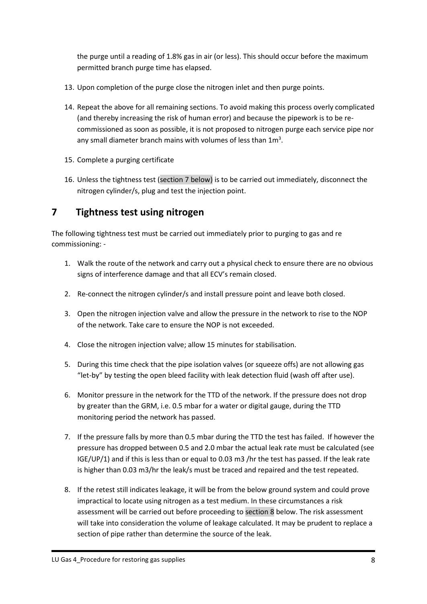the purge until a reading of 1.8% gas in air (or less). This should occur before the maximum permitted branch purge time has elapsed.

- 13. Upon completion of the purge close the nitrogen inlet and then purge points.
- 14. Repeat the above for all remaining sections. To avoid making this process overly complicated (and thereby increasing the risk of human error) and because the pipework is to be recommissioned as soon as possible, it is not proposed to nitrogen purge each service pipe nor any small diameter branch mains with volumes of less than  $1m<sup>3</sup>$ .
- 15. Complete a purging certificate
- 16. Unless the tightness test (section 7 below) is to be carried out immediately, disconnect the nitrogen cylinder/s, plug and test the injection point.

## <span id="page-16-0"></span>**7 Tightness test using nitrogen**

The following tightness test must be carried out immediately prior to purging to gas and re commissioning: -

- 1. Walk the route of the network and carry out a physical check to ensure there are no obvious signs of interference damage and that all ECV's remain closed.
- 2. Re-connect the nitrogen cylinder/s and install pressure point and leave both closed.
- 3. Open the nitrogen injection valve and allow the pressure in the network to rise to the NOP of the network. Take care to ensure the NOP is not exceeded.
- 4. Close the nitrogen injection valve; allow 15 minutes for stabilisation.
- 5. During this time check that the pipe isolation valves (or squeeze offs) are not allowing gas "let-by" by testing the open bleed facility with leak detection fluid (wash off after use).
- 6. Monitor pressure in the network for the TTD of the network. If the pressure does not drop by greater than the GRM, i.e. 0.5 mbar for a water or digital gauge, during the TTD monitoring period the network has passed.
- 7. If the pressure falls by more than 0.5 mbar during the TTD the test has failed. If however the pressure has dropped between 0.5 and 2.0 mbar the actual leak rate must be calculated (see IGE/UP/1) and if this is less than or equal to 0.03 m3 /hr the test has passed. If the leak rate is higher than 0.03 m3/hr the leak/s must be traced and repaired and the test repeated.
- 8. If the retest still indicates leakage, it will be from the below ground system and could prove impractical to locate using nitrogen as a test medium. In these circumstances a risk assessment will be carried out before proceeding to section 8 below. The risk assessment will take into consideration the volume of leakage calculated. It may be prudent to replace a section of pipe rather than determine the source of the leak.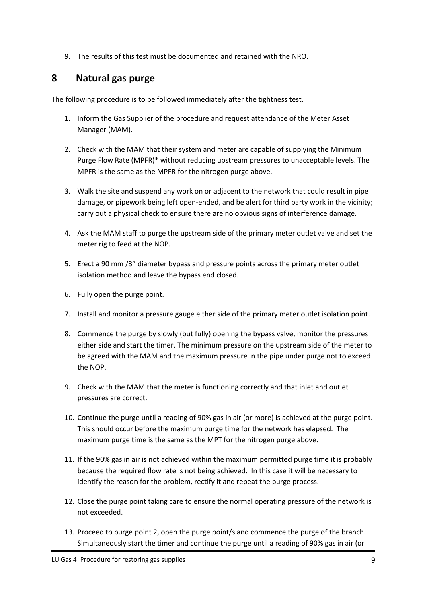9. The results of this test must be documented and retained with the NRO.

## <span id="page-17-0"></span>**8 Natural gas purge**

The following procedure is to be followed immediately after the tightness test.

- 1. Inform the Gas Supplier of the procedure and request attendance of the Meter Asset Manager (MAM).
- 2. Check with the MAM that their system and meter are capable of supplying the Minimum Purge Flow Rate (MPFR)\* without reducing upstream pressures to unacceptable levels. The MPFR is the same as the MPFR for the nitrogen purge above.
- 3. Walk the site and suspend any work on or adjacent to the network that could result in pipe damage, or pipework being left open-ended, and be alert for third party work in the vicinity; carry out a physical check to ensure there are no obvious signs of interference damage.
- 4. Ask the MAM staff to purge the upstream side of the primary meter outlet valve and set the meter rig to feed at the NOP.
- 5. Erect a 90 mm /3" diameter bypass and pressure points across the primary meter outlet isolation method and leave the bypass end closed.
- 6. Fully open the purge point.
- 7. Install and monitor a pressure gauge either side of the primary meter outlet isolation point.
- 8. Commence the purge by slowly (but fully) opening the bypass valve, monitor the pressures either side and start the timer. The minimum pressure on the upstream side of the meter to be agreed with the MAM and the maximum pressure in the pipe under purge not to exceed the NOP.
- 9. Check with the MAM that the meter is functioning correctly and that inlet and outlet pressures are correct.
- 10. Continue the purge until a reading of 90% gas in air (or more) is achieved at the purge point. This should occur before the maximum purge time for the network has elapsed. The maximum purge time is the same as the MPT for the nitrogen purge above.
- 11. If the 90% gas in air is not achieved within the maximum permitted purge time it is probably because the required flow rate is not being achieved. In this case it will be necessary to identify the reason for the problem, rectify it and repeat the purge process.
- 12. Close the purge point taking care to ensure the normal operating pressure of the network is not exceeded.
- 13. Proceed to purge point 2, open the purge point/s and commence the purge of the branch. Simultaneously start the timer and continue the purge until a reading of 90% gas in air (or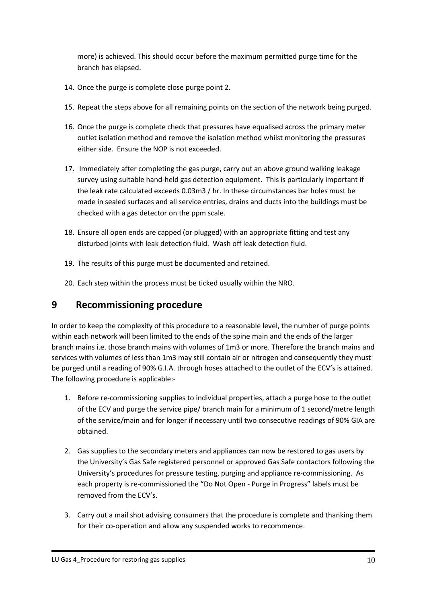more) is achieved. This should occur before the maximum permitted purge time for the branch has elapsed.

- 14. Once the purge is complete close purge point 2.
- 15. Repeat the steps above for all remaining points on the section of the network being purged.
- 16. Once the purge is complete check that pressures have equalised across the primary meter outlet isolation method and remove the isolation method whilst monitoring the pressures either side. Ensure the NOP is not exceeded.
- 17. Immediately after completing the gas purge, carry out an above ground walking leakage survey using suitable hand-held gas detection equipment. This is particularly important if the leak rate calculated exceeds 0.03m3 / hr. In these circumstances bar holes must be made in sealed surfaces and all service entries, drains and ducts into the buildings must be checked with a gas detector on the ppm scale.
- 18. Ensure all open ends are capped (or plugged) with an appropriate fitting and test any disturbed joints with leak detection fluid. Wash off leak detection fluid.
- 19. The results of this purge must be documented and retained.
- 20. Each step within the process must be ticked usually within the NRO.

## <span id="page-18-0"></span>**9 Recommissioning procedure**

In order to keep the complexity of this procedure to a reasonable level, the number of purge points within each network will been limited to the ends of the spine main and the ends of the larger branch mains i.e. those branch mains with volumes of 1m3 or more. Therefore the branch mains and services with volumes of less than 1m3 may still contain air or nitrogen and consequently they must be purged until a reading of 90% G.I.A. through hoses attached to the outlet of the ECV's is attained. The following procedure is applicable:-

- 1. Before re-commissioning supplies to individual properties, attach a purge hose to the outlet of the ECV and purge the service pipe/ branch main for a minimum of 1 second/metre length of the service/main and for longer if necessary until two consecutive readings of 90% GIA are obtained.
- 2. Gas supplies to the secondary meters and appliances can now be restored to gas users by the University's Gas Safe registered personnel or approved Gas Safe contactors following the University's procedures for pressure testing, purging and appliance re-commissioning. As each property is re-commissioned the "Do Not Open - Purge in Progress" labels must be removed from the ECV's.
- 3. Carry out a mail shot advising consumers that the procedure is complete and thanking them for their co-operation and allow any suspended works to recommence.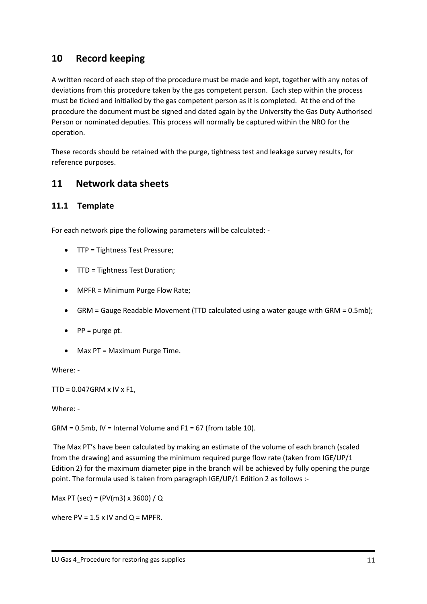## <span id="page-19-0"></span>**10 Record keeping**

A written record of each step of the procedure must be made and kept, together with any notes of deviations from this procedure taken by the gas competent person. Each step within the process must be ticked and initialled by the gas competent person as it is completed. At the end of the procedure the document must be signed and dated again by the University the Gas Duty Authorised Person or nominated deputies. This process will normally be captured within the NRO for the operation.

These records should be retained with the purge, tightness test and leakage survey results, for reference purposes.

#### <span id="page-19-1"></span>**11 Network data sheets**

#### <span id="page-19-2"></span>**11.1 Template**

For each network pipe the following parameters will be calculated: -

- TTP = Tightness Test Pressure;
- TTD = Tightness Test Duration;
- MPFR = Minimum Purge Flow Rate;
- GRM = Gauge Readable Movement (TTD calculated using a water gauge with GRM = 0.5mb);
- $\bullet$  PP = purge pt.
- Max PT = Maximum Purge Time.

Where: -

 $TTD = 0.047$ GRM x IV x F1,

Where: -

 $GRM = 0.5mb$ , IV = Internal Volume and F1 = 67 (from table 10).

The Max PT's have been calculated by making an estimate of the volume of each branch (scaled from the drawing) and assuming the minimum required purge flow rate (taken from IGE/UP/1 Edition 2) for the maximum diameter pipe in the branch will be achieved by fully opening the purge point. The formula used is taken from paragraph IGE/UP/1 Edition 2 as follows :-

Max PT (sec) = (PV(m3) x 3600) / Q

where  $PV = 1.5 \times IV$  and  $Q = MPFR$ .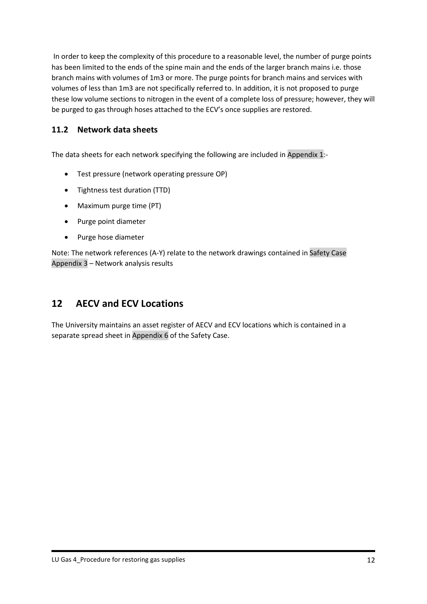In order to keep the complexity of this procedure to a reasonable level, the number of purge points has been limited to the ends of the spine main and the ends of the larger branch mains i.e. those branch mains with volumes of 1m3 or more. The purge points for branch mains and services with volumes of less than 1m3 are not specifically referred to. In addition, it is not proposed to purge these low volume sections to nitrogen in the event of a complete loss of pressure; however, they will be purged to gas through hoses attached to the ECV's once supplies are restored.

#### <span id="page-20-0"></span>**11.2 Network data sheets**

The data sheets for each network specifying the following are included in Appendix 1:-

- Test pressure (network operating pressure OP)
- Tightness test duration (TTD)
- Maximum purge time (PT)
- Purge point diameter
- Purge hose diameter

Note: The network references (A-Y) relate to the network drawings contained in Safety Case Appendix 3 – Network analysis results

## <span id="page-20-1"></span>**12 AECV and ECV Locations**

The University maintains an asset register of AECV and ECV locations which is contained in a separate spread sheet in Appendix 6 of the Safety Case.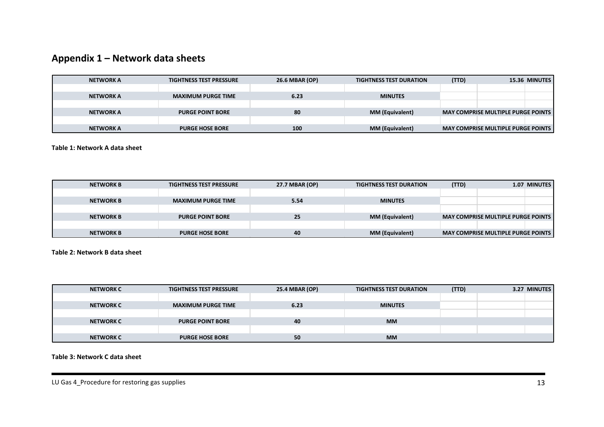## **Appendix 1 – Network data sheets**

| <b>NETWORK A</b> | <b>TIGHTNESS TEST PRESSURE</b> | 26.6 MBAR (OP) | <b>TIGHTNESS TEST DURATION</b> | (TTD) |                                           | 15.36 MINUTES |
|------------------|--------------------------------|----------------|--------------------------------|-------|-------------------------------------------|---------------|
|                  |                                |                |                                |       |                                           |               |
| <b>NETWORK A</b> | <b>MAXIMUM PURGE TIME</b>      | 6.23           | <b>MINUTES</b>                 |       |                                           |               |
|                  |                                |                |                                |       |                                           |               |
| <b>NETWORK A</b> | <b>PURGE POINT BORE</b>        | 80             | <b>MM (Equivalent)</b>         |       | <b>MAY COMPRISE MULTIPLE PURGE POINTS</b> |               |
|                  |                                |                |                                |       |                                           |               |
| <b>NETWORK A</b> | <b>PURGE HOSE BORE</b>         | 100            | <b>MM (Equivalent)</b>         |       | <b>MAY COMPRISE MULTIPLE PURGE POINTS</b> |               |

**Table 1: Network A data sheet**

| <b>NETWORK B</b> | <b>TIGHTNESS TEST PRESSURE</b> | 27.7 MBAR (OP) | <b>TIGHTNESS TEST DURATION</b> | (TTD) |                                           | <b>1.07 MINUTES</b> |
|------------------|--------------------------------|----------------|--------------------------------|-------|-------------------------------------------|---------------------|
|                  |                                |                |                                |       |                                           |                     |
| <b>NETWORK B</b> | <b>MAXIMUM PURGE TIME</b>      | 5.54           | <b>MINUTES</b>                 |       |                                           |                     |
|                  |                                |                |                                |       |                                           |                     |
| <b>NETWORK B</b> | <b>PURGE POINT BORE</b>        | 25             | <b>MM (Equivalent)</b>         |       | <b>MAY COMPRISE MULTIPLE PURGE POINTS</b> |                     |
|                  |                                |                |                                |       |                                           |                     |
| <b>NETWORK B</b> | <b>PURGE HOSE BORE</b>         | 40             | <b>MM (Equivalent)</b>         |       | <b>MAY COMPRISE MULTIPLE PURGE POINTS</b> |                     |

<span id="page-21-0"></span>**Table 2: Network B data sheet**

| <b>NETWORK C</b> | <b>TIGHTNESS TEST PRESSURE</b> | 25.4 MBAR (OP) | <b>TIGHTNESS TEST DURATION</b> | (TTD) | 3.27 MINUTES |
|------------------|--------------------------------|----------------|--------------------------------|-------|--------------|
|                  |                                |                |                                |       |              |
| <b>NETWORK C</b> | <b>MAXIMUM PURGE TIME</b>      | 6.23           | <b>MINUTES</b>                 |       |              |
|                  |                                |                |                                |       |              |
| <b>NETWORK C</b> | <b>PURGE POINT BORE</b>        | 40             | <b>MM</b>                      |       |              |
|                  |                                |                |                                |       |              |
| <b>NETWORK C</b> | <b>PURGE HOSE BORE</b>         | 50             | <b>MM</b>                      |       |              |

#### <span id="page-21-3"></span><span id="page-21-2"></span><span id="page-21-1"></span>**Table 3: Network C data sheet**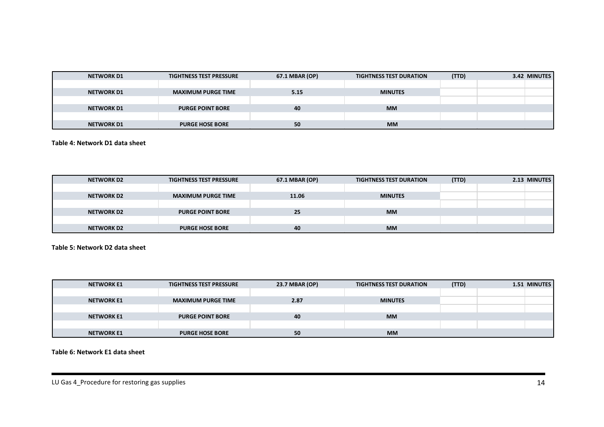| <b>NETWORK D1</b> | <b>TIGHTNESS TEST PRESSURE</b> | 67.1 MBAR (OP) | <b>TIGHTNESS TEST DURATION</b> | (TTD) | 3.42 MINUTES |
|-------------------|--------------------------------|----------------|--------------------------------|-------|--------------|
|                   |                                |                |                                |       |              |
| <b>NETWORK D1</b> | <b>MAXIMUM PURGE TIME</b>      | 5.15           | <b>MINUTES</b>                 |       |              |
|                   |                                |                |                                |       |              |
| <b>NETWORK D1</b> | <b>PURGE POINT BORE</b>        | 40             | <b>MM</b>                      |       |              |
|                   |                                |                |                                |       |              |
| <b>NETWORK D1</b> | <b>PURGE HOSE BORE</b>         | 50             | <b>MM</b>                      |       |              |

**Table 4: Network D1 data sheet**

| <b>NETWORK D2</b> | <b>TIGHTNESS TEST PRESSURE</b> | 67.1 MBAR (OP) | <b>TIGHTNESS TEST DURATION</b> | (TTD) | 2.13 MINUTES |
|-------------------|--------------------------------|----------------|--------------------------------|-------|--------------|
|                   |                                |                |                                |       |              |
| <b>NETWORK D2</b> | <b>MAXIMUM PURGE TIME</b>      | 11.06          | <b>MINUTES</b>                 |       |              |
|                   |                                |                |                                |       |              |
| <b>NETWORK D2</b> | <b>PURGE POINT BORE</b>        | 25             | <b>MM</b>                      |       |              |
|                   |                                |                |                                |       |              |
| <b>NETWORK D2</b> | <b>PURGE HOSE BORE</b>         | 40             | <b>MM</b>                      |       |              |

**Table 5: Network D2 data sheet**

| <b>NETWORK E1</b> | <b>TIGHTNESS TEST PRESSURE</b> | 23.7 MBAR (OP) | <b>TIGHTNESS TEST DURATION</b> | (TTD) | 1.51 MINUTES |
|-------------------|--------------------------------|----------------|--------------------------------|-------|--------------|
|                   |                                |                |                                |       |              |
| <b>NETWORK E1</b> | <b>MAXIMUM PURGE TIME</b>      | 2.87           | <b>MINUTES</b>                 |       |              |
|                   |                                |                |                                |       |              |
| <b>NETWORK E1</b> | <b>PURGE POINT BORE</b>        | 40             | <b>MM</b>                      |       |              |
|                   |                                |                |                                |       |              |
| <b>NETWORK E1</b> | <b>PURGE HOSE BORE</b>         | 50             | <b>MM</b>                      |       |              |

<span id="page-22-2"></span><span id="page-22-1"></span><span id="page-22-0"></span>**Table 6: Network E1 data sheet**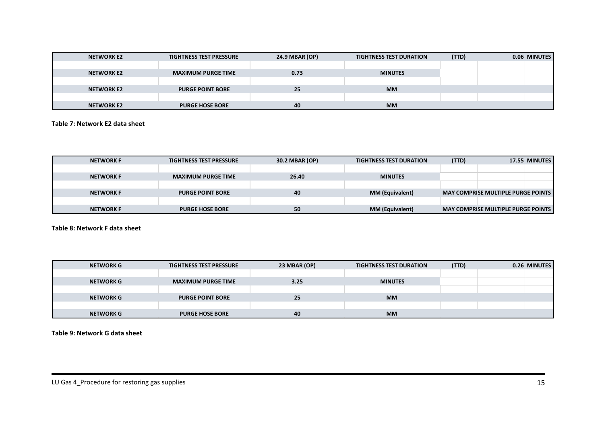| <b>NETWORK E2</b> | <b>TIGHTNESS TEST PRESSURE</b> | 24.9 MBAR (OP) | <b>TIGHTNESS TEST DURATION</b> | (TTD) | 0.06 MINUTES |
|-------------------|--------------------------------|----------------|--------------------------------|-------|--------------|
|                   |                                |                |                                |       |              |
| <b>NETWORK E2</b> | <b>MAXIMUM PURGE TIME</b>      | 0.73           | <b>MINUTES</b>                 |       |              |
|                   |                                |                |                                |       |              |
| <b>NETWORK E2</b> | <b>PURGE POINT BORE</b>        | 25             | <b>MM</b>                      |       |              |
|                   |                                |                |                                |       |              |
| <b>NETWORK E2</b> | <b>PURGE HOSE BORE</b>         | 40             | <b>MM</b>                      |       |              |

#### **Table 7: Network E2 data sheet**

| <b>NETWORK F</b> | <b>TIGHTNESS TEST PRESSURE</b> | 30.2 MBAR (OP) | <b>TIGHTNESS TEST DURATION</b> | (TTD) |                                             | 17.55 MINUTES |
|------------------|--------------------------------|----------------|--------------------------------|-------|---------------------------------------------|---------------|
|                  |                                |                |                                |       |                                             |               |
| <b>NETWORK F</b> | <b>MAXIMUM PURGE TIME</b>      | 26.40          | <b>MINUTES</b>                 |       |                                             |               |
|                  |                                |                |                                |       |                                             |               |
| <b>NETWORK F</b> | <b>PURGE POINT BORE</b>        | 40             | <b>MM (Equivalent)</b>         |       | <b>MAY COMPRISE MULTIPLE PURGE POINTS</b>   |               |
|                  |                                |                |                                |       |                                             |               |
| <b>NETWORK F</b> | <b>PURGE HOSE BORE</b>         | 50             | <b>MM (Equivalent)</b>         |       | <b>MAY COMPRISE MULTIPLE PURGE POINTS  </b> |               |

**Table 8: Network F data sheet**

| <b>NETWORK G</b> | <b>TIGHTNESS TEST PRESSURE</b> | 23 MBAR (OP) | <b>TIGHTNESS TEST DURATION</b> | (TTD) | 0.26 MINUTES |
|------------------|--------------------------------|--------------|--------------------------------|-------|--------------|
|                  |                                |              |                                |       |              |
| <b>NETWORK G</b> | <b>MAXIMUM PURGE TIME</b>      | 3.25         | <b>MINUTES</b>                 |       |              |
|                  |                                |              |                                |       |              |
| <b>NETWORK G</b> | <b>PURGE POINT BORE</b>        | 25           | <b>MM</b>                      |       |              |
|                  |                                |              |                                |       |              |
| <b>NETWORK G</b> | <b>PURGE HOSE BORE</b>         | 40           | <b>MM</b>                      |       |              |

<span id="page-23-2"></span><span id="page-23-1"></span><span id="page-23-0"></span>**Table 9: Network G data sheet**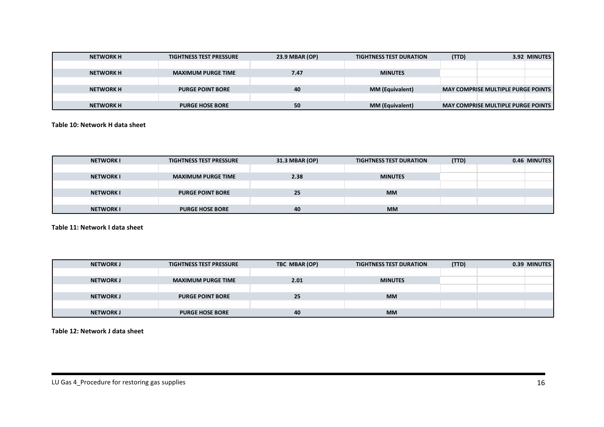| <b>NETWORK H</b> | <b>TIGHTNESS TEST PRESSURE</b> | 23.9 MBAR (OP) | <b>TIGHTNESS TEST DURATION</b> | (TTD) |                                             | 3.92 MINUTES |
|------------------|--------------------------------|----------------|--------------------------------|-------|---------------------------------------------|--------------|
|                  |                                |                |                                |       |                                             |              |
| <b>NETWORK H</b> | <b>MAXIMUM PURGE TIME</b>      | 7.47           | <b>MINUTES</b>                 |       |                                             |              |
|                  |                                |                |                                |       |                                             |              |
| <b>NETWORK H</b> | <b>PURGE POINT BORE</b>        | 40             | <b>MM (Equivalent)</b>         |       | <b>MAY COMPRISE MULTIPLE PURGE POINTS  </b> |              |
|                  |                                |                |                                |       |                                             |              |
| <b>NETWORK H</b> | <b>PURGE HOSE BORE</b>         | 50             | <b>MM (Equivalent)</b>         |       | <b>MAY COMPRISE MULTIPLE PURGE POINTS</b>   |              |

#### **Table 10: Network H data sheet**

| <b>NETWORK I</b> | <b>TIGHTNESS TEST PRESSURE</b> | 31.3 MBAR (OP) | <b>TIGHTNESS TEST DURATION</b> | (TTD) | 0.46 MINUTES |
|------------------|--------------------------------|----------------|--------------------------------|-------|--------------|
|                  |                                |                |                                |       |              |
| <b>NETWORK I</b> | <b>MAXIMUM PURGE TIME</b>      | 2.38           | <b>MINUTES</b>                 |       |              |
|                  |                                |                |                                |       |              |
| <b>NETWORK I</b> | <b>PURGE POINT BORE</b>        | 25             | <b>MM</b>                      |       |              |
|                  |                                |                |                                |       |              |
| <b>NETWORK I</b> | <b>PURGE HOSE BORE</b>         | 40             | <b>MM</b>                      |       |              |

**Table 11: Network I data sheet**

| <b>NETWORKJ</b>  | <b>TIGHTNESS TEST PRESSURE</b> | TBC MBAR (OP) | <b>TIGHTNESS TEST DURATION</b> | (TTD) | 0.39 MINUTES |
|------------------|--------------------------------|---------------|--------------------------------|-------|--------------|
|                  |                                |               |                                |       |              |
| <b>NETWORKJ</b>  | <b>MAXIMUM PURGE TIME</b>      | 2.01          | <b>MINUTES</b>                 |       |              |
|                  |                                |               |                                |       |              |
| <b>NETWORK J</b> | <b>PURGE POINT BORE</b>        | 25            | <b>MM</b>                      |       |              |
|                  |                                |               |                                |       |              |
| <b>NETWORK J</b> | <b>PURGE HOSE BORE</b>         | 40            | <b>MM</b>                      |       |              |

<span id="page-24-2"></span><span id="page-24-1"></span><span id="page-24-0"></span>**Table 12: Network J data sheet**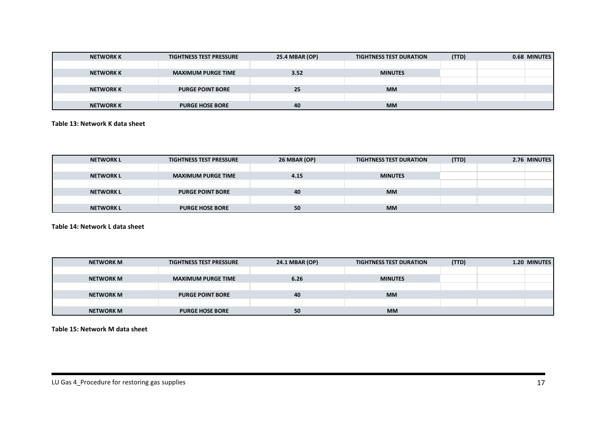| <b>NETWORK K</b> | <b>TIGHTNESS TEST PRESSURE</b> | 25.4 MBAR (OP) | <b>TIGHTNESS TEST DURATION</b> | (TTD) | 0.68 MINUTES |
|------------------|--------------------------------|----------------|--------------------------------|-------|--------------|
|                  |                                |                |                                |       |              |
| <b>NETWORK K</b> | <b>MAXIMUM PURGE TIME</b>      | 3.52           | <b>MINUTES</b>                 |       |              |
|                  |                                |                |                                |       |              |
| <b>NETWORK K</b> | <b>PURGE POINT BORE</b>        | 25             | <b>MM</b>                      |       |              |
|                  |                                |                |                                |       |              |
| <b>NETWORK K</b> | <b>PURGE HOSE BORE</b>         | 40             | <b>MM</b>                      |       |              |

#### **Table 13: Network K data sheet**

| <b>NETWORK L</b> | <b>TIGHTNESS TEST PRESSURE</b> | <b>26 MBAR (OP)</b> | <b>TIGHTNESS TEST DURATION</b> | (TTD) | 2.76 MINUTES |
|------------------|--------------------------------|---------------------|--------------------------------|-------|--------------|
|                  |                                |                     |                                |       |              |
| <b>NETWORK L</b> | <b>MAXIMUM PURGE TIME</b>      | 4.15                | <b>MINUTES</b>                 |       |              |
|                  |                                |                     |                                |       |              |
| <b>NETWORK L</b> | <b>PURGE POINT BORE</b>        | 40                  | <b>MM</b>                      |       |              |
|                  |                                |                     |                                |       |              |
| <b>NETWORK L</b> | <b>PURGE HOSE BORE</b>         | 50                  | <b>MM</b>                      |       |              |

#### **Table 14: Network L data sheet**

| <b>NETWORK M</b> | <b>TIGHTNESS TEST PRESSURE</b> | 24.1 MBAR (OP) | <b>TIGHTNESS TEST DURATION</b> | (TTD) | 1.20 MINUTES |
|------------------|--------------------------------|----------------|--------------------------------|-------|--------------|
|                  |                                |                |                                |       |              |
| <b>NETWORK M</b> | <b>MAXIMUM PURGE TIME</b>      | 6.26           | <b>MINUTES</b>                 |       |              |
|                  |                                |                |                                |       |              |
| <b>NETWORK M</b> | <b>PURGE POINT BORE</b>        | 40             | <b>MM</b>                      |       |              |
|                  |                                |                |                                |       |              |
| <b>NETWORK M</b> | <b>PURGE HOSE BORE</b>         | 50             | <b>MM</b>                      |       |              |

<span id="page-25-2"></span><span id="page-25-1"></span><span id="page-25-0"></span>**Table 15: Network M data sheet**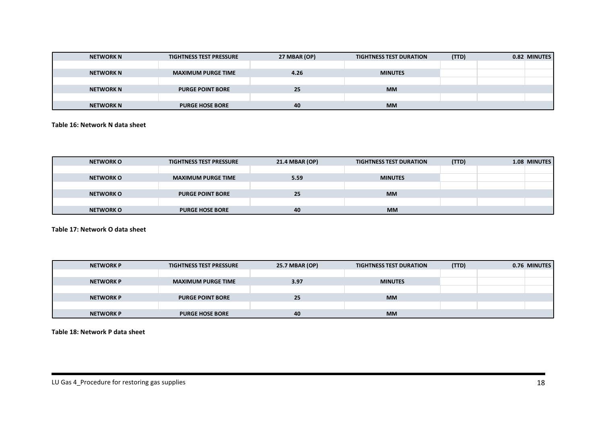| <b>NETWORK N</b> | <b>TIGHTNESS TEST PRESSURE</b> | 27 MBAR (OP) | <b>TIGHTNESS TEST DURATION</b> | (TTD) | 0.82 MINUTES |
|------------------|--------------------------------|--------------|--------------------------------|-------|--------------|
|                  |                                |              |                                |       |              |
| <b>NETWORK N</b> | <b>MAXIMUM PURGE TIME</b>      | 4.26         | <b>MINUTES</b>                 |       |              |
|                  |                                |              |                                |       |              |
| <b>NETWORK N</b> | <b>PURGE POINT BORE</b>        | 25           | <b>MM</b>                      |       |              |
|                  |                                |              |                                |       |              |
| <b>NETWORK N</b> | <b>PURGE HOSE BORE</b>         | 40           | <b>MM</b>                      |       |              |

#### **Table 16: Network N data sheet**

| <b>NETWORK O</b> | <b>TIGHTNESS TEST PRESSURE</b> | 21.4 MBAR (OP) | <b>TIGHTNESS TEST DURATION</b> | (TTD) | 1.08 MINUTES |
|------------------|--------------------------------|----------------|--------------------------------|-------|--------------|
|                  |                                |                |                                |       |              |
| <b>NETWORK O</b> | <b>MAXIMUM PURGE TIME</b>      | 5.59           | <b>MINUTES</b>                 |       |              |
|                  |                                |                |                                |       |              |
| <b>NETWORK O</b> | <b>PURGE POINT BORE</b>        | 25             | <b>MM</b>                      |       |              |
|                  |                                |                |                                |       |              |
| <b>NETWORK O</b> | <b>PURGE HOSE BORE</b>         | 40             | <b>MM</b>                      |       |              |

**Table 17: Network O data sheet**

| <b>NETWORK P</b> | <b>TIGHTNESS TEST PRESSURE</b> | 25.7 MBAR (OP) | <b>TIGHTNESS TEST DURATION</b> | (TTD) | 0.76 MINUTES |
|------------------|--------------------------------|----------------|--------------------------------|-------|--------------|
|                  |                                |                |                                |       |              |
| <b>NETWORK P</b> | <b>MAXIMUM PURGE TIME</b>      | 3.97           | <b>MINUTES</b>                 |       |              |
|                  |                                |                |                                |       |              |
| <b>NETWORK P</b> | <b>PURGE POINT BORE</b>        | 25             | <b>MM</b>                      |       |              |
|                  |                                |                |                                |       |              |
| <b>NETWORK P</b> | <b>PURGE HOSE BORE</b>         | 40             | <b>MM</b>                      |       |              |

<span id="page-26-2"></span><span id="page-26-1"></span><span id="page-26-0"></span>**Table 18: Network P data sheet**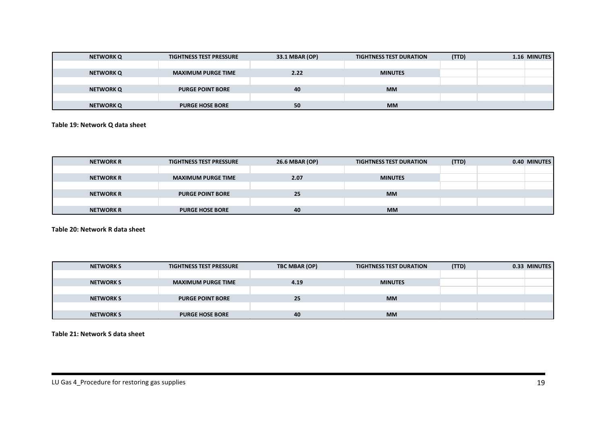| <b>NETWORK Q</b> | <b>TIGHTNESS TEST PRESSURE</b> | 33.1 MBAR (OP) | <b>TIGHTNESS TEST DURATION</b> | (TTD) | 1.16 MINUTES |
|------------------|--------------------------------|----------------|--------------------------------|-------|--------------|
|                  |                                |                |                                |       |              |
| <b>NETWORK Q</b> | <b>MAXIMUM PURGE TIME</b>      | 2.22           | <b>MINUTES</b>                 |       |              |
|                  |                                |                |                                |       |              |
| <b>NETWORK Q</b> | <b>PURGE POINT BORE</b>        | 40             | <b>MM</b>                      |       |              |
|                  |                                |                |                                |       |              |
| <b>NETWORK Q</b> | <b>PURGE HOSE BORE</b>         | 50             | <b>MM</b>                      |       |              |

#### **Table 19: Network Q data sheet**

| <b>NETWORK R</b> | <b>TIGHTNESS TEST PRESSURE</b> | 26.6 MBAR (OP) | <b>TIGHTNESS TEST DURATION</b> | (TTD) | 0.40 MINUTES |
|------------------|--------------------------------|----------------|--------------------------------|-------|--------------|
|                  |                                |                |                                |       |              |
| <b>NETWORK R</b> | <b>MAXIMUM PURGE TIME</b>      | 2.07           | <b>MINUTES</b>                 |       |              |
|                  |                                |                |                                |       |              |
| <b>NETWORK R</b> | <b>PURGE POINT BORE</b>        | 25             | <b>MM</b>                      |       |              |
|                  |                                |                |                                |       |              |
| <b>NETWORK R</b> | <b>PURGE HOSE BORE</b>         | 40             | <b>MM</b>                      |       |              |

**Table 20: Network R data sheet**

| <b>NETWORK S</b> | <b>TIGHTNESS TEST PRESSURE</b> | TBC MBAR (OP) | <b>TIGHTNESS TEST DURATION</b> | (TTD) | 0.33 MINUTES |
|------------------|--------------------------------|---------------|--------------------------------|-------|--------------|
|                  |                                |               |                                |       |              |
| <b>NETWORK S</b> | <b>MAXIMUM PURGE TIME</b>      | 4.19          | <b>MINUTES</b>                 |       |              |
|                  |                                |               |                                |       |              |
| <b>NETWORK S</b> | <b>PURGE POINT BORE</b>        | 25            | <b>MM</b>                      |       |              |
|                  |                                |               |                                |       |              |
| <b>NETWORK S</b> | <b>PURGE HOSE BORE</b>         | 40            | <b>MM</b>                      |       |              |

<span id="page-27-2"></span><span id="page-27-1"></span><span id="page-27-0"></span>**Table 21: Network S data sheet**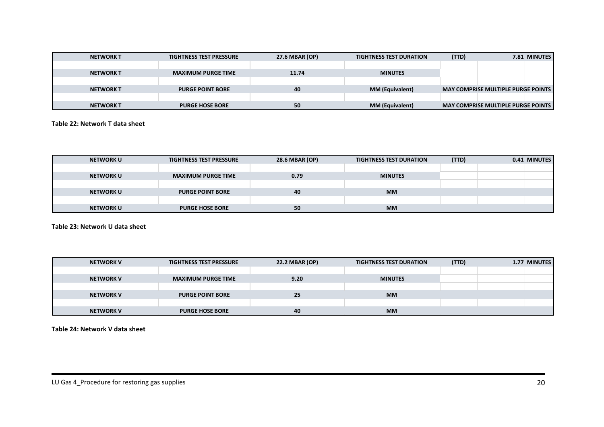| <b>NETWORK T</b> | <b>TIGHTNESS TEST PRESSURE</b> | 27.6 MBAR (OP) | <b>TIGHTNESS TEST DURATION</b> | (TTD) |                                             | 7.81 MINUTES |
|------------------|--------------------------------|----------------|--------------------------------|-------|---------------------------------------------|--------------|
|                  |                                |                |                                |       |                                             |              |
| <b>NETWORK T</b> | <b>MAXIMUM PURGE TIME</b>      | 11.74          | <b>MINUTES</b>                 |       |                                             |              |
|                  |                                |                |                                |       |                                             |              |
| <b>NETWORK T</b> | <b>PURGE POINT BORE</b>        | 40             | <b>MM (Equivalent)</b>         |       | <b>MAY COMPRISE MULTIPLE PURGE POINTS  </b> |              |
|                  |                                |                |                                |       |                                             |              |
| <b>NETWORK T</b> | <b>PURGE HOSE BORE</b>         | 50             | <b>MM (Equivalent)</b>         |       | <b>MAY COMPRISE MULTIPLE PURGE POINTS</b>   |              |

#### **Table 22: Network T data sheet**

| <b>NETWORK U</b> | <b>TIGHTNESS TEST PRESSURE</b> | 28.6 MBAR (OP) | <b>TIGHTNESS TEST DURATION</b> | (TTD) | 0.41 MINUTES |
|------------------|--------------------------------|----------------|--------------------------------|-------|--------------|
|                  |                                |                |                                |       |              |
| <b>NETWORK U</b> | <b>MAXIMUM PURGE TIME</b>      | 0.79           | <b>MINUTES</b>                 |       |              |
|                  |                                |                |                                |       |              |
| <b>NETWORK U</b> | <b>PURGE POINT BORE</b>        | 40             | <b>MM</b>                      |       |              |
|                  |                                |                |                                |       |              |
| <b>NETWORK U</b> | <b>PURGE HOSE BORE</b>         | 50             | <b>MM</b>                      |       |              |

**Table 23: Network U data sheet**

| <b>NETWORK V</b> | <b>TIGHTNESS TEST PRESSURE</b> | 22.2 MBAR (OP) | <b>TIGHTNESS TEST DURATION</b> | (TTD) | 1.77 MINUTES |
|------------------|--------------------------------|----------------|--------------------------------|-------|--------------|
|                  |                                |                |                                |       |              |
| <b>NETWORK V</b> | <b>MAXIMUM PURGE TIME</b>      | 9.20           | <b>MINUTES</b>                 |       |              |
|                  |                                |                |                                |       |              |
| <b>NETWORK V</b> | <b>PURGE POINT BORE</b>        | 25             | <b>MM</b>                      |       |              |
|                  |                                |                |                                |       |              |
| <b>NETWORK V</b> | <b>PURGE HOSE BORE</b>         | 40             | <b>MM</b>                      |       |              |

<span id="page-28-2"></span><span id="page-28-1"></span><span id="page-28-0"></span>**Table 24: Network V data sheet**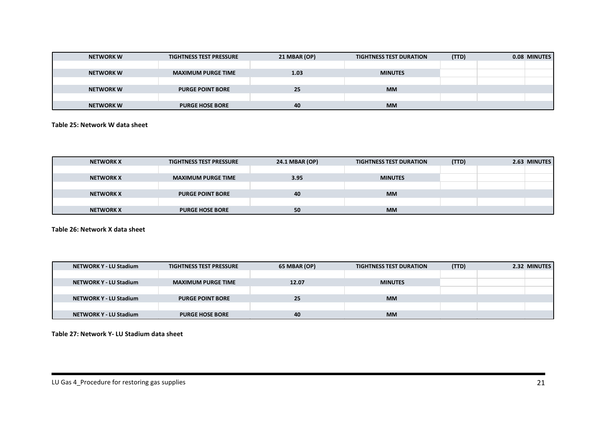| <b>NETWORK W</b> | <b>TIGHTNESS TEST PRESSURE</b> | 21 MBAR (OP) | <b>TIGHTNESS TEST DURATION</b> | (TTD) | 0.08 MINUTES |
|------------------|--------------------------------|--------------|--------------------------------|-------|--------------|
|                  |                                |              |                                |       |              |
| <b>NETWORK W</b> | <b>MAXIMUM PURGE TIME</b>      | 1.03         | <b>MINUTES</b>                 |       |              |
|                  |                                |              |                                |       |              |
| <b>NETWORK W</b> | <b>PURGE POINT BORE</b>        | 25           | <b>MM</b>                      |       |              |
|                  |                                |              |                                |       |              |
| <b>NETWORK W</b> | <b>PURGE HOSE BORE</b>         | 40           | <b>MM</b>                      |       |              |

#### **Table 25: Network W data sheet**

| <b>NETWORK X</b> | <b>TIGHTNESS TEST PRESSURE</b> | 24.1 MBAR (OP) | <b>TIGHTNESS TEST DURATION</b> | (TTD) | 2.63 MINUTES |
|------------------|--------------------------------|----------------|--------------------------------|-------|--------------|
|                  |                                |                |                                |       |              |
| <b>NETWORK X</b> | <b>MAXIMUM PURGE TIME</b>      | 3.95           | <b>MINUTES</b>                 |       |              |
|                  |                                |                |                                |       |              |
| <b>NETWORK X</b> | <b>PURGE POINT BORE</b>        | 40             | <b>MM</b>                      |       |              |
|                  |                                |                |                                |       |              |
| <b>NETWORK X</b> | <b>PURGE HOSE BORE</b>         | 50             | <b>MM</b>                      |       |              |

**Table 26: Network X data sheet**

| <b>NETWORK Y - LU Stadium</b> | <b>TIGHTNESS TEST PRESSURE</b> | 65 MBAR (OP) | <b>TIGHTNESS TEST DURATION</b> | (TTD) | 2.32 MINUTES |
|-------------------------------|--------------------------------|--------------|--------------------------------|-------|--------------|
|                               |                                |              |                                |       |              |
| <b>NETWORK Y - LU Stadium</b> | <b>MAXIMUM PURGE TIME</b>      | 12.07        | <b>MINUTES</b>                 |       |              |
|                               |                                |              |                                |       |              |
| <b>NETWORK Y - LU Stadium</b> | <b>PURGE POINT BORE</b>        | 25           | <b>MM</b>                      |       |              |
|                               |                                |              |                                |       |              |
| <b>NETWORK Y - LU Stadium</b> | <b>PURGE HOSE BORE</b>         | 40           | <b>MM</b>                      |       |              |

<span id="page-29-2"></span><span id="page-29-1"></span><span id="page-29-0"></span>**Table 27: Network Y- LU Stadium data sheet**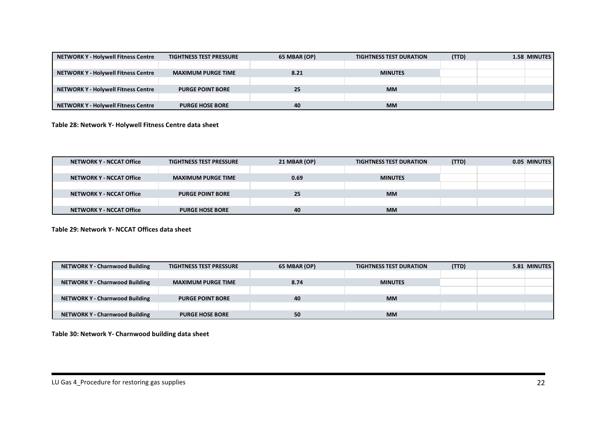| <b>NETWORK Y - Holywell Fitness Centre</b> | <b>TIGHTNESS TEST PRESSURE</b> | 65 MBAR (OP) | <b>TIGHTNESS TEST DURATION</b> | (TTD) | 1.58 MINUTES |
|--------------------------------------------|--------------------------------|--------------|--------------------------------|-------|--------------|
|                                            |                                |              |                                |       |              |
| <b>NETWORK Y - Holywell Fitness Centre</b> | <b>MAXIMUM PURGE TIME</b>      | 8.21         | <b>MINUTES</b>                 |       |              |
|                                            |                                |              |                                |       |              |
| <b>NETWORK Y - Holywell Fitness Centre</b> | <b>PURGE POINT BORE</b>        | 25           | <b>MM</b>                      |       |              |
|                                            |                                |              |                                |       |              |
| <b>NETWORK Y - Holywell Fitness Centre</b> | <b>PURGE HOSE BORE</b>         | 40           | <b>MM</b>                      |       |              |

**Table 28: Network Y- Holywell Fitness Centre data sheet**

| <b>NETWORK Y - NCCAT Office</b> | <b>TIGHTNESS TEST PRESSURE</b> | 21 MBAR (OP) | <b>TIGHTNESS TEST DURATION</b> | (TTD) | 0.05 MINUTES |  |
|---------------------------------|--------------------------------|--------------|--------------------------------|-------|--------------|--|
|                                 |                                |              |                                |       |              |  |
| NETWORK Y - NCCAT Office        | <b>MAXIMUM PURGE TIME</b>      | 0.69         | <b>MINUTES</b>                 |       |              |  |
|                                 |                                |              |                                |       |              |  |
| <b>NETWORK Y - NCCAT Office</b> | <b>PURGE POINT BORE</b>        | 25           | <b>MM</b>                      |       |              |  |
|                                 |                                |              |                                |       |              |  |
| <b>NETWORK Y - NCCAT Office</b> | <b>PURGE HOSE BORE</b>         | 40           | <b>MM</b>                      |       |              |  |

**Table 29: Network Y- NCCAT Offices data sheet**

| <b>NETWORK Y - Charnwood Building</b> | <b>TIGHTNESS TEST PRESSURE</b> | 65 MBAR (OP) | <b>TIGHTNESS TEST DURATION</b> | (TTD) | 5.81 MINUTES |
|---------------------------------------|--------------------------------|--------------|--------------------------------|-------|--------------|
|                                       |                                |              |                                |       |              |
| <b>NETWORK Y - Charnwood Building</b> | <b>MAXIMUM PURGE TIME</b>      | 8.74         | <b>MINUTES</b>                 |       |              |
|                                       |                                |              |                                |       |              |
| <b>NETWORK Y - Charnwood Building</b> | <b>PURGE POINT BORE</b>        | 40           | <b>MM</b>                      |       |              |
|                                       |                                |              |                                |       |              |
| <b>NETWORK Y - Charnwood Building</b> | <b>PURGE HOSE BORE</b>         | 50           | <b>MM</b>                      |       |              |

<span id="page-30-2"></span><span id="page-30-1"></span><span id="page-30-0"></span>**Table 30: Network Y- Charnwood building data sheet**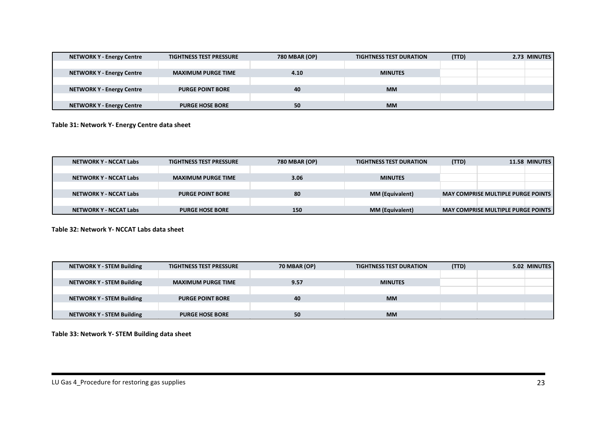| <b>NETWORK Y - Energy Centre</b> | <b>TIGHTNESS TEST PRESSURE</b> | <b>780 MBAR (OP)</b> | <b>TIGHTNESS TEST DURATION</b> | (TTD) | 2.73 MINUTES |
|----------------------------------|--------------------------------|----------------------|--------------------------------|-------|--------------|
|                                  |                                |                      |                                |       |              |
| <b>NETWORK Y - Energy Centre</b> | <b>MAXIMUM PURGE TIME</b>      | 4.10                 | <b>MINUTES</b>                 |       |              |
|                                  |                                |                      |                                |       |              |
| <b>NETWORK Y - Energy Centre</b> | <b>PURGE POINT BORE</b>        | 40                   | <b>MM</b>                      |       |              |
|                                  |                                |                      |                                |       |              |
| <b>NETWORK Y - Energy Centre</b> | <b>PURGE HOSE BORE</b>         | 50                   | <b>MM</b>                      |       |              |

**Table 31: Network Y- Energy Centre data sheet**

| NETWORK Y - NCCAT Labs        | <b>TIGHTNESS TEST PRESSURE</b> | <b>780 MBAR (OP)</b> | <b>TIGHTNESS TEST DURATION</b> | (TTD) | 11.58 MINUTES                             |
|-------------------------------|--------------------------------|----------------------|--------------------------------|-------|-------------------------------------------|
|                               |                                |                      |                                |       |                                           |
| NETWORK Y - NCCAT Labs        | <b>MAXIMUM PURGE TIME</b>      | 3.06                 | <b>MINUTES</b>                 |       |                                           |
|                               |                                |                      |                                |       |                                           |
| NETWORK Y - NCCAT Labs        | <b>PURGE POINT BORE</b>        | 80                   | <b>MM (Equivalent)</b>         |       | <b>MAY COMPRISE MULTIPLE PURGE POINTS</b> |
|                               |                                |                      |                                |       |                                           |
| <b>NETWORK Y - NCCAT Labs</b> | <b>PURGE HOSE BORE</b>         | 150                  | <b>MM (Equivalent)</b>         |       | <b>MAY COMPRISE MULTIPLE PURGE POINTS</b> |

**Table 32: Network Y- NCCAT Labs data sheet**

| <b>NETWORK Y - STEM Building</b> | <b>TIGHTNESS TEST PRESSURE</b> | <b>70 MBAR (OP)</b> | <b>TIGHTNESS TEST DURATION</b> | (TTD) | 5.02 MINUTES |
|----------------------------------|--------------------------------|---------------------|--------------------------------|-------|--------------|
|                                  |                                |                     |                                |       |              |
| <b>NETWORK Y - STEM Building</b> | <b>MAXIMUM PURGE TIME</b>      | 9.57                | <b>MINUTES</b>                 |       |              |
|                                  |                                |                     |                                |       |              |
| <b>NETWORK Y - STEM Building</b> | <b>PURGE POINT BORE</b>        | 40                  | <b>MM</b>                      |       |              |
|                                  |                                |                     |                                |       |              |
| <b>NETWORK Y - STEM Building</b> | <b>PURGE HOSE BORE</b>         | 50                  | <b>MM</b>                      |       |              |

<span id="page-31-2"></span><span id="page-31-1"></span><span id="page-31-0"></span>**Table 33: Network Y- STEM Building data sheet**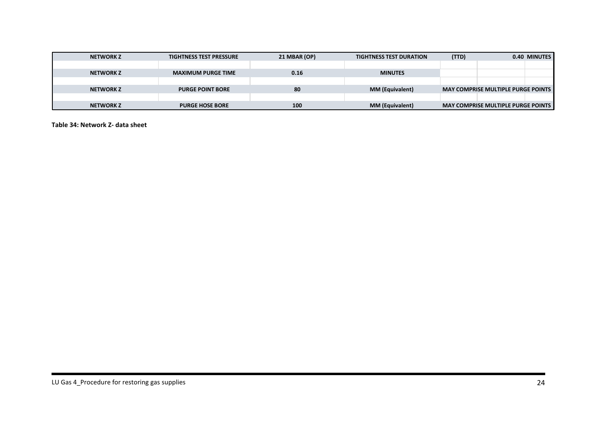| <b>NETWORK Z</b> | <b>TIGHTNESS TEST PRESSURE</b> | 21 MBAR (OP) | <b>TIGHTNESS TEST DURATION</b> | (TTD) |                                           | 0.40 MINUTES |
|------------------|--------------------------------|--------------|--------------------------------|-------|-------------------------------------------|--------------|
|                  |                                |              |                                |       |                                           |              |
| <b>NETWORK Z</b> | <b>MAXIMUM PURGE TIME</b>      | 0.16         | <b>MINUTES</b>                 |       |                                           |              |
|                  |                                |              |                                |       |                                           |              |
| <b>NETWORK Z</b> | <b>PURGE POINT BORE</b>        | 80           | <b>MM (Equivalent)</b>         |       | <b>MAY COMPRISE MULTIPLE PURGE POINTS</b> |              |
|                  |                                |              |                                |       |                                           |              |
| <b>NETWORK Z</b> | <b>PURGE HOSE BORE</b>         | 100          | <b>MM (Equivalent)</b>         |       | <b>MAY COMPRISE MULTIPLE PURGE POINTS</b> |              |

<span id="page-32-0"></span>**Table 34: Network Z- data sheet**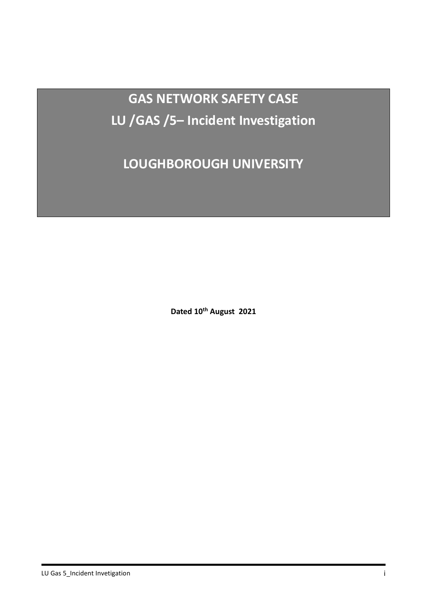**GAS NETWORK SAFETY CASE LU /GAS /5– Incident Investigation**

**LOUGHBOROUGH UNIVERSITY**

**Dated 10th August 2021**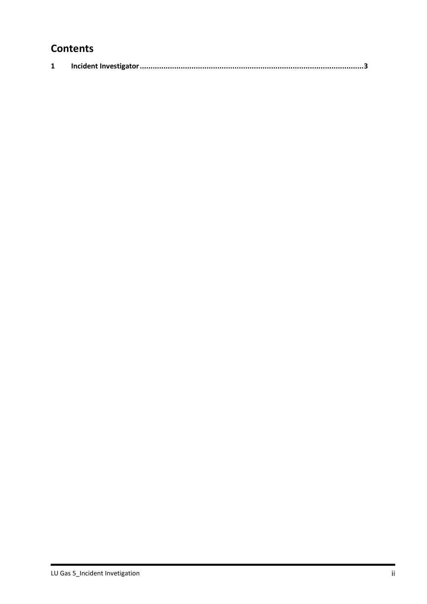## **Contents**

|--|--|--|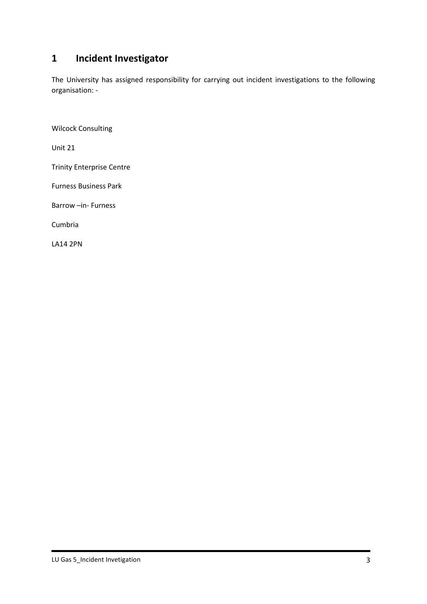## **1 Incident Investigator**

The University has assigned responsibility for carrying out incident investigations to the following organisation: -

Wilcock Consulting

Unit 21

Trinity Enterprise Centre

Furness Business Park

Barrow –in- Furness

Cumbria

LA14 2PN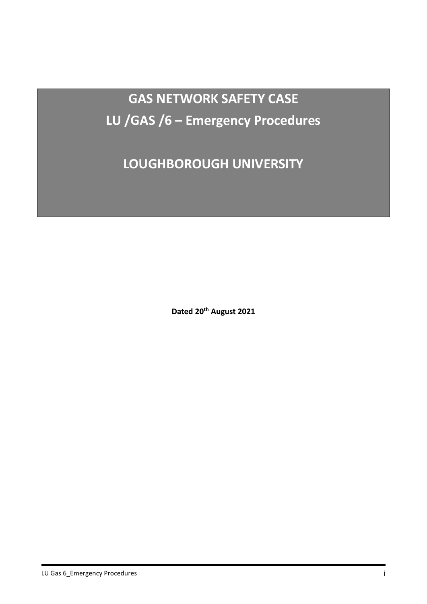**GAS NETWORK SAFETY CASE LU /GAS /6 – Emergency Procedures**

**LOUGHBOROUGH UNIVERSITY**

**Dated 20th August 2021**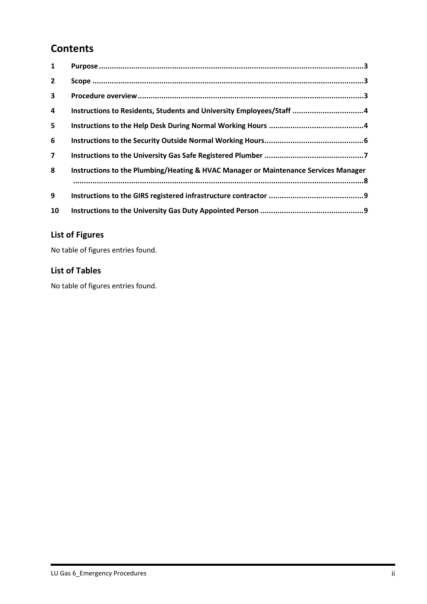# **Contents**

| $\mathbf{1}$            |                                                                                     |
|-------------------------|-------------------------------------------------------------------------------------|
| $\overline{2}$          |                                                                                     |
| $\mathbf{3}$            |                                                                                     |
| 4                       | Instructions to Residents, Students and University Employees/Staff 4                |
| 5                       |                                                                                     |
| 6                       |                                                                                     |
| $\overline{\mathbf{z}}$ |                                                                                     |
| 8                       | Instructions to the Plumbing/Heating & HVAC Manager or Maintenance Services Manager |
| 9                       |                                                                                     |
| 10                      |                                                                                     |

# **List of Figures**

No table of figures entries found.

#### **List of Tables**

No table of figures entries found.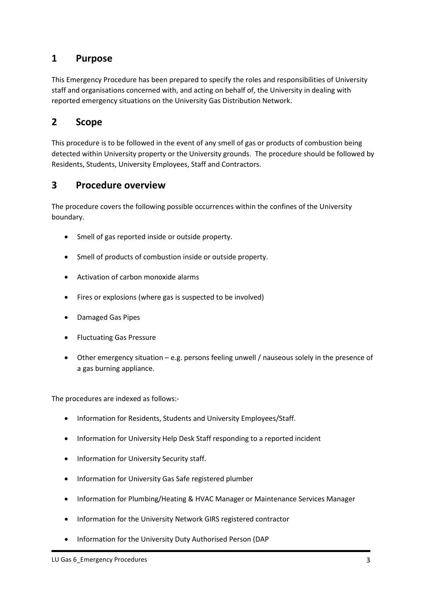#### <span id="page-38-0"></span>**1 Purpose**

This Emergency Procedure has been prepared to specify the roles and responsibilities of University staff and organisations concerned with, and acting on behalf of, the University in dealing with reported emergency situations on the University Gas Distribution Network.

#### <span id="page-38-1"></span>**2 Scope**

This procedure is to be followed in the event of any smell of gas or products of combustion being detected within University property or the University grounds. The procedure should be followed by Residents, Students, University Employees, Staff and Contractors.

#### <span id="page-38-2"></span>**3 Procedure overview**

The procedure covers the following possible occurrences within the confines of the University boundary.

- Smell of gas reported inside or outside property.
- Smell of products of combustion inside or outside property.
- Activation of carbon monoxide alarms
- Fires or explosions (where gas is suspected to be involved)
- Damaged Gas Pipes
- Fluctuating Gas Pressure
- Other emergency situation e.g. persons feeling unwell / nauseous solely in the presence of a gas burning appliance.

The procedures are indexed as follows:-

- Information for Residents, Students and University Employees/Staff.
- Information for University Help Desk Staff responding to a reported incident
- Information for University Security staff.
- Information for University Gas Safe registered plumber
- Information for Plumbing/Heating & HVAC Manager or Maintenance Services Manager
- Information for the University Network GIRS registered contractor
- Information for the University Duty Authorised Person (DAP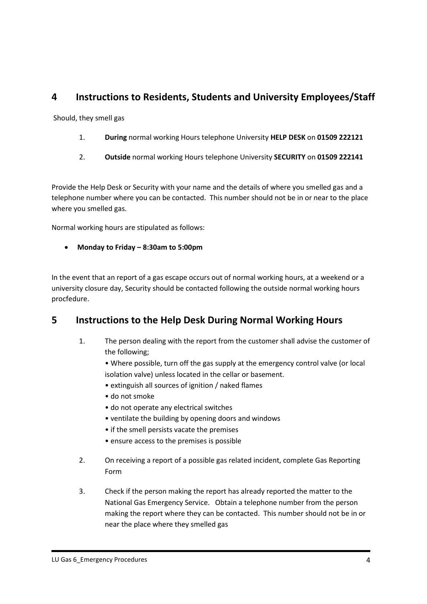## <span id="page-39-0"></span>**4 Instructions to Residents, Students and University Employees/Staff**

Should, they smell gas

- 1. **During** normal working Hours telephone University **HELP DESK** on **01509 222121**
- 2. **Outside** normal working Hours telephone University **SECURITY** on **01509 222141**

Provide the Help Desk or Security with your name and the details of where you smelled gas and a telephone number where you can be contacted. This number should not be in or near to the place where you smelled gas.

Normal working hours are stipulated as follows:

• **Monday to Friday – 8:30am to 5:00pm**

In the event that an report of a gas escape occurs out of normal working hours, at a weekend or a university closure day, Security should be contacted following the outside normal working hours procfedure.

## <span id="page-39-1"></span>**5 Instructions to the Help Desk During Normal Working Hours**

- 1. The person dealing with the report from the customer shall advise the customer of the following;
	- Where possible, turn off the gas supply at the emergency control valve (or local isolation valve) unless located in the cellar or basement.
	- extinguish all sources of ignition / naked flames
	- do not smoke
	- do not operate any electrical switches
	- ventilate the building by opening doors and windows
	- if the smell persists vacate the premises
	- ensure access to the premises is possible
- 2. On receiving a report of a possible gas related incident, complete Gas Reporting Form
- 3. Check if the person making the report has already reported the matter to the National Gas Emergency Service. Obtain a telephone number from the person making the report where they can be contacted. This number should not be in or near the place where they smelled gas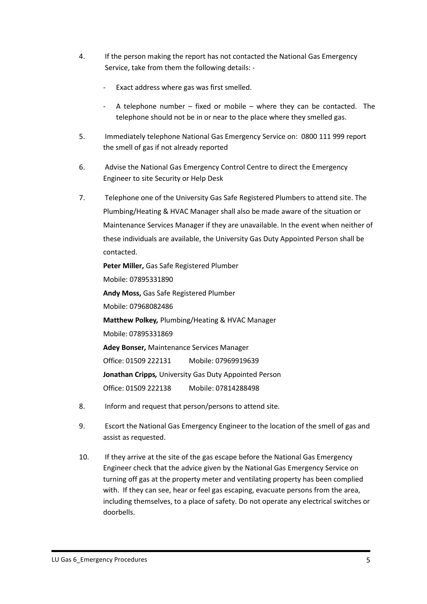- 4. If the person making the report has not contacted the National Gas Emergency Service, take from them the following details: -
	- Exact address where gas was first smelled.
	- A telephone number fixed or mobile where they can be contacted. The telephone should not be in or near to the place where they smelled gas.
- 5. Immediately telephone National Gas Emergency Service on: 0800 111 999 report the smell of gas if not already reported
- 6. Advise the National Gas Emergency Control Centre to direct the Emergency Engineer to site Security or Help Desk
- 7. Telephone one of the University Gas Safe Registered Plumbers to attend site. The Plumbing/Heating & HVAC Manager shall also be made aware of the situation or Maintenance Services Manager if they are unavailable. In the event when neither of these individuals are available, the University Gas Duty Appointed Person shall be contacted.

**Peter Miller,** Gas Safe Registered Plumber Mobile: 07895331890 **Andy Moss,** Gas Safe Registered Plumber Mobile: 07968082486 **Matthew Polkey***,* Plumbing/Heating & HVAC Manager Mobile: 07895331869 **Adey Bonser***,* Maintenance Services Manager Office: 01509 222131 Mobile: 07969919639 **Jonathan Cripps***,* University Gas Duty Appointed Person Office: 01509 222138 Mobile: 07814288498

- 8. Inform and request that person/persons to attend site.
- 9. Escort the National Gas Emergency Engineer to the location of the smell of gas and assist as requested.
- 10. If they arrive at the site of the gas escape before the National Gas Emergency Engineer check that the advice given by the National Gas Emergency Service on turning off gas at the property meter and ventilating property has been complied with. If they can see, hear or feel gas escaping, evacuate persons from the area, including themselves, to a place of safety. Do not operate any electrical switches or doorbells.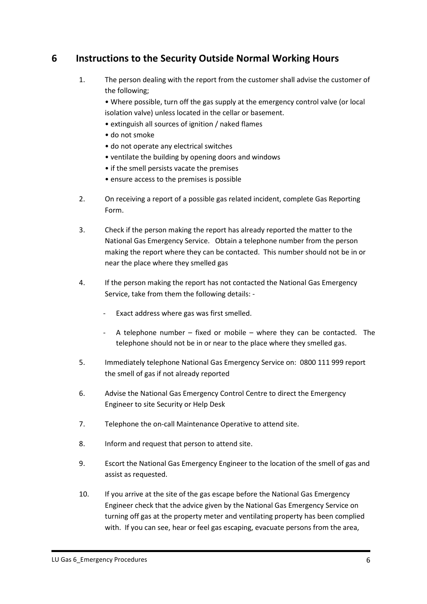## <span id="page-41-0"></span>**6 Instructions to the Security Outside Normal Working Hours**

1. The person dealing with the report from the customer shall advise the customer of the following;

• Where possible, turn off the gas supply at the emergency control valve (or local isolation valve) unless located in the cellar or basement.

- extinguish all sources of ignition / naked flames
- do not smoke
- do not operate any electrical switches
- ventilate the building by opening doors and windows
- if the smell persists vacate the premises
- ensure access to the premises is possible
- 2. On receiving a report of a possible gas related incident, complete Gas Reporting Form.
- 3. Check if the person making the report has already reported the matter to the National Gas Emergency Service. Obtain a telephone number from the person making the report where they can be contacted. This number should not be in or near the place where they smelled gas
- 4. If the person making the report has not contacted the National Gas Emergency Service, take from them the following details: -
	- Exact address where gas was first smelled.
	- A telephone number fixed or mobile where they can be contacted. The telephone should not be in or near to the place where they smelled gas.
- 5. Immediately telephone National Gas Emergency Service on: 0800 111 999 report the smell of gas if not already reported
- 6. Advise the National Gas Emergency Control Centre to direct the Emergency Engineer to site Security or Help Desk
- 7. Telephone the on-call Maintenance Operative to attend site.
- 8. Inform and request that person to attend site.
- 9. Escort the National Gas Emergency Engineer to the location of the smell of gas and assist as requested.
- 10. If you arrive at the site of the gas escape before the National Gas Emergency Engineer check that the advice given by the National Gas Emergency Service on turning off gas at the property meter and ventilating property has been complied with. If you can see, hear or feel gas escaping, evacuate persons from the area,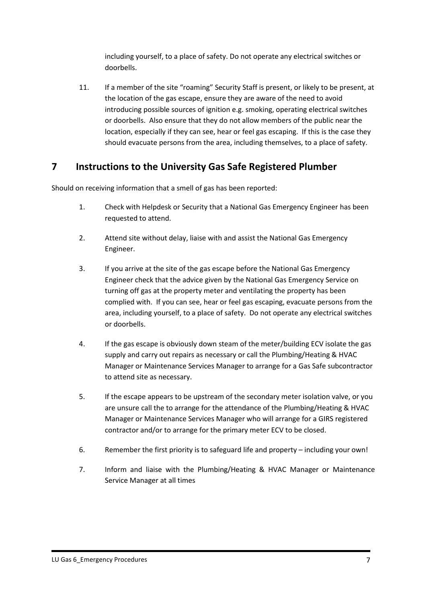including yourself, to a place of safety. Do not operate any electrical switches or doorbells.

11. If a member of the site "roaming" Security Staff is present, or likely to be present, at the location of the gas escape, ensure they are aware of the need to avoid introducing possible sources of ignition e.g. smoking, operating electrical switches or doorbells. Also ensure that they do not allow members of the public near the location, especially if they can see, hear or feel gas escaping. If this is the case they should evacuate persons from the area, including themselves, to a place of safety.

## <span id="page-42-0"></span>**7 Instructions to the University Gas Safe Registered Plumber**

Should on receiving information that a smell of gas has been reported:

- 1. Check with Helpdesk or Security that a National Gas Emergency Engineer has been requested to attend.
- 2. Attend site without delay, liaise with and assist the National Gas Emergency Engineer.
- 3. If you arrive at the site of the gas escape before the National Gas Emergency Engineer check that the advice given by the National Gas Emergency Service on turning off gas at the property meter and ventilating the property has been complied with. If you can see, hear or feel gas escaping, evacuate persons from the area, including yourself, to a place of safety. Do not operate any electrical switches or doorbells.
- 4. If the gas escape is obviously down steam of the meter/building ECV isolate the gas supply and carry out repairs as necessary or call the Plumbing/Heating & HVAC Manager or Maintenance Services Manager to arrange for a Gas Safe subcontractor to attend site as necessary.
- 5. If the escape appears to be upstream of the secondary meter isolation valve, or you are unsure call the to arrange for the attendance of the Plumbing/Heating & HVAC Manager or Maintenance Services Manager who will arrange for a GIRS registered contractor and/or to arrange for the primary meter ECV to be closed.
- 6. Remember the first priority is to safeguard life and property including your own!
- 7. Inform and liaise with the Plumbing/Heating & HVAC Manager or Maintenance Service Manager at all times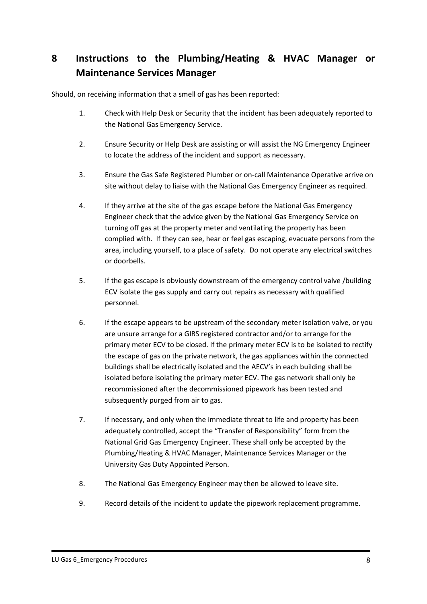# <span id="page-43-0"></span>**8 Instructions to the Plumbing/Heating & HVAC Manager or Maintenance Services Manager**

Should, on receiving information that a smell of gas has been reported:

- 1. Check with Help Desk or Security that the incident has been adequately reported to the National Gas Emergency Service.
- 2. Ensure Security or Help Desk are assisting or will assist the NG Emergency Engineer to locate the address of the incident and support as necessary.
- 3. Ensure the Gas Safe Registered Plumber or on-call Maintenance Operative arrive on site without delay to liaise with the National Gas Emergency Engineer as required.
- 4. If they arrive at the site of the gas escape before the National Gas Emergency Engineer check that the advice given by the National Gas Emergency Service on turning off gas at the property meter and ventilating the property has been complied with. If they can see, hear or feel gas escaping, evacuate persons from the area, including yourself, to a place of safety. Do not operate any electrical switches or doorbells.
- 5. If the gas escape is obviously downstream of the emergency control valve /building ECV isolate the gas supply and carry out repairs as necessary with qualified personnel.
- 6. If the escape appears to be upstream of the secondary meter isolation valve, or you are unsure arrange for a GIRS registered contractor and/or to arrange for the primary meter ECV to be closed. If the primary meter ECV is to be isolated to rectify the escape of gas on the private network, the gas appliances within the connected buildings shall be electrically isolated and the AECV's in each building shall be isolated before isolating the primary meter ECV. The gas network shall only be recommissioned after the decommissioned pipework has been tested and subsequently purged from air to gas.
- 7. If necessary, and only when the immediate threat to life and property has been adequately controlled, accept the "Transfer of Responsibility" form from the National Grid Gas Emergency Engineer. These shall only be accepted by the Plumbing/Heating & HVAC Manager, Maintenance Services Manager or the University Gas Duty Appointed Person.
- 8. The National Gas Emergency Engineer may then be allowed to leave site.
- 9. Record details of the incident to update the pipework replacement programme.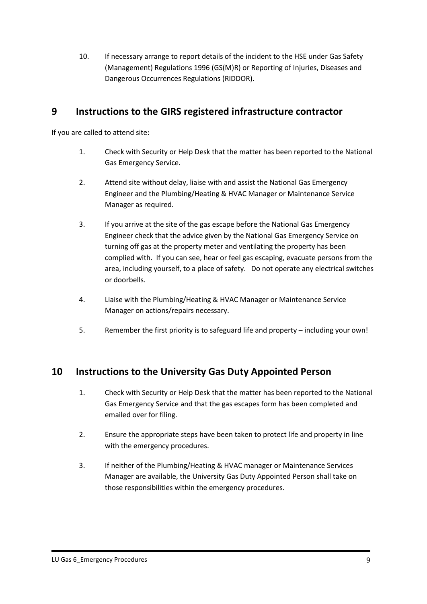10. If necessary arrange to report details of the incident to the HSE under Gas Safety (Management) Regulations 1996 (GS(M)R) or Reporting of Injuries, Diseases and Dangerous Occurrences Regulations (RIDDOR).

#### <span id="page-44-0"></span>**9 Instructions to the GIRS registered infrastructure contractor**

If you are called to attend site:

- 1. Check with Security or Help Desk that the matter has been reported to the National Gas Emergency Service.
- 2. Attend site without delay, liaise with and assist the National Gas Emergency Engineer and the Plumbing/Heating & HVAC Manager or Maintenance Service Manager as required.
- 3. If you arrive at the site of the gas escape before the National Gas Emergency Engineer check that the advice given by the National Gas Emergency Service on turning off gas at the property meter and ventilating the property has been complied with. If you can see, hear or feel gas escaping, evacuate persons from the area, including yourself, to a place of safety. Do not operate any electrical switches or doorbells.
- 4. Liaise with the Plumbing/Heating & HVAC Manager or Maintenance Service Manager on actions/repairs necessary.
- 5. Remember the first priority is to safeguard life and property including your own!

## <span id="page-44-1"></span>**10 Instructions to the University Gas Duty Appointed Person**

- 1. Check with Security or Help Desk that the matter has been reported to the National Gas Emergency Service and that the gas escapes form has been completed and emailed over for filing.
- 2. Ensure the appropriate steps have been taken to protect life and property in line with the emergency procedures.
- 3. If neither of the Plumbing/Heating & HVAC manager or Maintenance Services Manager are available, the University Gas Duty Appointed Person shall take on those responsibilities within the emergency procedures.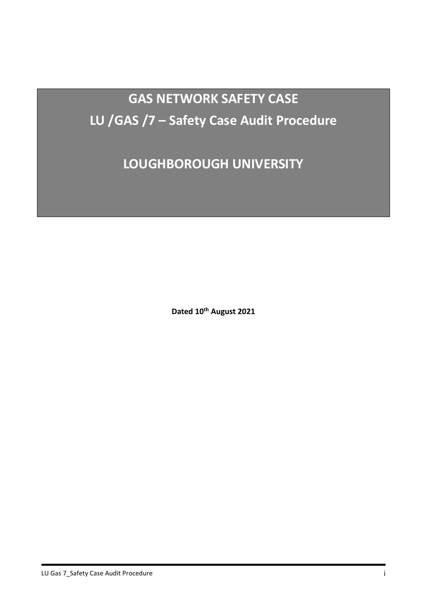**GAS NETWORK SAFETY CASE LU /GAS /7 – Safety Case Audit Procedure**

**LOUGHBOROUGH UNIVERSITY**

**Dated 10th August 2021**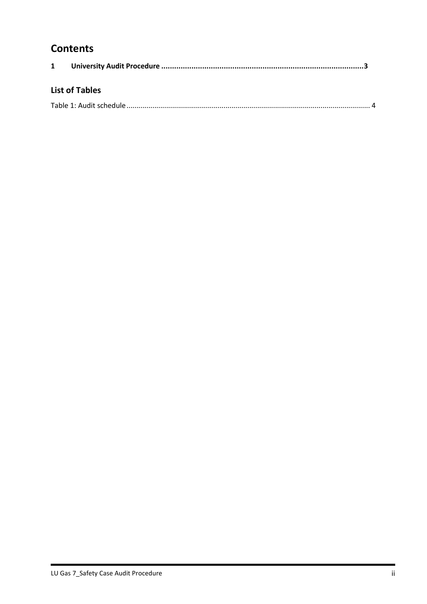# **Contents**

| <b>List of Tables</b> |  |
|-----------------------|--|
|                       |  |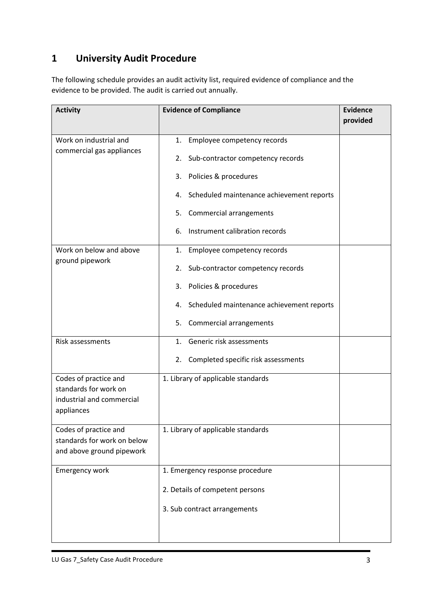# **1 University Audit Procedure**

The following schedule provides an audit activity list, required evidence of compliance and the evidence to be provided. The audit is carried out annually.

| <b>Activity</b>                                                                           | <b>Evidence of Compliance</b>                                                | <b>Evidence</b><br>provided |
|-------------------------------------------------------------------------------------------|------------------------------------------------------------------------------|-----------------------------|
| Work on industrial and<br>commercial gas appliances                                       | Employee competency records<br>1.<br>Sub-contractor competency records<br>2. |                             |
|                                                                                           | Policies & procedures<br>3.                                                  |                             |
|                                                                                           | 4. Scheduled maintenance achievement reports                                 |                             |
|                                                                                           | Commercial arrangements<br>5.                                                |                             |
|                                                                                           | Instrument calibration records<br>6.                                         |                             |
| Work on below and above                                                                   | Employee competency records<br>1.                                            |                             |
| ground pipework                                                                           | Sub-contractor competency records<br>2.                                      |                             |
|                                                                                           | Policies & procedures<br>3.                                                  |                             |
|                                                                                           | 4. Scheduled maintenance achievement reports                                 |                             |
|                                                                                           | Commercial arrangements<br>5.                                                |                             |
| Risk assessments                                                                          | Generic risk assessments<br>1.                                               |                             |
|                                                                                           | Completed specific risk assessments<br>2.                                    |                             |
| Codes of practice and<br>standards for work on<br>industrial and commercial<br>appliances | 1. Library of applicable standards                                           |                             |
| Codes of practice and<br>standards for work on below<br>and above ground pipework         | 1. Library of applicable standards                                           |                             |
| <b>Emergency work</b>                                                                     | 1. Emergency response procedure                                              |                             |
|                                                                                           | 2. Details of competent persons                                              |                             |
|                                                                                           | 3. Sub contract arrangements                                                 |                             |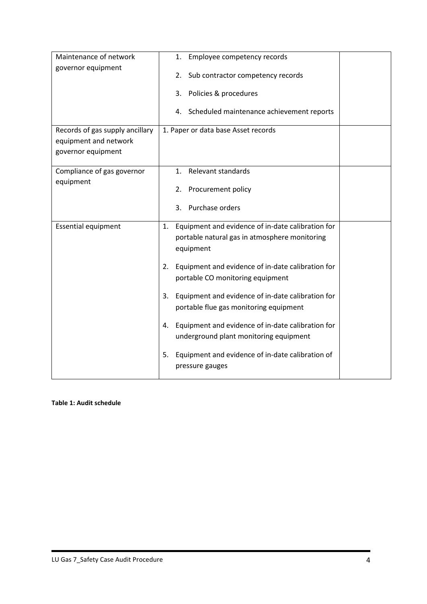| Maintenance of network                                                         | Employee competency records<br>1.                                                                                  |  |
|--------------------------------------------------------------------------------|--------------------------------------------------------------------------------------------------------------------|--|
| governor equipment                                                             | Sub contractor competency records<br>2.                                                                            |  |
|                                                                                | Policies & procedures<br>3.                                                                                        |  |
|                                                                                | Scheduled maintenance achievement reports<br>4.                                                                    |  |
| Records of gas supply ancillary<br>equipment and network<br>governor equipment | 1. Paper or data base Asset records                                                                                |  |
| Compliance of gas governor                                                     | Relevant standards<br>1.                                                                                           |  |
| equipment                                                                      | Procurement policy<br>2.                                                                                           |  |
|                                                                                | Purchase orders<br>3.                                                                                              |  |
| <b>Essential equipment</b>                                                     | 1. Equipment and evidence of in-date calibration for<br>portable natural gas in atmosphere monitoring<br>equipment |  |
|                                                                                | Equipment and evidence of in-date calibration for<br>2.<br>portable CO monitoring equipment                        |  |
|                                                                                | Equipment and evidence of in-date calibration for<br>3.<br>portable flue gas monitoring equipment                  |  |
|                                                                                | Equipment and evidence of in-date calibration for<br>4.<br>underground plant monitoring equipment                  |  |
|                                                                                | Equipment and evidence of in-date calibration of<br>5.<br>pressure gauges                                          |  |

#### **Table 1: Audit schedule**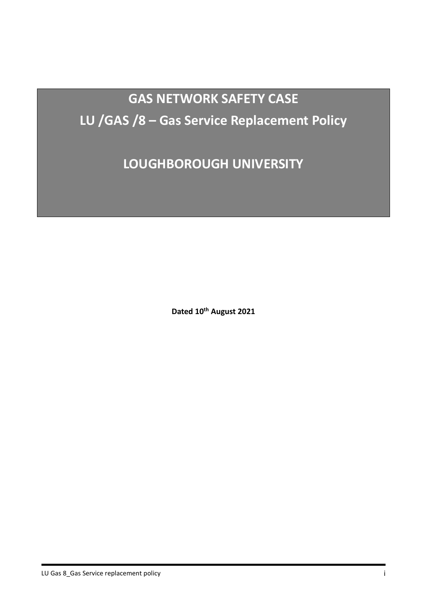# **GAS NETWORK SAFETY CASE LU /GAS /8 – Gas Service Replacement Policy**

**LOUGHBOROUGH UNIVERSITY**

**Dated 10th August 2021**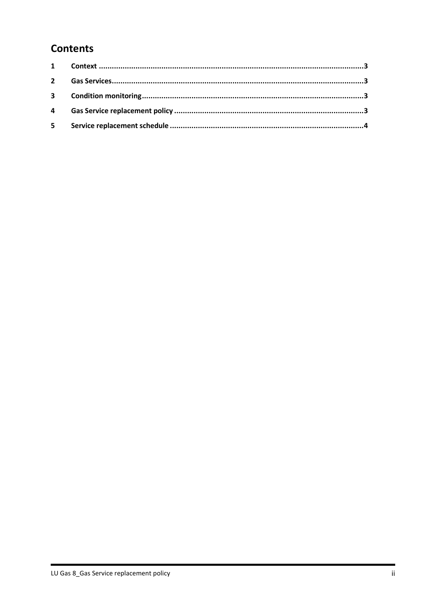# **Contents**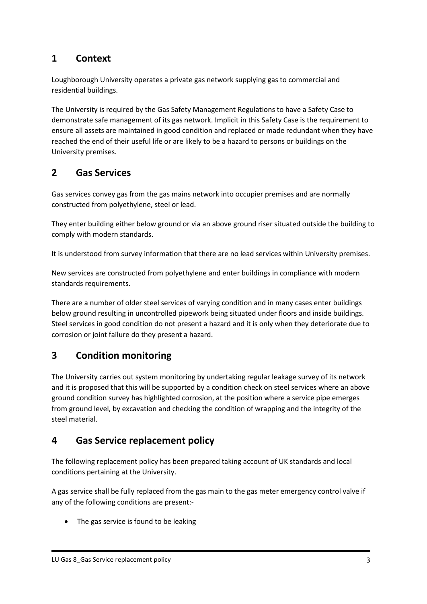## **1 Context**

Loughborough University operates a private gas network supplying gas to commercial and residential buildings.

The University is required by the Gas Safety Management Regulations to have a Safety Case to demonstrate safe management of its gas network. Implicit in this Safety Case is the requirement to ensure all assets are maintained in good condition and replaced or made redundant when they have reached the end of their useful life or are likely to be a hazard to persons or buildings on the University premises.

## **2 Gas Services**

Gas services convey gas from the gas mains network into occupier premises and are normally constructed from polyethylene, steel or lead.

They enter building either below ground or via an above ground riser situated outside the building to comply with modern standards.

It is understood from survey information that there are no lead services within University premises.

New services are constructed from polyethylene and enter buildings in compliance with modern standards requirements.

There are a number of older steel services of varying condition and in many cases enter buildings below ground resulting in uncontrolled pipework being situated under floors and inside buildings. Steel services in good condition do not present a hazard and it is only when they deteriorate due to corrosion or joint failure do they present a hazard.

## **3 Condition monitoring**

The University carries out system monitoring by undertaking regular leakage survey of its network and it is proposed that this will be supported by a condition check on steel services where an above ground condition survey has highlighted corrosion, at the position where a service pipe emerges from ground level, by excavation and checking the condition of wrapping and the integrity of the steel material.

## **4 Gas Service replacement policy**

The following replacement policy has been prepared taking account of UK standards and local conditions pertaining at the University.

A gas service shall be fully replaced from the gas main to the gas meter emergency control valve if any of the following conditions are present:-

• The gas service is found to be leaking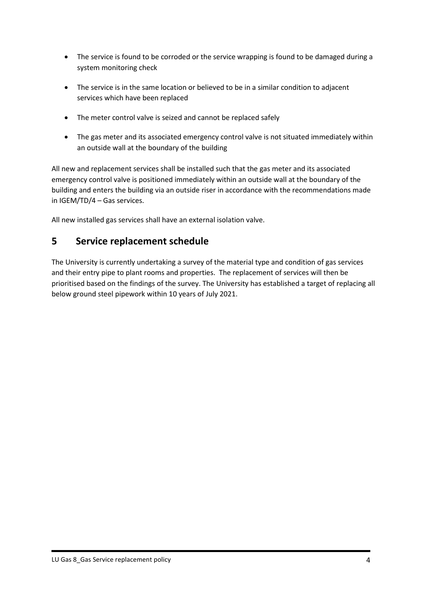- The service is found to be corroded or the service wrapping is found to be damaged during a system monitoring check
- The service is in the same location or believed to be in a similar condition to adjacent services which have been replaced
- The meter control valve is seized and cannot be replaced safely
- The gas meter and its associated emergency control valve is not situated immediately within an outside wall at the boundary of the building

All new and replacement services shall be installed such that the gas meter and its associated emergency control valve is positioned immediately within an outside wall at the boundary of the building and enters the building via an outside riser in accordance with the recommendations made in IGEM/TD/4 – Gas services.

All new installed gas services shall have an external isolation valve.

#### **5 Service replacement schedule**

The University is currently undertaking a survey of the material type and condition of gas services and their entry pipe to plant rooms and properties. The replacement of services will then be prioritised based on the findings of the survey. The University has established a target of replacing all below ground steel pipework within 10 years of July 2021.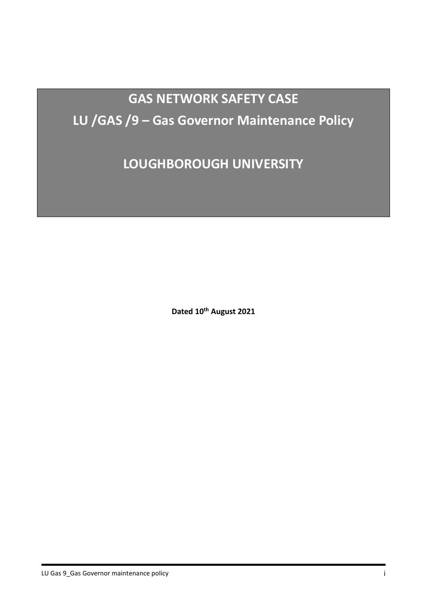# **GAS NETWORK SAFETY CASE LU /GAS /9 – Gas Governor Maintenance Policy**

**LOUGHBOROUGH UNIVERSITY**

**Dated 10th August 2021**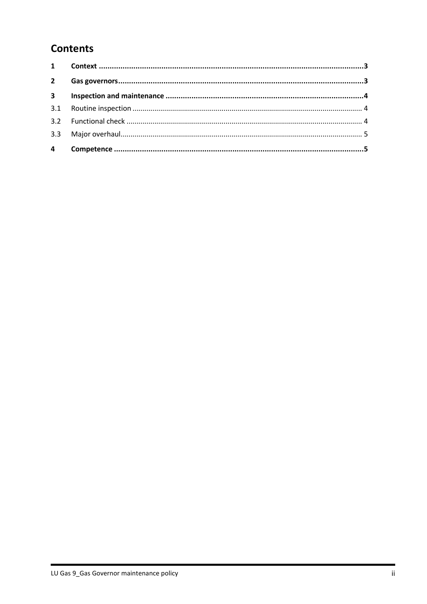# **Contents**

| $2^{\circ}$    |  |
|----------------|--|
|                |  |
|                |  |
|                |  |
|                |  |
| $\overline{4}$ |  |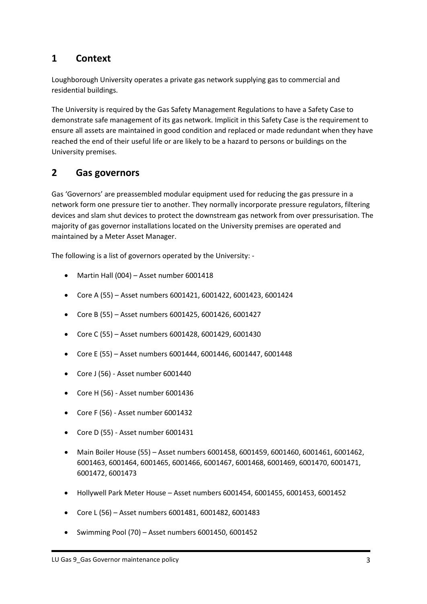## <span id="page-55-0"></span>**1 Context**

Loughborough University operates a private gas network supplying gas to commercial and residential buildings.

The University is required by the Gas Safety Management Regulations to have a Safety Case to demonstrate safe management of its gas network. Implicit in this Safety Case is the requirement to ensure all assets are maintained in good condition and replaced or made redundant when they have reached the end of their useful life or are likely to be a hazard to persons or buildings on the University premises.

## <span id="page-55-1"></span>**2 Gas governors**

Gas 'Governors' are preassembled modular equipment used for reducing the gas pressure in a network form one pressure tier to another. They normally incorporate pressure regulators, filtering devices and slam shut devices to protect the downstream gas network from over pressurisation. The majority of gas governor installations located on the University premises are operated and maintained by a Meter Asset Manager.

The following is a list of governors operated by the University: -

- Martin Hall (004) Asset number 6001418
- Core A (55) Asset numbers 6001421, 6001422, 6001423, 6001424
- Core B (55) Asset numbers 6001425, 6001426, 6001427
- Core C (55) Asset numbers 6001428, 6001429, 6001430
- Core E (55) Asset numbers 6001444, 6001446, 6001447, 6001448
- Core J (56) Asset number 6001440
- Core H (56) Asset number 6001436
- Core F (56) Asset number 6001432
- Core D (55) Asset number 6001431
- Main Boiler House (55) Asset numbers 6001458, 6001459, 6001460, 6001461, 6001462, 6001463, 6001464, 6001465, 6001466, 6001467, 6001468, 6001469, 6001470, 6001471, 6001472, 6001473
- Hollywell Park Meter House Asset numbers 6001454, 6001455, 6001453, 6001452
- Core L (56) Asset numbers 6001481, 6001482, 6001483
- Swimming Pool (70) Asset numbers 6001450, 6001452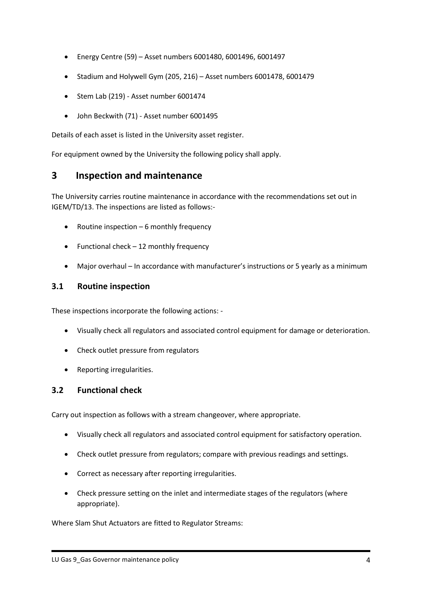- Energy Centre (59) Asset numbers 6001480, 6001496, 6001497
- Stadium and Holywell Gym (205, 216) Asset numbers 6001478, 6001479
- Stem Lab (219) Asset number 6001474
- John Beckwith (71) Asset number 6001495

Details of each asset is listed in the University asset register.

For equipment owned by the University the following policy shall apply.

#### <span id="page-56-0"></span>**3 Inspection and maintenance**

The University carries routine maintenance in accordance with the recommendations set out in IGEM/TD/13. The inspections are listed as follows:-

- Routine inspection 6 monthly frequency
- Functional check 12 monthly frequency
- Major overhaul In accordance with manufacturer's instructions or 5 yearly as a minimum

#### <span id="page-56-1"></span>**3.1 Routine inspection**

These inspections incorporate the following actions: -

- Visually check all regulators and associated control equipment for damage or deterioration.
- Check outlet pressure from regulators
- Reporting irregularities.

#### <span id="page-56-2"></span>**3.2 Functional check**

Carry out inspection as follows with a stream changeover, where appropriate.

- Visually check all regulators and associated control equipment for satisfactory operation.
- Check outlet pressure from regulators; compare with previous readings and settings.
- Correct as necessary after reporting irregularities.
- Check pressure setting on the inlet and intermediate stages of the regulators (where appropriate).

Where Slam Shut Actuators are fitted to Regulator Streams: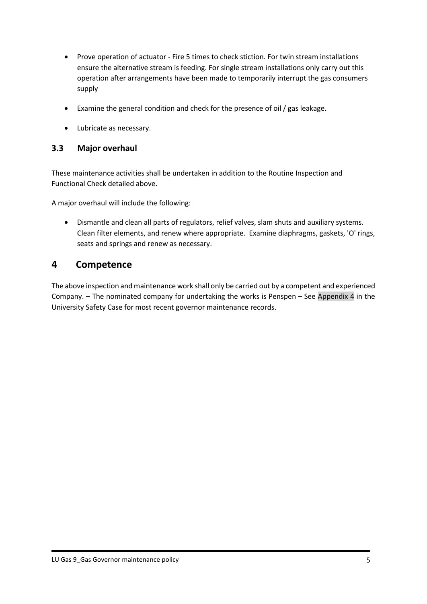- Prove operation of actuator Fire 5 times to check stiction. For twin stream installations ensure the alternative stream is feeding. For single stream installations only carry out this operation after arrangements have been made to temporarily interrupt the gas consumers supply
- Examine the general condition and check for the presence of oil / gas leakage.
- Lubricate as necessary.

#### <span id="page-57-0"></span>**3.3 Major overhaul**

These maintenance activities shall be undertaken in addition to the Routine Inspection and Functional Check detailed above.

A major overhaul will include the following:

• Dismantle and clean all parts of regulators, relief valves, slam shuts and auxiliary systems. Clean filter elements, and renew where appropriate. Examine diaphragms, gaskets, 'O' rings, seats and springs and renew as necessary.

#### <span id="page-57-1"></span>**4 Competence**

The above inspection and maintenance work shall only be carried out by a competent and experienced Company. – The nominated company for undertaking the works is Penspen – See Appendix 4 in the University Safety Case for most recent governor maintenance records.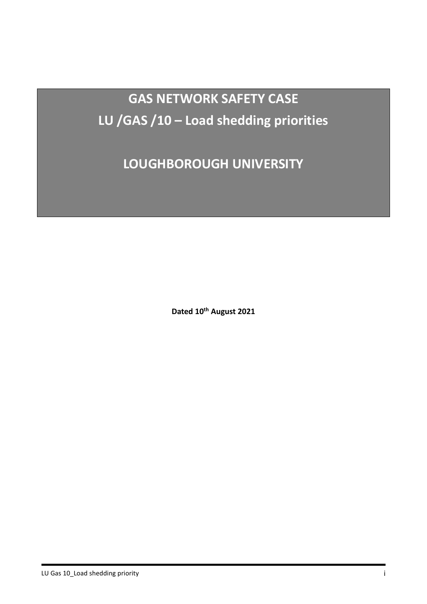**GAS NETWORK SAFETY CASE LU /GAS /10 – Load shedding priorities** 

**LOUGHBOROUGH UNIVERSITY**

**Dated 10th August 2021**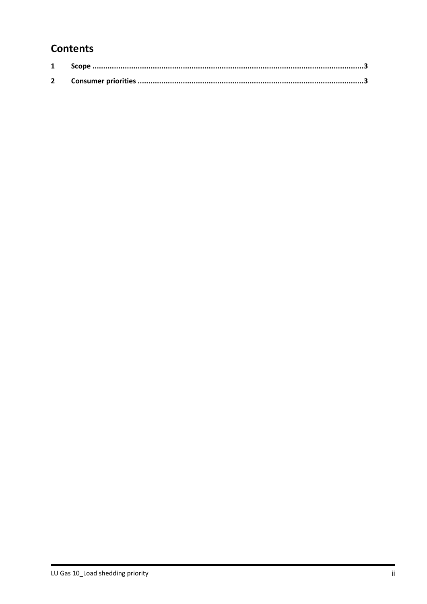# **Contents**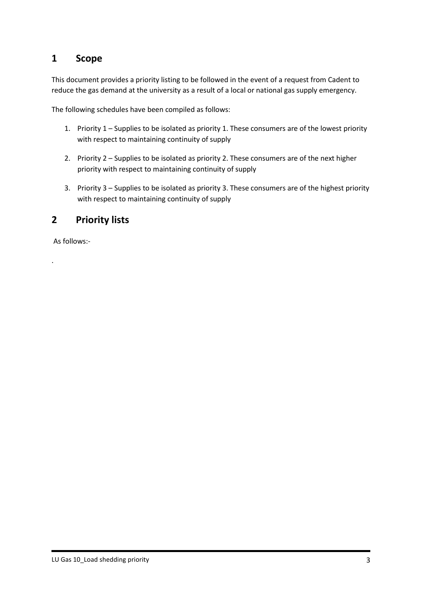#### <span id="page-60-0"></span>**1 Scope**

This document provides a priority listing to be followed in the event of a request from Cadent to reduce the gas demand at the university as a result of a local or national gas supply emergency.

The following schedules have been compiled as follows:

- 1. Priority 1 Supplies to be isolated as priority 1. These consumers are of the lowest priority with respect to maintaining continuity of supply
- 2. Priority 2 Supplies to be isolated as priority 2. These consumers are of the next higher priority with respect to maintaining continuity of supply
- 3. Priority 3 Supplies to be isolated as priority 3. These consumers are of the highest priority with respect to maintaining continuity of supply

#### <span id="page-60-1"></span>**2 Priority lists**

As follows:-

.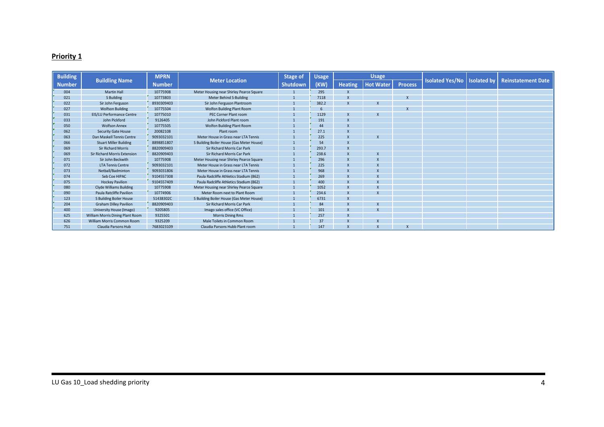#### **Priority 1**

| <b>Building</b> |                                  | <b>MPRN</b>   |                                           | <b>Stage of</b> | <b>Usage</b> | <b>Usage</b>   |                           |                |                               |                           |
|-----------------|----------------------------------|---------------|-------------------------------------------|-----------------|--------------|----------------|---------------------------|----------------|-------------------------------|---------------------------|
| <b>Number</b>   | <b>Buildling Name</b>            | <b>Number</b> | <b>Meter Location</b>                     | <b>Shutdown</b> | (KW)         | <b>Heating</b> | <b>Hot Water</b>          | <b>Process</b> | Isolated Yes/No   Isolated by | <b>Reinstatement Date</b> |
| 004             | <b>Martin Hall</b>               | 10775908      | Meter Housing near Shirley Pearce Square  |                 | 295          |                |                           |                |                               |                           |
| 021             | S Building                       | 10773803      | Meter Behind S-Building                   |                 | 7118         |                |                           |                |                               |                           |
| 022             | Sir John Ferguson                | 8930309403    | Sir John Ferguson Plantroom               |                 | 382.2        | X              | X                         |                |                               |                           |
| 027             | <b>Wolfson Building</b>          | 10775504      | <b>Wolfon Building Plant Room</b>         |                 | 6            |                |                           |                |                               |                           |
| 031             | <b>EIS/LU Performance Centre</b> | 10775010      | PEC Corner Plant room                     |                 | 1129         | X              | $\boldsymbol{\mathsf{x}}$ |                |                               |                           |
| 033             | John Pickford                    | 9126405       | John Pickford Plant room                  |                 | 191          | $\mathsf{x}$   |                           |                |                               |                           |
| 050             | <b>Wolfson Annex</b>             | 10775505      | Wolfon Building Plant Room                |                 | 44           | $\mathsf{x}$   |                           |                |                               |                           |
| 062             | Security Gate House              | 20082108      | Plant room                                |                 | 27.1         | X              |                           |                |                               |                           |
| 063             | Dan Maskell Tennis Centre        | 9093032101    | Meter House in Grass near LTA Tennis      |                 | 225          | $\mathsf{x}$   | $\overline{\mathsf{x}}$   |                |                               |                           |
| 066             | <b>Stuart Miller Building</b>    | 8898851807    | S Building Boiler House (Gas Meter House) |                 | 54           |                |                           |                |                               |                           |
| 069             | <b>Sir Richard Morris</b>        | 8820909403    | Sir Richard Morris Car Park               |                 | 293.7        |                |                           |                |                               |                           |
| 069             | Sir Richard Morris Extension     | 8820909403    | Sir Richard Morris Car Park               |                 | 238.6        | $\mathbf{x}$   | $\boldsymbol{\mathsf{x}}$ |                |                               |                           |
| 071             | Sir John Beckwith                | 10775908      | Meter Housing near Shirley Pearce Square  |                 | 296          |                |                           |                |                               |                           |
| 072             | <b>LTA Tennis Centre</b>         | 9093032101    | Meter House in Grass near LTA Tennis      |                 | 225          | $\mathsf{x}$   | X                         |                |                               |                           |
| 073             | Netball/Badminton                | 9093031806    | Meter House in Grass near LTA Tennis      |                 | 968          | $\mathsf{x}$   | $\mathbf{x}$              |                |                               |                           |
| 074             | Seb Coe HIPAC                    | 9104557308    | Paula Radcliffe Athletics Stadium (862)   |                 | 269          |                |                           |                |                               |                           |
| 075             | <b>Hockey Pavilion</b>           | 9104557409    | Paula Radcliffe Athletics Stadium (862)   |                 | 400          | $\mathsf{x}$   |                           |                |                               |                           |
| 080             | <b>Clyde Williams Building</b>   | 10775908      | Meter Housing near Shirley Pearce Square  |                 | 1052         |                |                           |                |                               |                           |
| 090             | Paula Ratcliffe Pavilion         | 10774906      | Meter Room next to Plant Room             |                 | 234.6        | $\mathsf{x}$   |                           |                |                               |                           |
| 123             | S Building Boiler House          | 51438302C     | S Building Boiler House (Gas Meter House) |                 | 6731         | $\mathsf{x}$   |                           |                |                               |                           |
| 204             | <b>Graham Dilley Pavilion</b>    | 8820909403    | Sir Richard Morris Car Park               |                 | 84           |                |                           |                |                               |                           |
| 400             | University House (Imago)         | 9205805       | Imago sales office (VC Office)            |                 | 101          | $\mathsf{x}$   |                           |                |                               |                           |
| 625             | William Morris Dining Plant Room | 9325501       | <b>Morris Dining Rms</b>                  |                 | 257          |                |                           |                |                               |                           |
| 626             | William Morris Common Room       | 9325209       | Male Toilets in Common Room               |                 | 37           |                |                           |                |                               |                           |
| 751             | Claudia Parsons Hub              | 7683023109    | Claudia Parsons Hubb Plant room           |                 | 147          | X              |                           |                |                               |                           |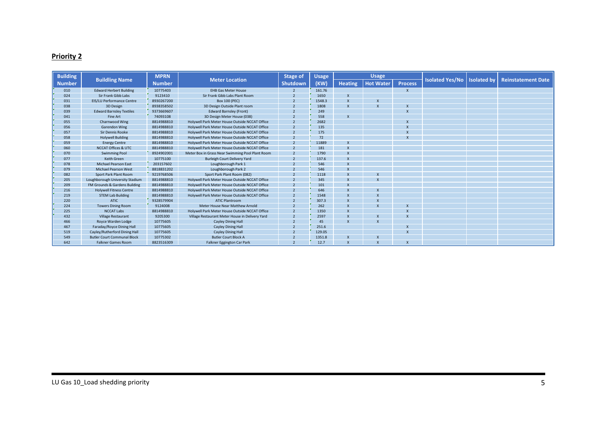#### **Priority 2**

| <b>Building</b> |                                    | <b>MPRN</b>   |                                                  | <b>Stage of</b> | <b>Usage</b> |                | <b>Usage</b>              |                |                        |                    |                           |
|-----------------|------------------------------------|---------------|--------------------------------------------------|-----------------|--------------|----------------|---------------------------|----------------|------------------------|--------------------|---------------------------|
| <b>Number</b>   | <b>Buildling Name</b>              | <b>Number</b> | <b>Meter Location</b>                            | <b>Shutdown</b> | (KW)         | <b>Heating</b> | <b>Hot Water</b>          | <b>Process</b> | <b>Isolated Yes/No</b> | <b>Isolated by</b> | <b>Reinstatement Date</b> |
| 010             | <b>Edward Herbert Building</b>     | 10775403      | <b>EHB Gas Meter House</b>                       |                 | 161.76       |                |                           |                |                        |                    |                           |
| 024             | Sir Frank Gibb Labs                | 9123410       | Sir Frank Gibb Labs Plant Room                   |                 | 1650         | X              |                           |                |                        |                    |                           |
| 031             | <b>EIS/LU Performance Centre</b>   | 8930267200    | <b>Box 100 (PEC)</b>                             |                 | 1548.3       |                |                           |                |                        |                    |                           |
| 038             | 3D Design                          | 8938358502    | 3D Design Outside Plant room                     |                 | 1808         | $\mathsf{x}$   | $\boldsymbol{\mathsf{x}}$ |                |                        |                    |                           |
| 039             | <b>Edward Barnsley Textiles</b>    | 9373669607    | <b>Edward Barnsley (Front)</b>                   |                 | 249          |                |                           |                |                        |                    |                           |
| 041             | Fine Art                           | 74093108      | 3D Design Meter House (038)                      |                 | 558          |                |                           |                |                        |                    |                           |
| 055             | Charnwood Wing                     | 8814988810    | Holywell Park Meter House Outside NCCAT Office   |                 | 2682         |                |                           |                |                        |                    |                           |
| 056             | <b>Garendon Wing</b>               | 8814988810    | Holywell Park Meter House Outside NCCAT Office   |                 | 135          |                |                           |                |                        |                    |                           |
| 057             | Sir Dennis Rooke                   | 8814988810    | Holywell Park Meter House Outside NCCAT Office   |                 | 175          |                |                           |                |                        |                    |                           |
| 058             | <b>Holywell Building</b>           | 8814988810    | Holywell Park Meter House Outside NCCAT Office   | $\overline{2}$  | 72           |                |                           |                |                        |                    |                           |
| 059             | <b>Energy Centre</b>               | 8814988810    | Holywell Park Meter House Outside NCCAT Office   |                 | 11889        |                |                           |                |                        |                    |                           |
| 060             | <b>NCCAT Offices &amp; UTC</b>     | 8814988810    | Holywell Park Meter House Outside NCCAT Office   |                 | 181          | X              |                           |                |                        |                    |                           |
| 070             | <b>Swimming Pool</b>               | 8924902001    | Meter Box in Grass Near Swimming Pool Plant Room |                 | 1790         |                |                           |                |                        |                    |                           |
| 077             | <b>Keith Green</b>                 | 10775100      | <b>Burleigh Court Delivery Yard</b>              |                 | 137.6        |                |                           |                |                        |                    |                           |
| 078             | <b>Michael Pearson East</b>        | 203157602     | Loughborough Park 1                              |                 | 546          |                |                           |                |                        |                    |                           |
| 079             | <b>Michael Pearson West</b>        | 8818831202    | Loughborough Park 2                              |                 | 546          |                |                           |                |                        |                    |                           |
| 082             | Sport Park Plant Room              | 9219768506    | Sport Park Plant Room (082)                      |                 | 1118         |                | X                         |                |                        |                    |                           |
| 205             | Loughborough University Stadium    | 8814988810    | Holywell Park Meter House Outside NCCAT Office   |                 | 345          |                |                           |                |                        |                    |                           |
| 209             | FM Grounds & Gardens Building      | 8814988810    | Holywell Park Meter House Outside NCCAT Office   |                 | 101          |                |                           |                |                        |                    |                           |
| 216             | <b>Holywell Fitness Centre</b>     | 8814988810    | Holywell Park Meter House Outside NCCAT Office   |                 | 646          |                |                           |                |                        |                    |                           |
| 219             | <b>STEM Lab Building</b>           | 8814988810    | Holywell Park Meter House Outside NCCAT Office   |                 | 1548         |                |                           |                |                        |                    |                           |
| 220             | ATIC.                              | 9328579904    | <b>ATIC Plantroom</b>                            |                 | 307.3        |                |                           |                |                        |                    |                           |
| 224             | <b>Towers Dining Room</b>          | 9124008       | Meter House Near Matthew Arnold                  |                 | 262          |                |                           |                |                        |                    |                           |
| 225             | <b>NCCAT Labs</b>                  | 8814988810    | Holywell Park Meter House Outside NCCAT Office   |                 | 1350         |                |                           |                |                        |                    |                           |
| 432             | <b>Village Restaurant</b>          | 9205300       | Village Restaurant Meter House in Delivery Yard  |                 | 2597         | $\mathsf{x}$   |                           |                |                        |                    |                           |
| 466             | Royce Warden Lodge                 | 10775605      | <b>Cayley Dining Hall</b>                        |                 | 45           |                |                           |                |                        |                    |                           |
| 467             | Faraday/Royce Dining Hall          | 10775605      | <b>Cayley Dining Hall</b>                        |                 | 251.6        |                |                           |                |                        |                    |                           |
| 519             | Cayley/Rutherford Dining Hall      | 10775605      | <b>Cayley Dining Hall</b>                        |                 | 129.05       |                |                           |                |                        |                    |                           |
| 549             | <b>Butler Court Communal Block</b> | 10775302      | <b>Butler Court Block A</b>                      |                 | 1351.8       |                |                           |                |                        |                    |                           |
| 642             | <b>Falkner Games Room</b>          | 8823516309    | Falkner Eggington Car Park                       |                 | 12.7         |                | $\boldsymbol{\mathsf{x}}$ |                |                        |                    |                           |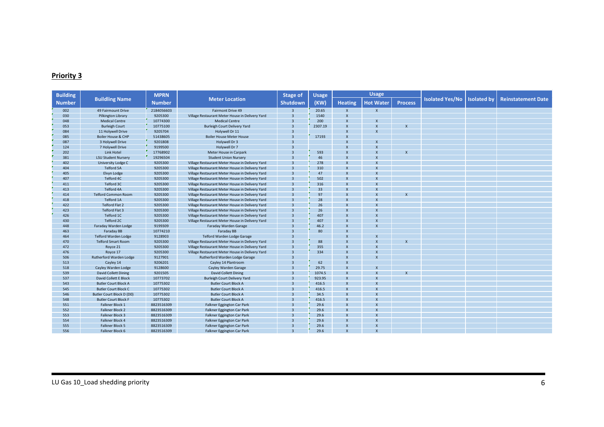#### **Priority 3**

| <b>Building</b> |                               | <b>MPRN</b>   |                                                 | <b>Stage of</b>         | <b>Usage</b> |                           | <b>Usage</b>              |                           |                        |                    |                           |
|-----------------|-------------------------------|---------------|-------------------------------------------------|-------------------------|--------------|---------------------------|---------------------------|---------------------------|------------------------|--------------------|---------------------------|
| <b>Number</b>   | <b>Buildling Name</b>         | <b>Number</b> | <b>Meter Location</b>                           | Shutdown                | (KW)         | <b>Heating</b>            | <b>Hot Water</b>          | <b>Process</b>            | <b>Isolated Yes/No</b> | <b>Isolated</b> by | <b>Reinstatement Date</b> |
| 002             | 49 Fairmount Drive            | 2184056603    | Fairmont Drive 49                               | $\overline{3}$          | 20.65        | $\boldsymbol{\mathsf{X}}$ | $\pmb{\chi}$              |                           |                        |                    |                           |
| 030             | Pilkington Library            | 9205300       | Village Restaurant Meter House in Delivery Yard | $\overline{3}$          | 1540         | $\boldsymbol{\mathsf{x}}$ |                           |                           |                        |                    |                           |
| 048             | <b>Medical Centre</b>         | 10774300      | <b>Medical Centre</b>                           | $\overline{3}$          | 200          | $\overline{\mathsf{x}}$   | $\boldsymbol{\mathsf{x}}$ |                           |                        |                    |                           |
| 053             | <b>Burleigh Court</b>         | 10775100      | <b>Burleigh Court Delivery Yard</b>             | $\overline{3}$          | 2307.19      | $\boldsymbol{\mathsf{x}}$ | $\boldsymbol{\mathsf{x}}$ | $\boldsymbol{\mathsf{x}}$ |                        |                    |                           |
| 084             | 11 Holywell Drive             | 9205704       | Holywell Dr 11                                  | $\overline{3}$          |              | $\overline{\mathsf{x}}$   | $\boldsymbol{\mathsf{x}}$ |                           |                        |                    |                           |
| 085             | <b>Boiler House &amp; CHP</b> | 51438605      | <b>Boiler House Meter House</b>                 | $\overline{3}$          | 17193        | $\overline{\mathsf{x}}$   |                           |                           |                        |                    |                           |
| 087             | 3 Holywell Drive              | 9201808       | Holywell Dr 3                                   | $\overline{3}$          |              | $\overline{\mathsf{x}}$   | $\boldsymbol{\mathsf{x}}$ |                           |                        |                    |                           |
| 124             | 7 Holywell Drive              | 9199500       | Holywell Dr 7                                   | $\overline{3}$          |              | $\overline{\mathsf{x}}$   | $\boldsymbol{\mathsf{x}}$ |                           |                        |                    |                           |
| 202             | <b>Link Hotel</b>             | 17768902      | Meter House in Carpark                          | $\overline{3}$          | 593          |                           | $\boldsymbol{\mathsf{x}}$ |                           |                        |                    |                           |
| 381             | <b>LSU Student Nursery</b>    | 19296504      | <b>Student Union Nursery</b>                    | $\overline{3}$          | 46           | $\boldsymbol{\mathsf{x}}$ | $\boldsymbol{\mathsf{x}}$ |                           |                        |                    |                           |
| 402             | University Lodge C            | 9205300       | Village Restaurant Meter House in Delivery Yard | $\overline{3}$          | 278          | $\boldsymbol{\mathsf{x}}$ | $\boldsymbol{\mathsf{x}}$ |                           |                        |                    |                           |
| 404             | <b>Telford 5A</b>             | 9205300       | Village Restaurant Meter House in Delivery Yard | $\overline{3}$          | 310          | $\boldsymbol{\mathsf{x}}$ | $\boldsymbol{\mathsf{x}}$ |                           |                        |                    |                           |
| 405             | <b>Elvyn Lodge</b>            | 9205300       | Village Restaurant Meter House in Delivery Yard | $\overline{3}$          | 47           | $\overline{\mathsf{x}}$   | $\mathsf{x}$              |                           |                        |                    |                           |
| 407             | Telford 4C                    | 9205300       | Village Restaurant Meter House in Delivery Yard | $\overline{3}$          | 502          | $\boldsymbol{\mathsf{x}}$ | $\boldsymbol{\mathsf{x}}$ |                           |                        |                    |                           |
| 411             | Telford 3C                    | 9205300       | Village Restaurant Meter House in Delivery Yard | $\overline{3}$          | 316          | $\boldsymbol{\mathsf{x}}$ | $\boldsymbol{\mathsf{x}}$ |                           |                        |                    |                           |
| 413             | Telford 4A                    | 9205300       | Village Restaurant Meter House in Delivery Yard | $\overline{3}$          | 33           | $\boldsymbol{\mathsf{x}}$ | $\mathsf{x}$              |                           |                        |                    |                           |
| 414             | <b>Telford Common Room</b>    | 9205300       | Village Restaurant Meter House in Delivery Yard | $\overline{3}$          | 97           | $\boldsymbol{\mathsf{x}}$ | $\boldsymbol{\mathsf{x}}$ | $\mathbf{x}$              |                        |                    |                           |
| 418             | Telford 1A                    | 9205300       | Village Restaurant Meter House in Delivery Yard | $\overline{3}$          | 28           | $\overline{\mathsf{x}}$   | $\mathsf{x}$              |                           |                        |                    |                           |
| 422             | Telford Flat 2                | 9205300       | Village Restaurant Meter House in Delivery Yard | $\overline{3}$          | 26           | $\boldsymbol{\mathsf{X}}$ | $\boldsymbol{\mathsf{x}}$ |                           |                        |                    |                           |
| 423             | <b>Telford Flat 3</b>         | 9205300       | Village Restaurant Meter House in Delivery Yard | $\overline{3}$          | 26           | $\overline{\mathsf{x}}$   | $\boldsymbol{\mathsf{x}}$ |                           |                        |                    |                           |
| 426             | Telford 1C                    | 9205300       | Village Restaurant Meter House in Delivery Yard | $\overline{3}$          | 407          | $\boldsymbol{\mathsf{x}}$ | $\mathbf{x}$              |                           |                        |                    |                           |
| 430             | Telford 2C                    | 9205300       | Village Restaurant Meter House in Delivery Yard | $\overline{3}$          | 407          | $\boldsymbol{\mathsf{x}}$ | $\boldsymbol{\mathsf{x}}$ |                           |                        |                    |                           |
| 448             | Faraday Warden Lodge          | 9199309       | Faraday Warden Garage                           | $\overline{3}$          | 46.2         | $\overline{\mathsf{x}}$   | $\boldsymbol{\mathsf{x}}$ |                           |                        |                    |                           |
| 463             | Faraday BB                    | 10774210      | <b>Faraday BB</b>                               | $\overline{3}$          | 80           |                           |                           |                           |                        |                    |                           |
| 464             | <b>Telford Warden Lodge</b>   | 9128903       | Telford Warden Lodge Garage                     | $\overline{3}$          |              | $\overline{\mathsf{x}}$   | $\boldsymbol{\mathsf{x}}$ |                           |                        |                    |                           |
| 470             | <b>Telford Smart Room</b>     | 9205300       | Village Restaurant Meter House in Delivery Yard | $\overline{3}$          | 88           | $\overline{\mathbf{x}}$   | $\mathsf{x}$              | $\mathbf{x}$              |                        |                    |                           |
| 472             | Royce 21                      | 9205300       | Village Restaurant Meter House in Delivery Yard | $\overline{3}$          | 355          | $\boldsymbol{\mathsf{x}}$ | $\boldsymbol{\mathsf{x}}$ |                           |                        |                    |                           |
| 476             | Royce 17                      | 9205300       | Village Restaurant Meter House in Delivery Yard | $\overline{3}$          | 334          | $\overline{\mathsf{x}}$   | $\boldsymbol{\mathsf{x}}$ |                           |                        |                    |                           |
| 506             | Rutherford Warden Lodge       | 9127901       | Rutherford Warden Lodge Garage                  | $\overline{3}$          |              | $\overline{\mathsf{x}}$   | $\boldsymbol{\mathsf{x}}$ |                           |                        |                    |                           |
| 513             | Cayley 14                     | 9206201       | Cayley 14 Plantroom                             | $\overline{3}$          | 62           | $\boldsymbol{\mathsf{x}}$ |                           |                           |                        |                    |                           |
| 518             | Cayley Warden Lodge           | 9128600       | Cayley Warden Garage                            | $\overline{3}$          | 29.75        | $\boldsymbol{\mathsf{x}}$ | $\boldsymbol{\mathsf{x}}$ |                           |                        |                    |                           |
| 539             | <b>David Collett Dining</b>   | 9201505       | <b>David Collett Dining</b>                     | $\overline{3}$          | 1074.5       | $\overline{\mathsf{x}}$   | $\boldsymbol{\mathsf{x}}$ |                           |                        |                    |                           |
| 537             | David Collett E Block         | 10773702      | <b>Burleigh Court Delivery Yard</b>             | $\overline{3}$          | 923.95       | $\overline{\mathsf{x}}$   | $\boldsymbol{\mathsf{x}}$ |                           |                        |                    |                           |
| 543             | <b>Butler Court Block A</b>   | 10775302      | <b>Butler Court Block A</b>                     | $\overline{3}$          | 416.5        | $\overline{\mathsf{x}}$   | $\mathsf{x}$              |                           |                        |                    |                           |
| 545             | <b>Butler Court Block C</b>   | 10775302      | <b>Butler Court Block A</b>                     | $\overline{3}$          | 416.5        | $\overline{\mathsf{x}}$   | $\boldsymbol{\mathsf{x}}$ |                           |                        |                    |                           |
| 546             | Butler Court Block D (D0)     | 10775302      | <b>Butler Court Block A</b>                     | $\overline{3}$          | 34.5         | $\overline{\mathbf{x}}$   | $\mathbf{x}$              |                           |                        |                    |                           |
| 548             | <b>Butler Court Block F</b>   | 10775302      | <b>Butler Court Block A</b>                     | $\overline{3}$          | 416.5        | $\overline{\mathsf{x}}$   | $\boldsymbol{\mathsf{x}}$ |                           |                        |                    |                           |
| 551             | Falkner Block 1               | 8823516309    | Falkner Eggington Car Park                      | $\overline{3}$          | 29.6         | $\mathsf{x}$              | $\overline{\mathsf{x}}$   |                           |                        |                    |                           |
| 552             | Falkner Block 2               | 8823516309    | Falkner Eggington Car Park                      | $\overline{3}$          | 29.6         | $\overline{\mathsf{x}}$   | $\mathsf{x}$              |                           |                        |                    |                           |
| 553             | Falkner Block 3               | 8823516309    | Falkner Eggington Car Park                      | $\overline{3}$          | 29.6         | $\overline{\mathsf{x}}$   | $\boldsymbol{\mathsf{x}}$ |                           |                        |                    |                           |
| 554             | Falkner Block 4               | 8823516309    | Falkner Eggington Car Park                      | $\overline{3}$          | 29.6         | $\overline{\mathsf{x}}$   | $\overline{\mathsf{x}}$   |                           |                        |                    |                           |
| 555             | <b>Falkner Block 5</b>        | 8823516309    | Falkner Eggington Car Park                      | $\overline{3}$          | 29.6         | $\boldsymbol{\mathsf{x}}$ | $\boldsymbol{\mathsf{x}}$ |                           |                        |                    |                           |
| 556             | Falkner Block 6               | 8823516309    | <b>Falkner Eggington Car Park</b>               | $\overline{\mathbf{z}}$ | 29.6         | $\boldsymbol{\mathsf{x}}$ | $\boldsymbol{\mathsf{x}}$ |                           |                        |                    |                           |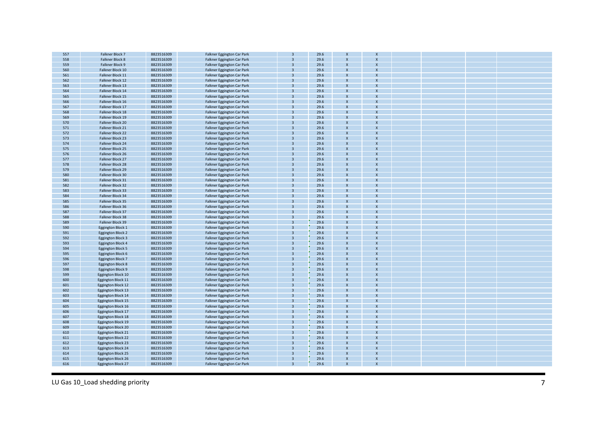| 557 | Falkner Block 7           | 8823516309 | Falkner Eggington Car Park        |                         | 29.6 | $\mathsf{x}$              |                           |  |  |
|-----|---------------------------|------------|-----------------------------------|-------------------------|------|---------------------------|---------------------------|--|--|
| 558 | Falkner Block 8           | 8823516309 | Falkner Eggington Car Park        | $\overline{3}$          | 29.6 | $\boldsymbol{\mathsf{x}}$ | $\overline{\mathsf{x}}$   |  |  |
| 559 | Falkner Block 9           | 8823516309 | Falkner Eggington Car Park        | $\overline{3}$          | 29.6 | $\boldsymbol{\mathsf{x}}$ | $\boldsymbol{\mathsf{X}}$ |  |  |
| 560 | Falkner Block 10          | 8823516309 | Falkner Eggington Car Park        |                         | 29.6 | $\mathbf{x}$              | $\overline{\mathsf{x}}$   |  |  |
|     |                           |            |                                   |                         |      |                           |                           |  |  |
| 561 | Falkner Block 11          | 8823516309 | Falkner Eggington Car Park        | 3                       | 29.6 | $\boldsymbol{\mathsf{x}}$ | $\mathsf{x}$              |  |  |
| 562 | Falkner Block 12          | 8823516309 | Falkner Eggington Car Park        | $\overline{a}$          | 29.6 | $\mathsf{x}$              | $\mathsf{x}$              |  |  |
| 563 | Falkner Block 13          | 8823516309 | Falkner Eggington Car Park        | $\overline{3}$          | 29.6 | $\mathbf{x}$              | $\mathsf{x}$              |  |  |
| 564 | Falkner Block 14          | 8823516309 | Falkner Eggington Car Park        | $\overline{a}$          | 29.6 | $\mathsf{x}$              | $\mathsf{x}$              |  |  |
| 565 | Falkner Block 15          | 8823516309 | Falkner Eggington Car Park        |                         | 29.6 | $\boldsymbol{\mathsf{x}}$ | $\boldsymbol{\mathsf{x}}$ |  |  |
| 566 | Falkner Block 16          | 8823516309 | Falkner Eggington Car Park        |                         | 29.6 | $\mathbf{x}$              | $\mathsf{x}$              |  |  |
| 567 | Falkner Block 17          | 8823516309 | Falkner Eggington Car Park        | $\overline{3}$          | 29.6 | $\boldsymbol{\mathsf{x}}$ | $\mathsf{x}$              |  |  |
| 568 | Falkner Block 18          | 8823516309 | Falkner Eggington Car Park        | $\overline{a}$          | 29.6 | $\mathbf{x}$              | $\mathsf{x}$              |  |  |
| 569 | Falkner Block 19          | 8823516309 |                                   | $\overline{3}$          | 29.6 | $\mathsf{x}$              | $\mathsf{x}$              |  |  |
|     |                           |            | Falkner Eggington Car Park        | $\overline{3}$          |      |                           |                           |  |  |
| 570 | Falkner Block 20          | 8823516309 | Falkner Eggington Car Park        |                         | 29.6 | $\boldsymbol{\mathsf{x}}$ | $\boldsymbol{\mathsf{x}}$ |  |  |
| 571 | Falkner Block 21          | 8823516309 | Falkner Eggington Car Park        | $\overline{3}$          | 29.6 | $\mathbf{x}$              | $\mathsf{x}$              |  |  |
| 572 | Falkner Block 22          | 8823516309 | Falkner Eggington Car Park        | $\overline{3}$          | 29.6 | $\boldsymbol{\mathsf{x}}$ | $\boldsymbol{\mathsf{X}}$ |  |  |
| 573 | Falkner Block 23          | 8823516309 | Falkner Eggington Car Park        |                         | 29.6 | $\mathbf{x}$              | $\boldsymbol{\mathsf{x}}$ |  |  |
| 574 | Falkner Block 24          | 8823516309 | Falkner Eggington Car Park        | $\overline{3}$          | 29.6 | $\mathsf{x}$              | $\boldsymbol{\mathsf{x}}$ |  |  |
| 575 | Falkner Block 25          | 8823516309 | Falkner Eggington Car Park        |                         | 29.6 | $\mathsf{x}$              | $\boldsymbol{\mathsf{x}}$ |  |  |
| 576 | Falkner Block 26          | 8823516309 | Falkner Eggington Car Park        | $\overline{a}$          | 29.6 | $\mathsf{x}$              | $\boldsymbol{\mathsf{x}}$ |  |  |
| 577 | Falkner Block 27          | 8823516309 | Falkner Eggington Car Park        | $\overline{3}$          | 29.6 | $\mathsf{x}$              | $\boldsymbol{\mathsf{x}}$ |  |  |
| 578 | Falkner Block 28          | 8823516309 | Falkner Eggington Car Park        | $\overline{3}$          | 29.6 | $\mathsf{x}$              | $\mathsf{x}$              |  |  |
| 579 | Falkner Block 29          | 8823516309 | Falkner Eggington Car Park        | $\overline{3}$          | 29.6 | $\mathsf{x}$              | $\mathsf{x}$              |  |  |
| 580 | Falkner Block 30          | 8823516309 | Falkner Eggington Car Park        | $\overline{3}$          | 29.6 | $\mathsf{x}$              | $\mathsf{x}$              |  |  |
| 581 |                           |            |                                   |                         |      |                           | $\boldsymbol{\mathsf{x}}$ |  |  |
|     | Falkner Block 31          | 8823516309 | Falkner Eggington Car Park        |                         | 29.6 |                           |                           |  |  |
| 582 | Falkner Block 32          | 8823516309 | Falkner Eggington Car Park        | $\overline{a}$          | 29.6 | $\mathbf{x}$              | $\mathbf{x}$              |  |  |
| 583 | Falkner Block 33          | 8823516309 | Falkner Eggington Car Park        |                         | 29.6 |                           | $\overline{\mathsf{x}}$   |  |  |
| 584 | Falkner Block 34          | 8823516309 | <b>Falkner Eggington Car Park</b> | $\mathbf{a}$            | 29.6 | $\mathsf{x}$              | $\boldsymbol{\mathsf{x}}$ |  |  |
| 585 | Falkner Block 35          | 8823516309 | Falkner Eggington Car Park        |                         | 29.6 | $\mathsf{x}$              | $\mathsf{x}$              |  |  |
| 586 | Falkner Block 36          | 8823516309 | Falkner Eggington Car Park        |                         | 29.6 |                           | $\mathsf{x}$              |  |  |
| 587 | Falkner Block 37          | 8823516309 | Falkner Eggington Car Park        | $\overline{3}$          | 29.6 | $\mathsf{x}$              | $\boldsymbol{\mathsf{x}}$ |  |  |
| 588 | Falkner Block 38          | 8823516309 | <b>Falkner Eggington Car Park</b> | $\overline{3}$          | 29.6 | $\boldsymbol{\mathsf{x}}$ | $\boldsymbol{\mathsf{x}}$ |  |  |
| 589 | Falkner Block 39          | 8823516309 | Falkner Eggington Car Park        | $\overline{3}$          | 29.6 | $\boldsymbol{\mathsf{x}}$ | $\boldsymbol{\mathsf{X}}$ |  |  |
| 590 | Eggington Block 1         | 8823516309 | Falkner Eggington Car Park        | $\overline{3}$          | 29.6 | $\mathbf{x}$              | $\mathsf{x}$              |  |  |
| 591 | Eggington Block 2         | 8823516309 | Falkner Eggington Car Park        | $\overline{3}$          | 29.6 | $\boldsymbol{\mathsf{x}}$ | $\overline{\mathsf{x}}$   |  |  |
| 592 | <b>Eggington Block 3</b>  | 8823516309 | Falkner Eggington Car Park        | $\overline{3}$          | 29.6 | $\boldsymbol{\mathsf{x}}$ | $\mathsf{x}$              |  |  |
| 593 |                           | 8823516309 |                                   | $\overline{3}$          | 29.6 | $\mathbf{x}$              | $\overline{\mathsf{x}}$   |  |  |
|     | Eggington Block 4         |            | Falkner Eggington Car Park        |                         |      |                           |                           |  |  |
| 594 | Eggington Block 5         | 8823516309 | Falkner Eggington Car Park        | $\overline{3}$          | 29.6 | $\boldsymbol{\mathsf{x}}$ | $\overline{\mathsf{x}}$   |  |  |
| 595 | Eggington Block 6         | 8823516309 | Falkner Eggington Car Park        | $\overline{3}$          | 29.6 | $\mathbf{x}$              | $\mathsf{x}$              |  |  |
| 596 | Eggington Block 7         | 8823516309 | Falkner Eggington Car Park        | $\overline{3}$          | 29.6 | $\mathsf{x}$              | $\overline{\mathsf{x}}$   |  |  |
| 597 | Eggington Block 8         | 8823516309 | Falkner Eggington Car Park        | $\overline{3}$          | 29.6 | $\mathbf{x}$              | $\mathsf{x}$              |  |  |
| 598 | Eggington Block 9         | 8823516309 | Falkner Eggington Car Park        | $\overline{3}$          | 29.6 |                           | $\boldsymbol{\mathsf{x}}$ |  |  |
| 599 | Eggington Block 10        | 8823516309 | Falkner Eggington Car Park        | $\overline{3}$          | 29.6 |                           | $\mathsf{x}$              |  |  |
| 600 | Eggington Block 11        | 8823516309 | Falkner Eggington Car Park        | $\overline{3}$          | 29.6 | $\boldsymbol{\mathsf{x}}$ | X                         |  |  |
| 601 | Eggington Block 12        | 8823516309 | Falkner Eggington Car Park        | $\overline{\mathbf{a}}$ | 29.6 | $\mathbf{x}$              | $\boldsymbol{\mathsf{x}}$ |  |  |
| 602 | Eggington Block 13        | 8823516309 | Falkner Eggington Car Park        | $\overline{3}$          | 29.6 | $\boldsymbol{\mathsf{x}}$ | $\mathsf{x}$              |  |  |
| 603 | Eggington Block 14        | 8823516309 | Falkner Eggington Car Park        | $\overline{3}$          | 29.6 |                           | $\overline{\mathsf{x}}$   |  |  |
| 604 | Eggington Block 15        | 8823516309 | Falkner Eggington Car Park        | $\overline{3}$          | 29.6 | $\boldsymbol{\mathsf{x}}$ | $\boldsymbol{\mathsf{x}}$ |  |  |
| 605 | Eggington Block 16        | 8823516309 | Falkner Eggington Car Park        | $\overline{3}$          | 29.6 | $\mathbf{x}$              | $\boldsymbol{\mathsf{x}}$ |  |  |
|     |                           |            |                                   | $\overline{3}$          |      | $\mathbf{x}$              | $\boldsymbol{\mathsf{x}}$ |  |  |
| 606 | Eggington Block 17        | 8823516309 | Falkner Eggington Car Park        |                         | 29.6 |                           |                           |  |  |
| 607 | Eggington Block 18        | 8823516309 | Falkner Eggington Car Park        | $\overline{\mathbf{z}}$ | 29.6 |                           | $\mathsf{x}$              |  |  |
| 608 | Eggington Block 19        | 8823516309 | Falkner Eggington Car Park        | $\overline{3}$          | 29.6 | $\mathsf{x}$              | $\boldsymbol{\mathsf{x}}$ |  |  |
| 609 | <b>Eggington Block 20</b> | 8823516309 | Falkner Eggington Car Park        | $\overline{3}$          | 29.6 | $\mathbf{x}$              | $\boldsymbol{\mathsf{x}}$ |  |  |
| 610 | Eggington Block 21        | 8823516309 | Falkner Eggington Car Park        | $\overline{3}$          | 29.6 | $\boldsymbol{\mathsf{x}}$ | $\boldsymbol{\mathsf{x}}$ |  |  |
| 611 | Eggington Block 22        | 8823516309 | Falkner Eggington Car Park        | $\overline{3}$          | 29.6 |                           | $\boldsymbol{\mathsf{x}}$ |  |  |
| 612 | Eggington Block 23        | 8823516309 | Falkner Eggington Car Park        | $\overline{3}$          | 29.6 | $\mathbf{x}$              | $\mathsf{x}$              |  |  |
| 613 | Eggington Block 24        | 8823516309 | Falkner Eggington Car Park        | $\overline{3}$          | 29.6 | $\mathsf{x}$              | $\boldsymbol{\mathsf{x}}$ |  |  |
| 614 | <b>Eggington Block 25</b> | 8823516309 | Falkner Eggington Car Park        | $\overline{3}$          | 29.6 | $\boldsymbol{\mathsf{x}}$ | $\boldsymbol{\mathsf{x}}$ |  |  |
| 615 | <b>Eggington Block 26</b> | 8823516309 | Falkner Eggington Car Park        | $\overline{\mathbf{z}}$ | 29.6 | $\mathsf{x}$              | $\boldsymbol{\mathsf{x}}$ |  |  |
| 616 | Eggington Block 27        | 8823516309 | Falkner Eggington Car Park        |                         | 29.6 | $\mathsf{x}$              |                           |  |  |
|     |                           |            |                                   |                         |      |                           |                           |  |  |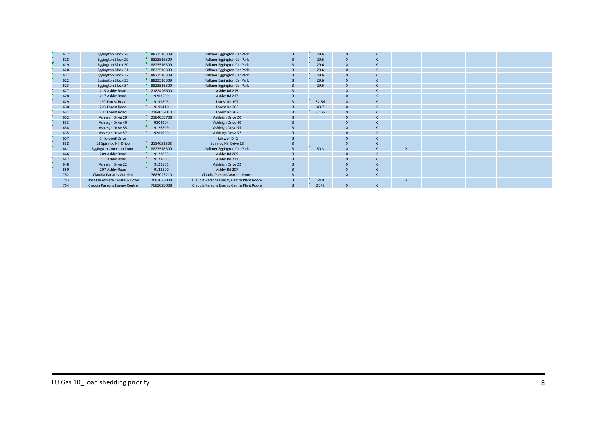| 617 | Eggington Block 28               | 8823516309 | Falkner Eggington Car Park               |                | 29.6  | X                       | $\boldsymbol{\mathsf{x}}$ |  |  |
|-----|----------------------------------|------------|------------------------------------------|----------------|-------|-------------------------|---------------------------|--|--|
| 618 | Eggington Block 29               | 8823516309 | Falkner Eggington Car Park               | $\overline{3}$ | 29.6  | X                       |                           |  |  |
| 619 | Eggington Block 30               | 8823516309 | Falkner Eggington Car Park               |                | 29.6  |                         |                           |  |  |
| 620 | Eggington Block 31               | 8823516309 | Falkner Eggington Car Park               |                | 29.6  | X                       |                           |  |  |
| 621 | Eggington Block 32               | 8823516309 | Falkner Eggington Car Park               |                | 29.6  |                         |                           |  |  |
| 622 | <b>Eggington Block 33</b>        | 8823516309 | Falkner Eggington Car Park               |                | 29.6  | X                       | $\boldsymbol{\mathsf{x}}$ |  |  |
| 623 | Eggington Block 34               | 8823516309 | Falkner Eggington Car Park               |                | 29.6  | $\overline{\mathsf{x}}$ |                           |  |  |
| 627 | 215 Ashby Road                   | 2182426600 | Ashby Rd 215                             |                |       |                         |                           |  |  |
| 628 | 217 Ashby Road                   | 9203509    | Ashby Rd 217                             |                |       | $\mathbf{x}$            |                           |  |  |
| 629 | 197 Forest Road                  | 9199803    | Forest Rd 197                            |                | 32.56 |                         |                           |  |  |
| 630 | 203 Forest Road                  | 9199410    | Forest Rd 203                            |                | 40.7  |                         |                           |  |  |
| 631 | 207 Forest Road                  | 2184057010 | Forest Rd 207                            |                | 37.65 |                         |                           |  |  |
| 632 | Ashleigh Drive 20                | 2184058708 | Ashleigh Drive 20                        |                |       |                         |                           |  |  |
| 633 | Ashleigh Drive 40                | 9204904    | Ashleigh Drive 40                        |                |       | X                       |                           |  |  |
| 634 | Ashleigh Drive 55                | 9126809    | Ashleigh Drive 55                        |                |       |                         |                           |  |  |
| 635 | Ashleigh Drive 57                | 9201909    | Ashleigh Drive 57                        |                |       | X                       |                           |  |  |
| 637 | 1 Holywell Drive                 |            | Holywell Dr 1                            |                |       |                         |                           |  |  |
| 638 | 13 Spinney Hill Drive            | 2184051503 | Spinney Hill Drive 13                    |                |       |                         |                           |  |  |
| 641 | Eggington Common Room            | 8823516309 | Falkner Eggington Car Park               |                | 80.3  |                         |                           |  |  |
| 646 | 209 Ashby Road                   | 9123803    | Ashby Rd 209                             |                |       | X                       | $\boldsymbol{\mathsf{x}}$ |  |  |
| 647 | 211 Ashby Road                   | 9123601    | Ashby Rd 211                             |                |       |                         |                           |  |  |
| 648 | Ashleigh Drive 22                | 9129501    | Ashleigh Drive 22                        |                |       |                         | X                         |  |  |
| 650 | 207 Ashby Road                   | 9123500    | Ashby Rd 207                             |                |       | $\mathsf{x}$            |                           |  |  |
| 752 | Claudia Parsons Warden           | 7683023210 | Claudia Parsons Warden House             |                |       |                         |                           |  |  |
| 753 | The Elite Athlete Centre & Hotel | 7683023008 | Claudia Parsons Energy Centre Plant Room |                | 64.9  |                         |                           |  |  |
| 754 | Claudia Parsons Energy Centre    | 7683023008 | Claudia Parsons Energy Centre Plant Room |                | 2679  | X                       | $\boldsymbol{\mathsf{x}}$ |  |  |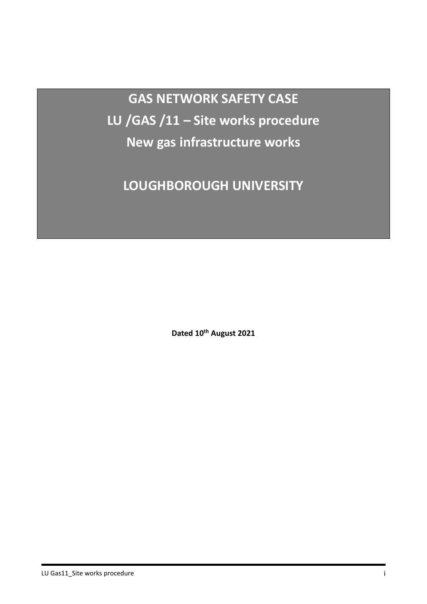**GAS NETWORK SAFETY CASE LU /GAS /11 – Site works procedure New gas infrastructure works**

**LOUGHBOROUGH UNIVERSITY**

**Dated 10th August 2021**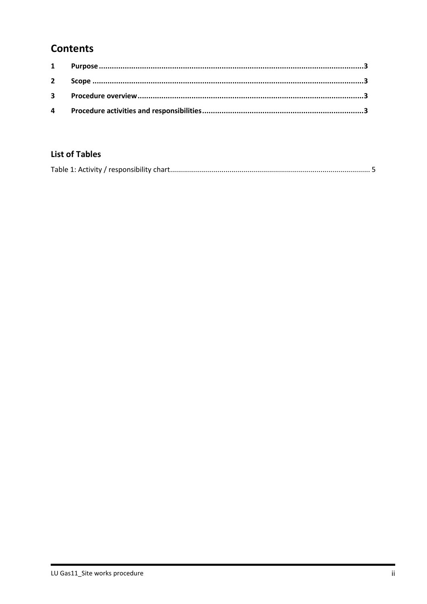# **Contents**

#### **List of Tables**

|--|--|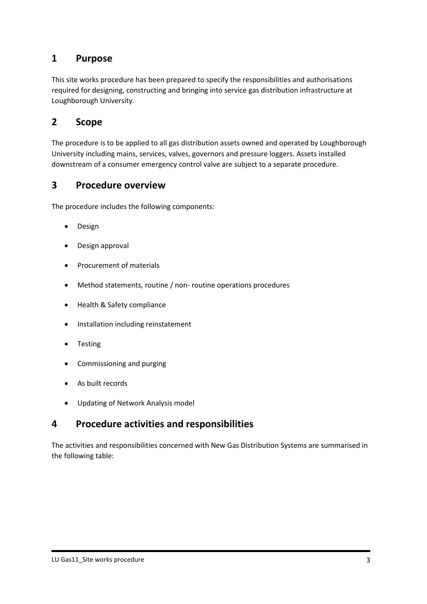#### <span id="page-68-0"></span>**1 Purpose**

This site works procedure has been prepared to specify the responsibilities and authorisations required for designing, constructing and bringing into service gas distribution infrastructure at Loughborough University.

#### <span id="page-68-1"></span>**2 Scope**

The procedure is to be applied to all gas distribution assets owned and operated by Loughborough University including mains, services, valves, governors and pressure loggers. Assets installed downstream of a consumer emergency control valve are subject to a separate procedure.

#### <span id="page-68-2"></span>**3 Procedure overview**

The procedure includes the following components:

- Design
- Design approval
- Procurement of materials
- Method statements, routine / non- routine operations procedures
- Health & Safety compliance
- Installation including reinstatement
- **Testing**
- Commissioning and purging
- As built records
- Updating of Network Analysis model

## <span id="page-68-3"></span>**4 Procedure activities and responsibilities**

The activities and responsibilities concerned with New Gas Distribution Systems are summarised in the following table: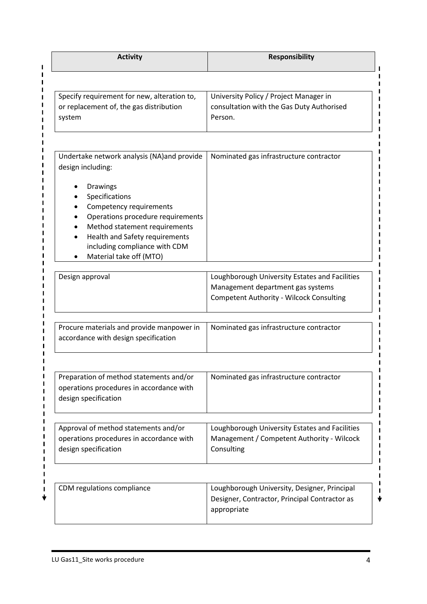| <b>Activity</b>                                                                                                                                                                                                           | <b>Responsibility</b>                                                                                                                  |
|---------------------------------------------------------------------------------------------------------------------------------------------------------------------------------------------------------------------------|----------------------------------------------------------------------------------------------------------------------------------------|
|                                                                                                                                                                                                                           |                                                                                                                                        |
| Specify requirement for new, alteration to,<br>or replacement of, the gas distribution<br>system                                                                                                                          | University Policy / Project Manager in<br>consultation with the Gas Duty Authorised<br>Person.                                         |
| Undertake network analysis (NA) and provide<br>design including:                                                                                                                                                          | Nominated gas infrastructure contractor                                                                                                |
| Drawings<br>Specifications<br>Competency requirements<br>Operations procedure requirements<br>Method statement requirements<br>Health and Safety requirements<br>including compliance with CDM<br>Material take off (MTO) |                                                                                                                                        |
| Design approval                                                                                                                                                                                                           | Loughborough University Estates and Facilities<br>Management department gas systems<br><b>Competent Authority - Wilcock Consulting</b> |
| Procure materials and provide manpower in<br>accordance with design specification                                                                                                                                         | Nominated gas infrastructure contractor                                                                                                |
|                                                                                                                                                                                                                           |                                                                                                                                        |
| Preparation of method statements and/or<br>operations procedures in accordance with<br>design specification                                                                                                               | Nominated gas infrastructure contractor                                                                                                |
| Approval of method statements and/or<br>operations procedures in accordance with<br>design specification                                                                                                                  | Loughborough University Estates and Facilities<br>Management / Competent Authority - Wilcock<br>Consulting                             |
| CDM regulations compliance                                                                                                                                                                                                | Loughborough University, Designer, Principal                                                                                           |
|                                                                                                                                                                                                                           | Designer, Contractor, Principal Contractor as<br>appropriate                                                                           |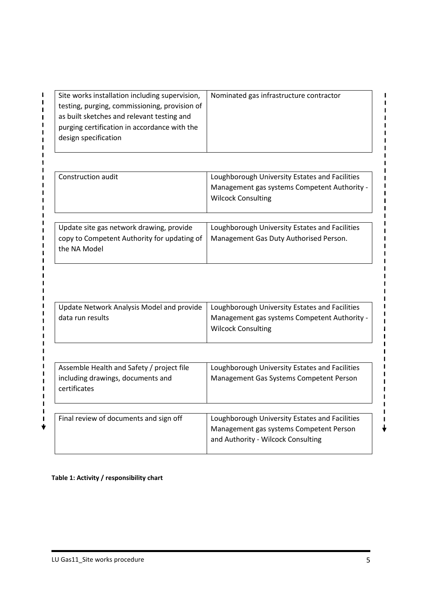| Site works installation including supervision, | Nominated gas infrastructure contractor |
|------------------------------------------------|-----------------------------------------|
| testing, purging, commissioning, provision of  |                                         |
| as built sketches and relevant testing and     |                                         |
| purging certification in accordance with the   |                                         |
| design specification                           |                                         |

| Construction audit                                                                                      | Loughborough University Estates and Facilities<br>Management gas systems Competent Authority -<br><b>Wilcock Consulting</b> |
|---------------------------------------------------------------------------------------------------------|-----------------------------------------------------------------------------------------------------------------------------|
| Update site gas network drawing, provide<br>copy to Competent Authority for updating of<br>the NA Model | Loughborough University Estates and Facilities<br>Management Gas Duty Authorised Person.                                    |

|                  | Update Network Analysis Model and provide   Loughborough University Estates and Facilities |
|------------------|--------------------------------------------------------------------------------------------|
| data run results | Management gas systems Competent Authority -                                               |
|                  | <b>Wilcock Consulting</b>                                                                  |
|                  |                                                                                            |

| Assemble Health and Safety / project file<br>including drawings, documents and<br>certificates | Loughborough University Estates and Facilities<br>Management Gas Systems Competent Person |
|------------------------------------------------------------------------------------------------|-------------------------------------------------------------------------------------------|
| Final review of documents and sign off                                                         | Loughborough University Estates and Facilities                                            |

#### <span id="page-70-0"></span>**Table 1: Activity / responsibility chart**

 $\mathbf I$ 

 $\mathbf{I}$ 

 $\mathbf{I}$ 

 $\mathbf{I}$ 

 $\mathbf{I}$ 

 $\mathbf{I}$ 

п

H

I

I

П

П

п Ï

 $\mathbf{I}$ 

 $\mathbf{I}$ 

 $\mathbf{I}$ 

 $\mathbf{I}$ 

I  $\mathbf{I}$ 

 $\blacksquare$  $\mathbf{I}$  $\blacksquare$  $\blacksquare$  $\mathbf{I}$ 

 $\mathbf I$ 

 $\mathbf I$ 

 $\mathbf{I}$ 

 $\mathbf{I}$ 

 $\mathbf I$ 

ı

 $\mathbf{I}$ 

 $\mathbf{I}$ 

 $\mathbf{I}$ 

 $\mathbf{I}$ 

 $\blacksquare$ 

 $\mathbf{I}$ 

 $\mathbf{I}$ 

 $\mathbf{I}$ 

п  $\blacksquare$ 

 $\mathbf{I}$ 

 $\mathbf{I}$  $\mathbf{I}$ 

 $\mathbf{I}$  $\mathbf{I}$ 

> $\mathbf{I}$  $\blacksquare$

 $\mathbf{I}$ 

 $\mathbf{I}$ 

 $\mathbf{I}$ 

 $\mathbf{I}$ 

п

п

 $\blacksquare$ 

 $\mathbf I$ 

 $\mathbf I$ 

 $\mathbf{I}$ 

 $\mathbf{I}$ 

 $\mathbf I$ 

 $\mathbf I$  $\mathbf{I}$  $\mathbf{I}$  $\mathbf{I}$  $\mathbf{I}$  $\blacksquare$  $\mathbf{I}$  $\mathbf I$  $\mathbf I$  $\mathbf{I}$ 

 $\overline{\mathbf{t}}$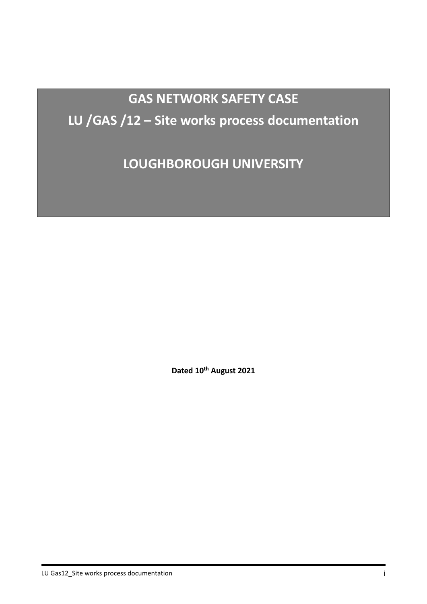# **GAS NETWORK SAFETY CASE LU /GAS /12 – Site works process documentation**

**LOUGHBOROUGH UNIVERSITY**

**Dated 10th August 2021**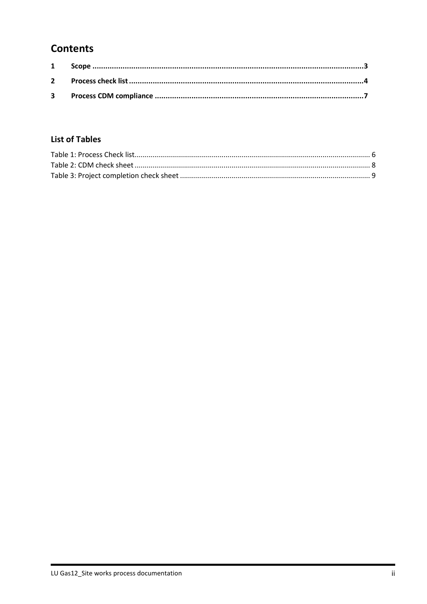## **Contents**

## **List of Tables**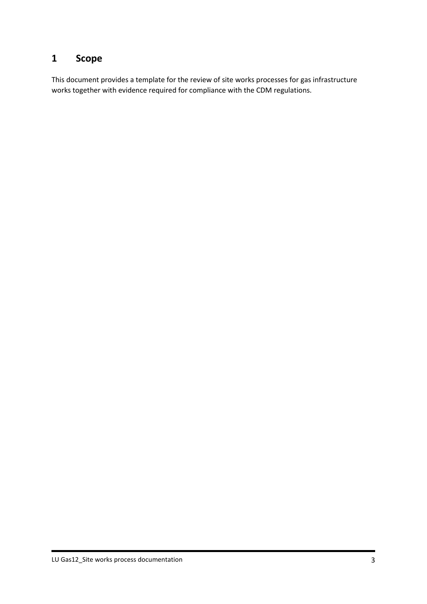## <span id="page-73-0"></span>**1 Scope**

This document provides a template for the review of site works processes for gas infrastructure works together with evidence required for compliance with the CDM regulations.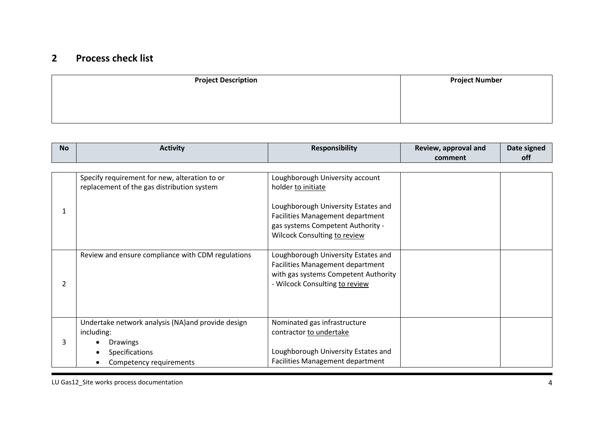## **2 Process check list**

| <b>Project Description</b> | <b>Project Number</b> |
|----------------------------|-----------------------|
|                            |                       |
|                            |                       |
|                            |                       |

<span id="page-74-0"></span>

| <b>No</b>     | <b>Activity</b>                                    | <b>Responsibility</b>                                                   | Review, approval and | Date signed |
|---------------|----------------------------------------------------|-------------------------------------------------------------------------|----------------------|-------------|
|               |                                                    |                                                                         | comment              | off         |
|               |                                                    |                                                                         |                      |             |
|               | Specify requirement for new, alteration to or      | Loughborough University account                                         |                      |             |
|               | replacement of the gas distribution system         | holder to initiate                                                      |                      |             |
|               |                                                    |                                                                         |                      |             |
|               |                                                    | Loughborough University Estates and                                     |                      |             |
|               |                                                    | Facilities Management department                                        |                      |             |
|               |                                                    | gas systems Competent Authority -                                       |                      |             |
|               |                                                    | Wilcock Consulting to review                                            |                      |             |
|               |                                                    |                                                                         |                      |             |
|               | Review and ensure compliance with CDM regulations  | Loughborough University Estates and<br>Facilities Management department |                      |             |
|               |                                                    | with gas systems Competent Authority                                    |                      |             |
| $\mathcal{P}$ |                                                    | - Wilcock Consulting to review                                          |                      |             |
|               |                                                    |                                                                         |                      |             |
|               |                                                    |                                                                         |                      |             |
|               |                                                    |                                                                         |                      |             |
| 3             | Undertake network analysis (NA) and provide design | Nominated gas infrastructure                                            |                      |             |
|               | including:                                         | contractor to undertake                                                 |                      |             |
|               | <b>Drawings</b>                                    |                                                                         |                      |             |
|               | <b>Specifications</b>                              | Loughborough University Estates and                                     |                      |             |
|               | Competency requirements                            | <b>Facilities Management department</b>                                 |                      |             |

LU Gas12\_Site works process documentation 4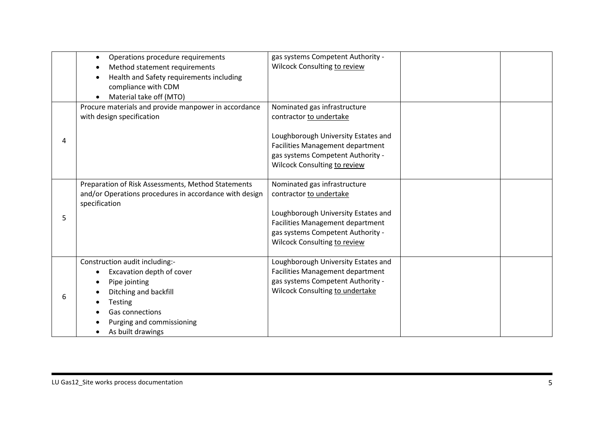|   | Operations procedure requirements<br>Method statement requirements<br>Health and Safety requirements including<br>compliance with CDM<br>Material take off (MTO)                             | gas systems Competent Authority -<br>Wilcock Consulting to review                                                                                                                                       |  |
|---|----------------------------------------------------------------------------------------------------------------------------------------------------------------------------------------------|---------------------------------------------------------------------------------------------------------------------------------------------------------------------------------------------------------|--|
| 4 | Procure materials and provide manpower in accordance<br>with design specification                                                                                                            | Nominated gas infrastructure<br>contractor to undertake<br>Loughborough University Estates and<br>Facilities Management department<br>gas systems Competent Authority -<br>Wilcock Consulting to review |  |
| 5 | Preparation of Risk Assessments, Method Statements<br>and/or Operations procedures in accordance with design<br>specification                                                                | Nominated gas infrastructure<br>contractor to undertake<br>Loughborough University Estates and<br>Facilities Management department<br>gas systems Competent Authority -<br>Wilcock Consulting to review |  |
| 6 | Construction audit including:-<br>Excavation depth of cover<br>Pipe jointing<br>Ditching and backfill<br><b>Testing</b><br>Gas connections<br>Purging and commissioning<br>As built drawings | Loughborough University Estates and<br><b>Facilities Management department</b><br>gas systems Competent Authority -<br>Wilcock Consulting to undertake                                                  |  |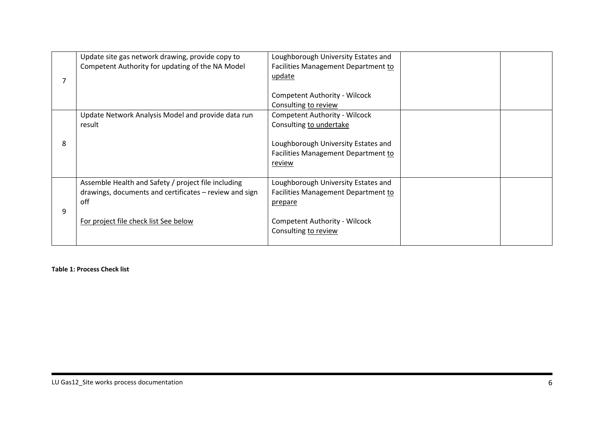|   | Update site gas network drawing, provide copy to<br>Competent Authority for updating of the NA Model                                                          | Loughborough University Estates and<br>Facilities Management Department to<br>update<br><b>Competent Authority - Wilcock</b>                                 |  |
|---|---------------------------------------------------------------------------------------------------------------------------------------------------------------|--------------------------------------------------------------------------------------------------------------------------------------------------------------|--|
|   |                                                                                                                                                               | Consulting to review                                                                                                                                         |  |
| 8 | Update Network Analysis Model and provide data run<br>result                                                                                                  | <b>Competent Authority - Wilcock</b><br>Consulting to undertake<br>Loughborough University Estates and<br>Facilities Management Department to<br>review      |  |
| 9 | Assemble Health and Safety / project file including<br>drawings, documents and certificates - review and sign<br>off<br>For project file check list See below | Loughborough University Estates and<br>Facilities Management Department to<br><u>prepare</u><br><b>Competent Authority - Wilcock</b><br>Consulting to review |  |

<span id="page-76-0"></span>**Table 1: Process Check list**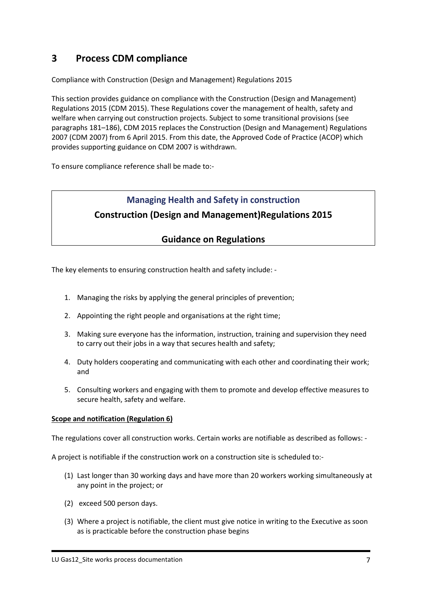## <span id="page-77-0"></span>**3 Process CDM compliance**

Compliance with Construction (Design and Management) Regulations 2015

This section provides guidance on compliance with the Construction (Design and Management) Regulations 2015 (CDM 2015). These Regulations cover the management of health, safety and welfare when carrying out construction projects. Subject to some transitional provisions (see paragraphs 181–186), CDM 2015 replaces the Construction (Design and Management) Regulations 2007 (CDM 2007) from 6 April 2015. From this date, the Approved Code of Practice (ACOP) which provides supporting guidance on CDM 2007 is withdrawn.

To ensure compliance reference shall be made to:-

## **Managing Health and Safety in construction Construction (Design and Management)Regulations 2015**

## **Guidance on Regulations**

The key elements to ensuring construction health and safety include: -

- 1. Managing the risks by applying the general principles of prevention;
- 2. Appointing the right people and organisations at the right time;
- 3. Making sure everyone has the information, instruction, training and supervision they need to carry out their jobs in a way that secures health and safety;
- 4. Duty holders cooperating and communicating with each other and coordinating their work; and
- 5. Consulting workers and engaging with them to promote and develop effective measures to secure health, safety and welfare.

#### **Scope and notification (Regulation 6)**

The regulations cover all construction works. Certain works are notifiable as described as follows: -

A project is notifiable if the construction work on a construction site is scheduled to:-

- (1) Last longer than 30 working days and have more than 20 workers working simultaneously at any point in the project; or
- (2) exceed 500 person days.
- (3) Where a project is notifiable, the client must give notice in writing to the Executive as soon as is practicable before the construction phase begins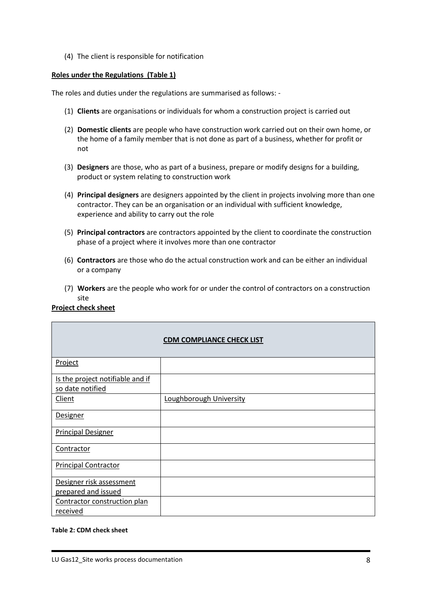(4) The client is responsible for notification

#### **Roles under the Regulations (Table 1)**

The roles and duties under the regulations are summarised as follows: -

- (1) **Clients** are organisations or individuals for whom a construction project is carried out
- (2) **Domestic clients** are people who have construction work carried out on their own home, or the home of a family member that is not done as part of a business, whether for profit or not
- (3) **Designers** are those, who as part of a business, prepare or modify designs for a building, product or system relating to construction work
- (4) **Principal designers** are designers appointed by the client in projects involving more than one contractor. They can be an organisation or an individual with sufficient knowledge, experience and ability to carry out the role
- (5) **Principal contractors** are contractors appointed by the client to coordinate the construction phase of a project where it involves more than one contractor
- (6) **Contractors** are those who do the actual construction work and can be either an individual or a company
- (7) **Workers** are the people who work for or under the control of contractors on a construction site

#### **Project check sheet**

|                                                      | <b>CDM COMPLIANCE CHECK LIST</b> |
|------------------------------------------------------|----------------------------------|
| Project                                              |                                  |
| Is the project notifiable and if<br>so date notified |                                  |
| Client                                               | Loughborough University          |
| <b>Designer</b>                                      |                                  |
| <b>Principal Designer</b>                            |                                  |
| Contractor                                           |                                  |
| <b>Principal Contractor</b>                          |                                  |
| Designer risk assessment<br>prepared and issued      |                                  |
| Contractor construction plan<br>received             |                                  |

#### <span id="page-78-0"></span>**Table 2: CDM check sheet**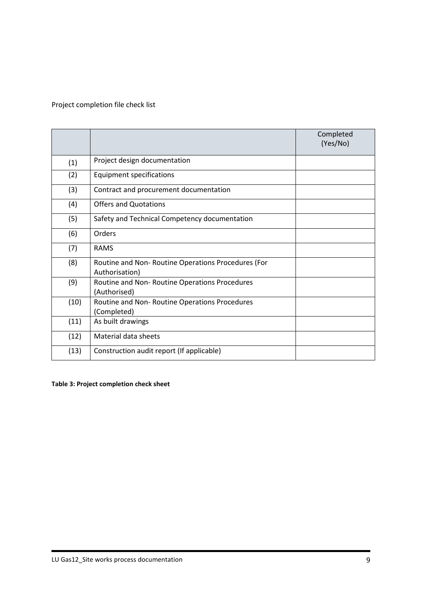## Project completion file check list

|      |                                                                      | Completed<br>(Yes/No) |
|------|----------------------------------------------------------------------|-----------------------|
| (1)  | Project design documentation                                         |                       |
| (2)  | <b>Equipment specifications</b>                                      |                       |
| (3)  | Contract and procurement documentation                               |                       |
| (4)  | <b>Offers and Quotations</b>                                         |                       |
| (5)  | Safety and Technical Competency documentation                        |                       |
| (6)  | Orders                                                               |                       |
| (7)  | <b>RAMS</b>                                                          |                       |
| (8)  | Routine and Non-Routine Operations Procedures (For<br>Authorisation) |                       |
| (9)  | Routine and Non-Routine Operations Procedures<br>(Authorised)        |                       |
| (10) | Routine and Non-Routine Operations Procedures<br>(Completed)         |                       |
| (11) | As built drawings                                                    |                       |
| (12) | Material data sheets                                                 |                       |
| (13) | Construction audit report (If applicable)                            |                       |
|      |                                                                      |                       |

<span id="page-79-0"></span>**Table 3: Project completion check sheet**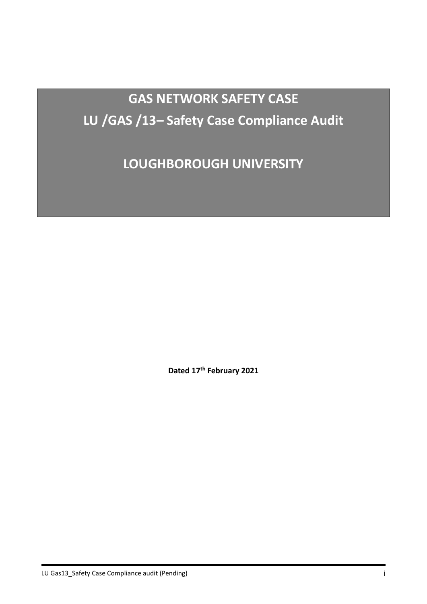**GAS NETWORK SAFETY CASE LU /GAS /13– Safety Case Compliance Audit**

**LOUGHBOROUGH UNIVERSITY**

**Dated 17th February 2021**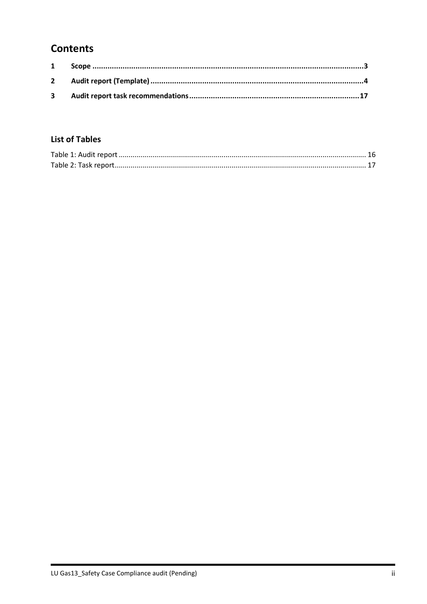## **Contents**

## **List of Tables**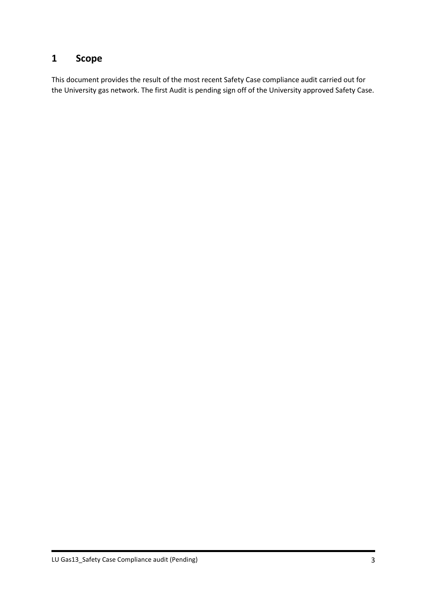## <span id="page-82-0"></span>**1 Scope**

This document provides the result of the most recent Safety Case compliance audit carried out for the University gas network. The first Audit is pending sign off of the University approved Safety Case.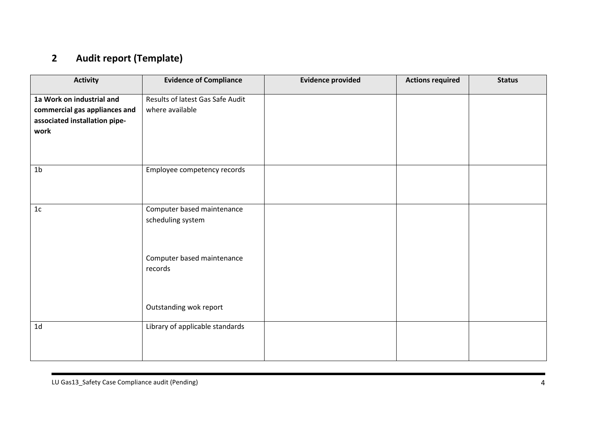# **2 Audit report (Template)**

<span id="page-83-0"></span>

| <b>Activity</b>                                                                                     | <b>Evidence of Compliance</b>                       | <b>Evidence provided</b> | <b>Actions required</b> | <b>Status</b> |
|-----------------------------------------------------------------------------------------------------|-----------------------------------------------------|--------------------------|-------------------------|---------------|
| 1a Work on industrial and<br>commercial gas appliances and<br>associated installation pipe-<br>work | Results of latest Gas Safe Audit<br>where available |                          |                         |               |
| 1 <sub>b</sub>                                                                                      | Employee competency records                         |                          |                         |               |
| 1 <sub>c</sub>                                                                                      | Computer based maintenance<br>scheduling system     |                          |                         |               |
|                                                                                                     | Computer based maintenance<br>records               |                          |                         |               |
|                                                                                                     | Outstanding wok report                              |                          |                         |               |
| 1 <sub>d</sub>                                                                                      | Library of applicable standards                     |                          |                         |               |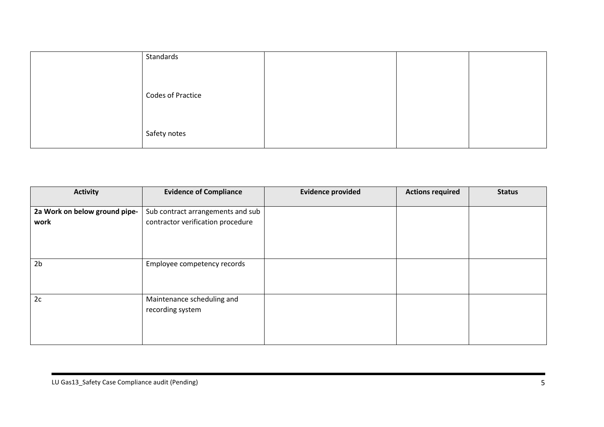| Standards                |  |  |
|--------------------------|--|--|
|                          |  |  |
|                          |  |  |
| <b>Codes of Practice</b> |  |  |
|                          |  |  |
|                          |  |  |
| Safety notes             |  |  |
|                          |  |  |

| <b>Activity</b>               | <b>Evidence of Compliance</b>     | <b>Evidence provided</b> | <b>Actions required</b> | <b>Status</b> |
|-------------------------------|-----------------------------------|--------------------------|-------------------------|---------------|
| 2a Work on below ground pipe- | Sub contract arrangements and sub |                          |                         |               |
| work                          | contractor verification procedure |                          |                         |               |
|                               |                                   |                          |                         |               |
|                               |                                   |                          |                         |               |
|                               |                                   |                          |                         |               |
| 2 <sub>b</sub>                | Employee competency records       |                          |                         |               |
|                               |                                   |                          |                         |               |
|                               |                                   |                          |                         |               |
| 2c                            | Maintenance scheduling and        |                          |                         |               |
|                               | recording system                  |                          |                         |               |
|                               |                                   |                          |                         |               |
|                               |                                   |                          |                         |               |
|                               |                                   |                          |                         |               |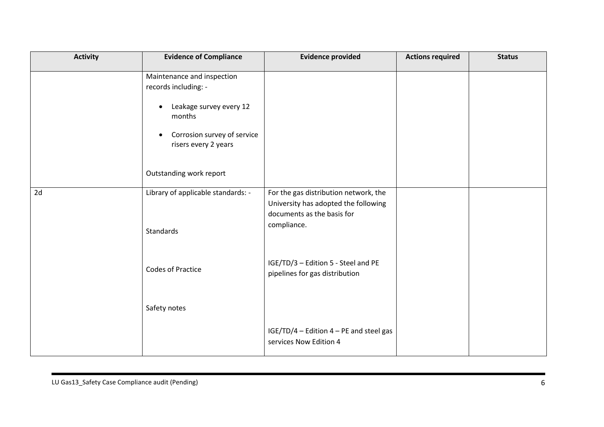| <b>Activity</b> | <b>Evidence of Compliance</b>                                                                                                                                                                       | <b>Evidence provided</b>                                                                                                   | <b>Actions required</b> | <b>Status</b> |
|-----------------|-----------------------------------------------------------------------------------------------------------------------------------------------------------------------------------------------------|----------------------------------------------------------------------------------------------------------------------------|-------------------------|---------------|
|                 | Maintenance and inspection<br>records including: -<br>Leakage survey every 12<br>$\bullet$<br>months<br>Corrosion survey of service<br>$\bullet$<br>risers every 2 years<br>Outstanding work report |                                                                                                                            |                         |               |
| 2d              | Library of applicable standards: -<br>Standards                                                                                                                                                     | For the gas distribution network, the<br>University has adopted the following<br>documents as the basis for<br>compliance. |                         |               |
|                 | <b>Codes of Practice</b>                                                                                                                                                                            | IGE/TD/3 - Edition 5 - Steel and PE<br>pipelines for gas distribution                                                      |                         |               |
|                 | Safety notes                                                                                                                                                                                        |                                                                                                                            |                         |               |
|                 |                                                                                                                                                                                                     | IGE/TD/4 - Edition 4 - PE and steel gas<br>services Now Edition 4                                                          |                         |               |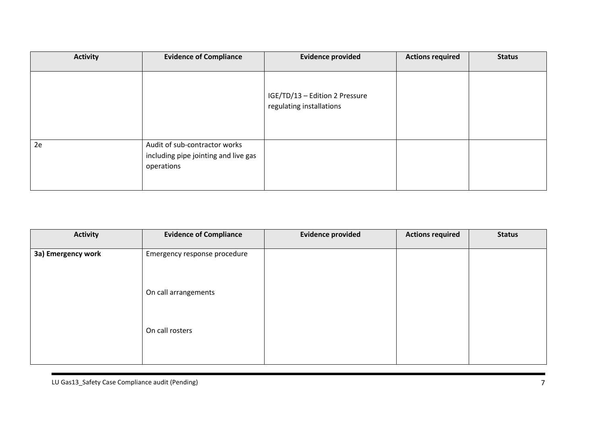| <b>Activity</b> | <b>Evidence of Compliance</b>                                                       | <b>Evidence provided</b>                                   | <b>Actions required</b> | <b>Status</b> |
|-----------------|-------------------------------------------------------------------------------------|------------------------------------------------------------|-------------------------|---------------|
|                 |                                                                                     | IGE/TD/13 - Edition 2 Pressure<br>regulating installations |                         |               |
| 2e              | Audit of sub-contractor works<br>including pipe jointing and live gas<br>operations |                                                            |                         |               |

| <b>Activity</b>    | <b>Evidence of Compliance</b> | <b>Evidence provided</b> | <b>Actions required</b> | <b>Status</b> |
|--------------------|-------------------------------|--------------------------|-------------------------|---------------|
| 3a) Emergency work | Emergency response procedure  |                          |                         |               |
|                    | On call arrangements          |                          |                         |               |
|                    | On call rosters               |                          |                         |               |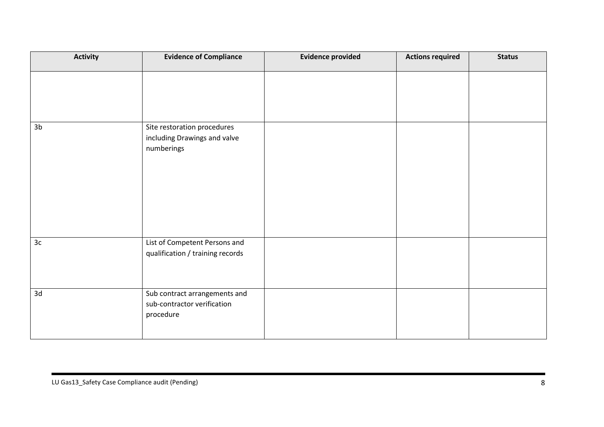| <b>Activity</b> | <b>Evidence of Compliance</b>                                             | <b>Evidence provided</b> | <b>Actions required</b> | <b>Status</b> |
|-----------------|---------------------------------------------------------------------------|--------------------------|-------------------------|---------------|
|                 |                                                                           |                          |                         |               |
| 3 <sub>b</sub>  | Site restoration procedures<br>including Drawings and valve<br>numberings |                          |                         |               |
| 3c              | List of Competent Persons and<br>qualification / training records         |                          |                         |               |
| 3d              | Sub contract arrangements and<br>sub-contractor verification<br>procedure |                          |                         |               |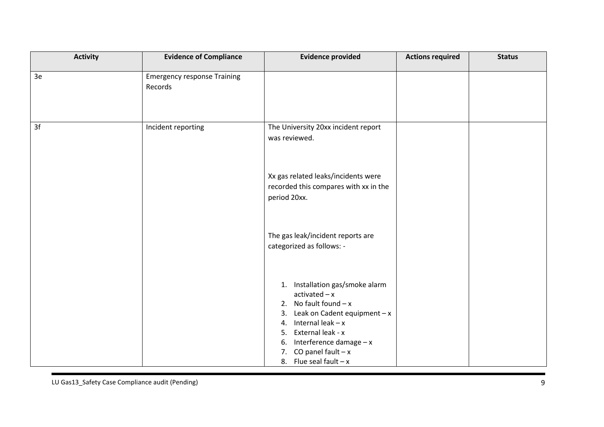| <b>Activity</b> | <b>Evidence of Compliance</b>                 | <b>Evidence provided</b>                                                                                                                         | <b>Actions required</b> | <b>Status</b> |
|-----------------|-----------------------------------------------|--------------------------------------------------------------------------------------------------------------------------------------------------|-------------------------|---------------|
| 3e              | <b>Emergency response Training</b><br>Records |                                                                                                                                                  |                         |               |
| 3f              | Incident reporting                            | The University 20xx incident report<br>was reviewed.                                                                                             |                         |               |
|                 |                                               | Xx gas related leaks/incidents were<br>recorded this compares with xx in the<br>period 20xx.                                                     |                         |               |
|                 |                                               | The gas leak/incident reports are<br>categorized as follows: -                                                                                   |                         |               |
|                 |                                               | 1. Installation gas/smoke alarm<br>$actual - x$<br>No fault found $-x$<br>2.<br>Leak on Cadent equipment $-x$<br>3.<br>Internal $leak - x$<br>4. |                         |               |
|                 |                                               | External leak - x<br>5.<br>Interference damage $-x$<br>6.<br>CO panel fault $-x$<br>7.<br>8. Flue seal fault $-x$                                |                         |               |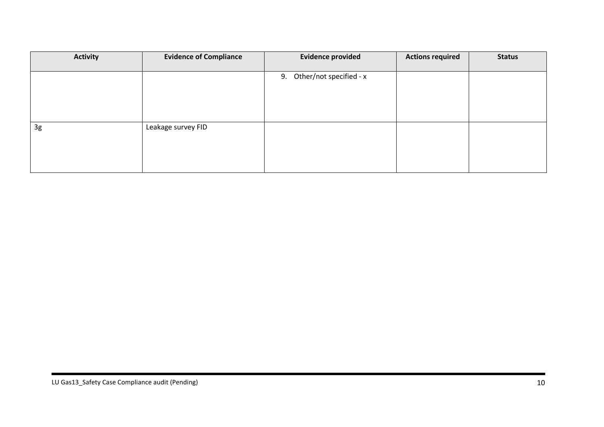| <b>Activity</b> | <b>Evidence of Compliance</b> | <b>Evidence provided</b>   | <b>Actions required</b> | <b>Status</b> |
|-----------------|-------------------------------|----------------------------|-------------------------|---------------|
|                 |                               |                            |                         |               |
|                 |                               | 9. Other/not specified - x |                         |               |
|                 |                               |                            |                         |               |
|                 |                               |                            |                         |               |
|                 |                               |                            |                         |               |
|                 |                               |                            |                         |               |
| 3g              | Leakage survey FID            |                            |                         |               |
|                 |                               |                            |                         |               |
|                 |                               |                            |                         |               |
|                 |                               |                            |                         |               |
|                 |                               |                            |                         |               |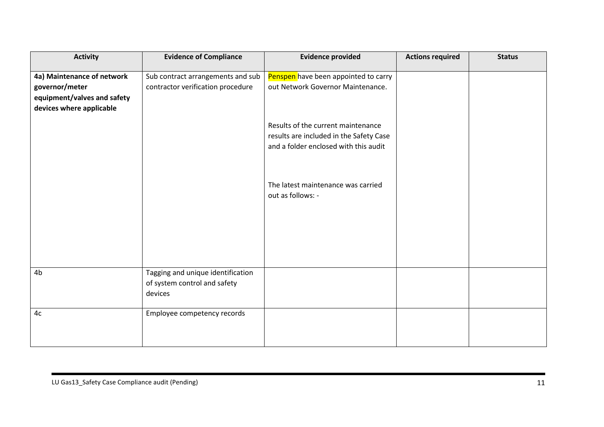| <b>Activity</b>                                                                                         | <b>Evidence of Compliance</b>                                                | <b>Evidence provided</b>                                                                                               | <b>Actions required</b> | <b>Status</b> |
|---------------------------------------------------------------------------------------------------------|------------------------------------------------------------------------------|------------------------------------------------------------------------------------------------------------------------|-------------------------|---------------|
| 4a) Maintenance of network<br>governor/meter<br>equipment/valves and safety<br>devices where applicable | Sub contract arrangements and sub<br>contractor verification procedure       | Penspen have been appointed to carry<br>out Network Governor Maintenance.                                              |                         |               |
|                                                                                                         |                                                                              | Results of the current maintenance<br>results are included in the Safety Case<br>and a folder enclosed with this audit |                         |               |
|                                                                                                         |                                                                              | The latest maintenance was carried<br>out as follows: -                                                                |                         |               |
|                                                                                                         |                                                                              |                                                                                                                        |                         |               |
| 4 <sub>b</sub>                                                                                          | Tagging and unique identification<br>of system control and safety<br>devices |                                                                                                                        |                         |               |
| 4c                                                                                                      | Employee competency records                                                  |                                                                                                                        |                         |               |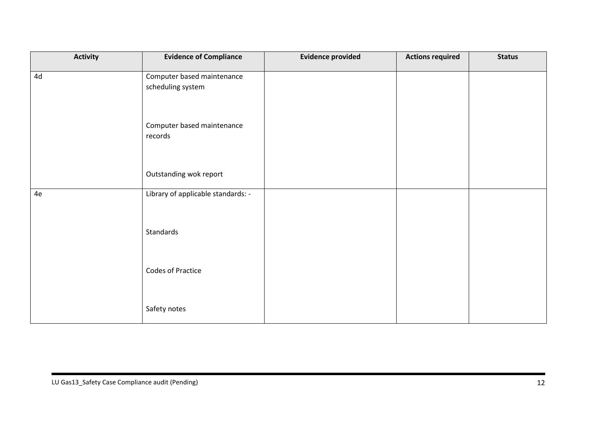| <b>Activity</b> | <b>Evidence of Compliance</b>      | <b>Evidence provided</b> | <b>Actions required</b> | <b>Status</b> |
|-----------------|------------------------------------|--------------------------|-------------------------|---------------|
| 4d              | Computer based maintenance         |                          |                         |               |
|                 | scheduling system                  |                          |                         |               |
|                 | Computer based maintenance         |                          |                         |               |
|                 | records                            |                          |                         |               |
|                 | Outstanding wok report             |                          |                         |               |
| 4e              | Library of applicable standards: - |                          |                         |               |
|                 |                                    |                          |                         |               |
|                 | Standards                          |                          |                         |               |
|                 | <b>Codes of Practice</b>           |                          |                         |               |
|                 |                                    |                          |                         |               |
|                 | Safety notes                       |                          |                         |               |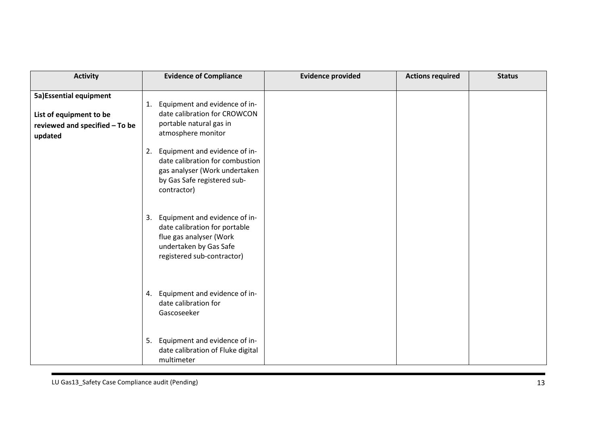| <b>Activity</b>                                                                                 | <b>Evidence of Compliance</b>                                                                                                                           | <b>Evidence provided</b> | <b>Actions required</b> | <b>Status</b> |
|-------------------------------------------------------------------------------------------------|---------------------------------------------------------------------------------------------------------------------------------------------------------|--------------------------|-------------------------|---------------|
| 5a) Essential equipment<br>List of equipment to be<br>reviewed and specified - To be<br>updated | Equipment and evidence of in-<br>1.<br>date calibration for CROWCON<br>portable natural gas in<br>atmosphere monitor                                    |                          |                         |               |
|                                                                                                 | Equipment and evidence of in-<br>2.<br>date calibration for combustion<br>gas analyser (Work undertaken<br>by Gas Safe registered sub-<br>contractor)   |                          |                         |               |
|                                                                                                 | Equipment and evidence of in-<br>3.<br>date calibration for portable<br>flue gas analyser (Work<br>undertaken by Gas Safe<br>registered sub-contractor) |                          |                         |               |
|                                                                                                 | 4. Equipment and evidence of in-<br>date calibration for<br>Gascoseeker                                                                                 |                          |                         |               |
|                                                                                                 | Equipment and evidence of in-<br>5.<br>date calibration of Fluke digital<br>multimeter                                                                  |                          |                         |               |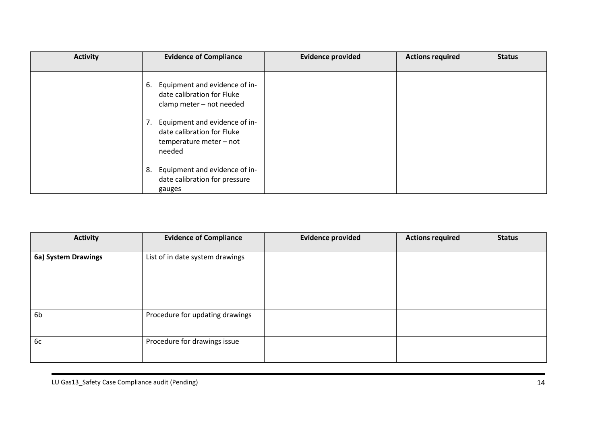| <b>Activity</b> | <b>Evidence of Compliance</b>                                                                                                                                                                           | <b>Evidence provided</b> | <b>Actions required</b> | <b>Status</b> |
|-----------------|---------------------------------------------------------------------------------------------------------------------------------------------------------------------------------------------------------|--------------------------|-------------------------|---------------|
|                 | Equipment and evidence of in-<br>6.<br>date calibration for Fluke<br>clamp meter - not needed<br>Equipment and evidence of in-<br>7.<br>date calibration for Fluke<br>temperature meter - not<br>needed |                          |                         |               |
|                 | Equipment and evidence of in-<br>8.<br>date calibration for pressure<br>gauges                                                                                                                          |                          |                         |               |

| <b>Activity</b>     | <b>Evidence of Compliance</b>   | <b>Evidence provided</b> | <b>Actions required</b> | <b>Status</b> |
|---------------------|---------------------------------|--------------------------|-------------------------|---------------|
| 6a) System Drawings | List of in date system drawings |                          |                         |               |
| 6 <sub>b</sub>      | Procedure for updating drawings |                          |                         |               |
| 6c                  | Procedure for drawings issue    |                          |                         |               |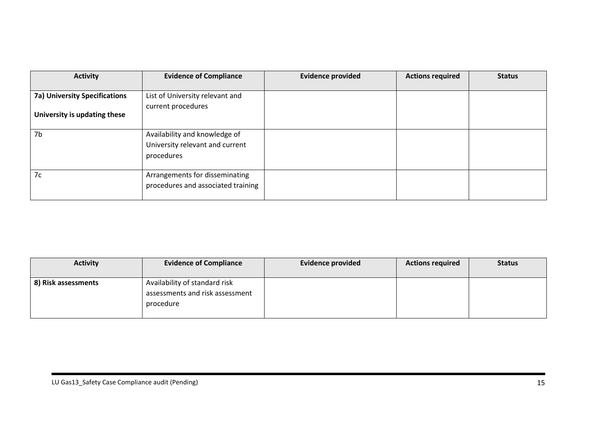| <b>Activity</b>                                                      | <b>Evidence of Compliance</b>                                                  | <b>Evidence provided</b> | <b>Actions required</b> | <b>Status</b> |
|----------------------------------------------------------------------|--------------------------------------------------------------------------------|--------------------------|-------------------------|---------------|
| <b>7a) University Specifications</b><br>University is updating these | List of University relevant and<br>current procedures                          |                          |                         |               |
| 7b                                                                   | Availability and knowledge of<br>University relevant and current<br>procedures |                          |                         |               |
| 7c                                                                   | Arrangements for disseminating<br>procedures and associated training           |                          |                         |               |

| <b>Activity</b>     | <b>Evidence of Compliance</b>                                                 | <b>Evidence provided</b> | <b>Actions required</b> | <b>Status</b> |
|---------------------|-------------------------------------------------------------------------------|--------------------------|-------------------------|---------------|
| 8) Risk assessments | Availability of standard risk<br>assessments and risk assessment<br>procedure |                          |                         |               |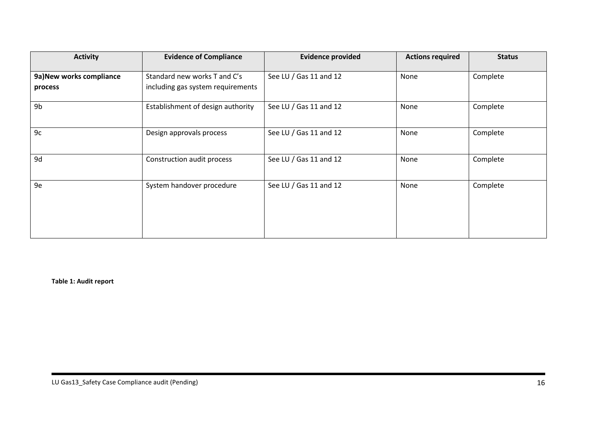| <b>Activity</b>                     | <b>Evidence of Compliance</b>                                     | <b>Evidence provided</b> | <b>Actions required</b> | <b>Status</b> |
|-------------------------------------|-------------------------------------------------------------------|--------------------------|-------------------------|---------------|
| 9a) New works compliance<br>process | Standard new works T and C's<br>including gas system requirements | See LU / Gas 11 and 12   | None                    | Complete      |
| 9b                                  | Establishment of design authority                                 | See LU / Gas 11 and 12   | None                    | Complete      |
| 9c                                  | Design approvals process                                          | See LU / Gas 11 and 12   | None                    | Complete      |
| 9d                                  | Construction audit process                                        | See LU / Gas 11 and 12   | None                    | Complete      |
| 9e                                  | System handover procedure                                         | See LU / Gas 11 and 12   | None                    | Complete      |

<span id="page-95-0"></span>**Table 1: Audit report**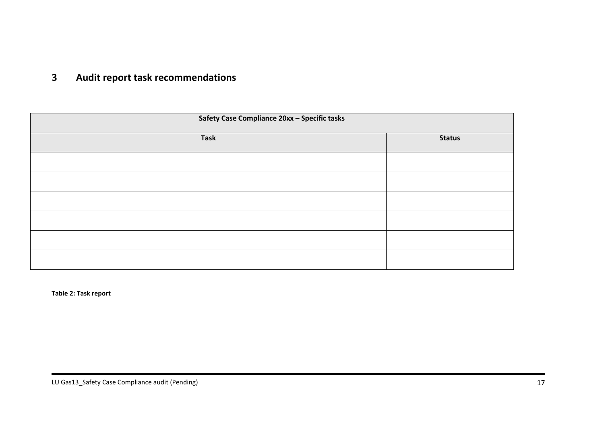## **3 Audit report task recommendations**

| Safety Case Compliance 20xx - Specific tasks |               |  |
|----------------------------------------------|---------------|--|
| <b>Task</b>                                  | <b>Status</b> |  |
|                                              |               |  |
|                                              |               |  |
|                                              |               |  |
|                                              |               |  |
|                                              |               |  |
|                                              |               |  |

<span id="page-96-1"></span><span id="page-96-0"></span>**Table 2: Task report**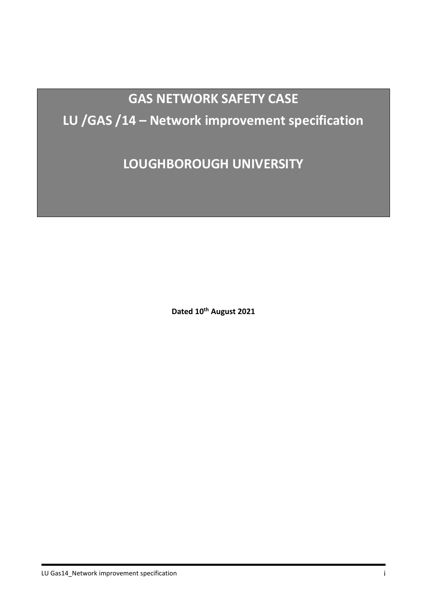# **GAS NETWORK SAFETY CASE LU /GAS /14 – Network improvement specification**

**LOUGHBOROUGH UNIVERSITY**

**Dated 10th August 2021**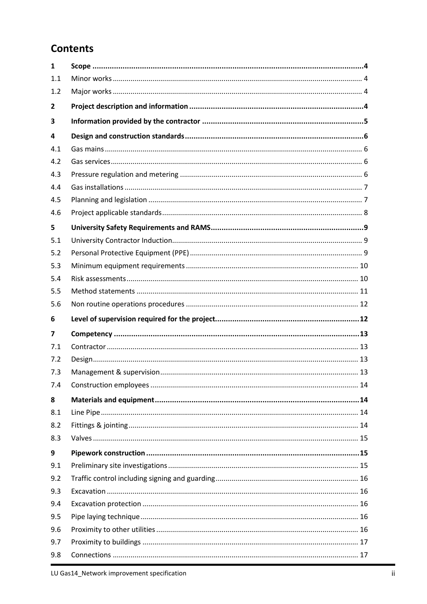## **Contents**

| $\mathbf{1}$   |  |
|----------------|--|
| 1.1            |  |
| 1.2            |  |
| $\overline{2}$ |  |
| 3              |  |
| 4              |  |
| 4.1            |  |
| 4.2            |  |
| 4.3            |  |
| 4.4            |  |
| 4.5            |  |
| 4.6            |  |
| 5              |  |
| 5.1            |  |
| 5.2            |  |
| 5.3            |  |
| 5.4            |  |
| 5.5            |  |
| 5.6            |  |
|                |  |
| 6              |  |
| 7              |  |
| 7.1            |  |
| 7.2            |  |
| 7.3            |  |
| 7.4            |  |
| 8              |  |
| 8.1            |  |
| 8.2            |  |
| 8.3            |  |
| 9              |  |
| 9.1            |  |
| 9.2            |  |
| 9.3            |  |
| 9.4            |  |
| 9.5            |  |
| 9.6            |  |
| 9.7            |  |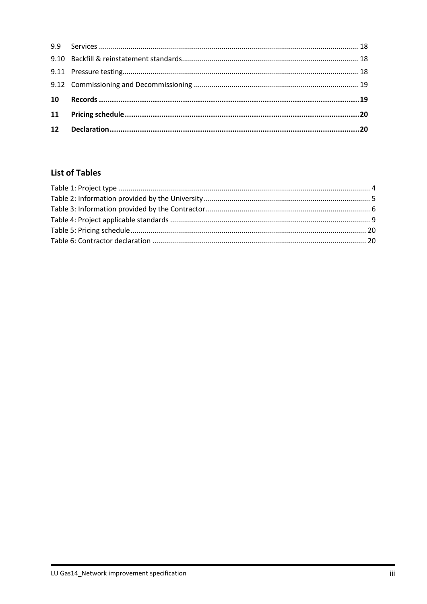## **List of Tables**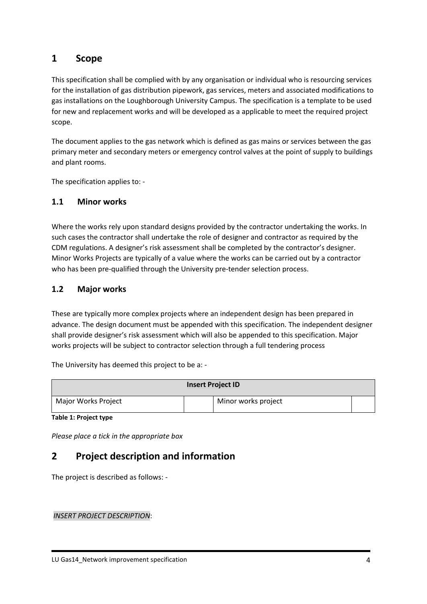### <span id="page-100-0"></span>**1 Scope**

This specification shall be complied with by any organisation or individual who is resourcing services for the installation of gas distribution pipework, gas services, meters and associated modifications to gas installations on the Loughborough University Campus. The specification is a template to be used for new and replacement works and will be developed as a applicable to meet the required project scope.

The document applies to the gas network which is defined as gas mains or services between the gas primary meter and secondary meters or emergency control valves at the point of supply to buildings and plant rooms.

The specification applies to: -

#### <span id="page-100-1"></span>**1.1 Minor works**

Where the works rely upon standard designs provided by the contractor undertaking the works. In such cases the contractor shall undertake the role of designer and contractor as required by the CDM regulations. A designer's risk assessment shall be completed by the contractor's designer. Minor Works Projects are typically of a value where the works can be carried out by a contractor who has been pre-qualified through the University pre-tender selection process.

#### <span id="page-100-2"></span>**1.2 Major works**

These are typically more complex projects where an independent design has been prepared in advance. The design document must be appended with this specification. The independent designer shall provide designer's risk assessment which will also be appended to this specification. Major works projects will be subject to contractor selection through a full tendering process

The University has deemed this project to be a: -

|                     | <b>Insert Project ID</b> |  |
|---------------------|--------------------------|--|
| Major Works Project | Minor works project      |  |

<span id="page-100-4"></span>**Table 1: Project type**

<span id="page-100-3"></span>*Please place a tick in the appropriate box*

## **2 Project description and information**

The project is described as follows: -

*INSERT PROJECT DESCRIPTION*: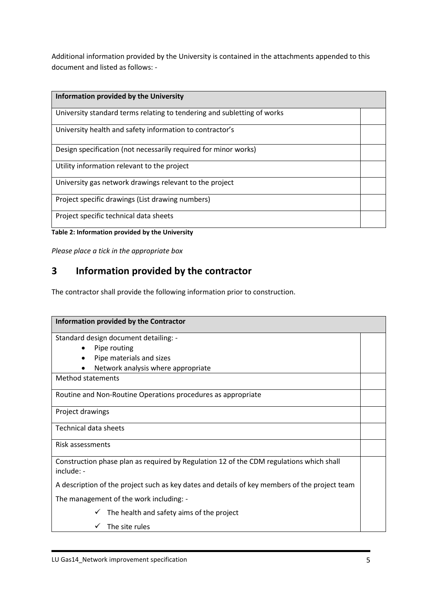Additional information provided by the University is contained in the attachments appended to this document and listed as follows: -

| Information provided by the University                                  |  |
|-------------------------------------------------------------------------|--|
| University standard terms relating to tendering and subletting of works |  |
| University health and safety information to contractor's                |  |
| Design specification (not necessarily required for minor works)         |  |
| Utility information relevant to the project                             |  |
| University gas network drawings relevant to the project                 |  |
| Project specific drawings (List drawing numbers)                        |  |
| Project specific technical data sheets                                  |  |

<span id="page-101-1"></span>**Table 2: Information provided by the University**

<span id="page-101-0"></span>*Please place a tick in the appropriate box*

## **3 Information provided by the contractor**

The contractor shall provide the following information prior to construction.

| Information provided by the Contractor                                                                |  |
|-------------------------------------------------------------------------------------------------------|--|
| Standard design document detailing: -                                                                 |  |
| Pipe routing                                                                                          |  |
| Pipe materials and sizes<br>$\bullet$                                                                 |  |
| Network analysis where appropriate                                                                    |  |
| <b>Method statements</b>                                                                              |  |
| Routine and Non-Routine Operations procedures as appropriate                                          |  |
| Project drawings                                                                                      |  |
| Technical data sheets                                                                                 |  |
| Risk assessments                                                                                      |  |
| Construction phase plan as required by Regulation 12 of the CDM regulations which shall<br>include: - |  |
| A description of the project such as key dates and details of key members of the project team         |  |
| The management of the work including: -                                                               |  |
| The health and safety aims of the project                                                             |  |
| The site rules                                                                                        |  |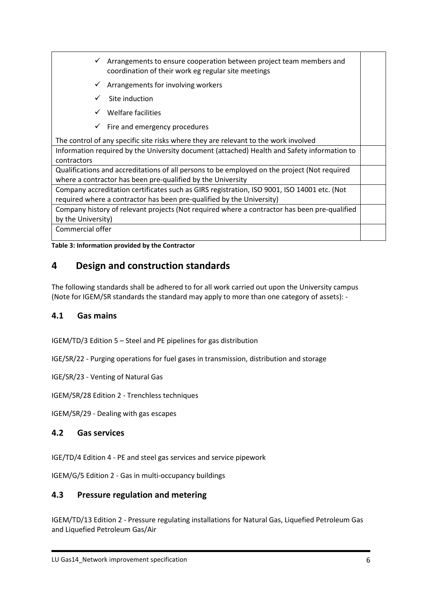- $\checkmark$  Arrangements to ensure cooperation between project team members and coordination of their work eg regular site meetings
- $\checkmark$  Arrangements for involving workers
- $\checkmark$  Site induction
- $\checkmark$  Welfare facilities
- $\checkmark$  Fire and emergency procedures

The control of any specific site risks where they are relevant to the work involved

Information required by the University document (attached) Health and Safety information to contractors

Qualifications and accreditations of all persons to be employed on the project (Not required where a contractor has been pre-qualified by the University

Company accreditation certificates such as GIRS registration, ISO 9001, ISO 14001 etc. (Not required where a contractor has been pre-qualified by the University)

Company history of relevant projects (Not required where a contractor has been pre-qualified by the University)

Commercial offer

<span id="page-102-4"></span>**Table 3: Information provided by the Contractor**

## <span id="page-102-0"></span>**4 Design and construction standards**

The following standards shall be adhered to for all work carried out upon the University campus (Note for IGEM/SR standards the standard may apply to more than one category of assets): -

#### <span id="page-102-1"></span>**4.1 Gas mains**

IGEM/TD/3 Edition 5 – Steel and PE pipelines for gas distribution

IGE/SR/22 - Purging operations for fuel gases in transmission, distribution and storage

IGE/SR/23 - Venting of Natural Gas

IGEM/SR/28 Edition 2 - Trenchless techniques

<span id="page-102-2"></span>IGEM/SR/29 - Dealing with gas escapes

#### **4.2 Gas services**

IGE/TD/4 Edition 4 - PE and steel gas services and service pipework

<span id="page-102-3"></span>IGEM/G/5 Edition 2 - Gas in multi-occupancy buildings

#### **4.3 Pressure regulation and metering**

IGEM/TD/13 Edition 2 - Pressure regulating installations for Natural Gas, Liquefied Petroleum Gas and Liquefied Petroleum Gas/Air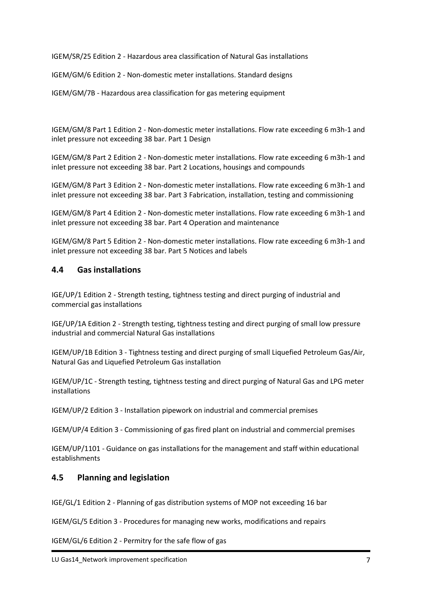IGEM/SR/25 Edition 2 - Hazardous area classification of Natural Gas installations

IGEM/GM/6 Edition 2 - Non-domestic meter installations. Standard designs

IGEM/GM/7B - Hazardous area classification for gas metering equipment

IGEM/GM/8 Part 1 Edition 2 - Non-domestic meter installations. Flow rate exceeding 6 m3h-1 and inlet pressure not exceeding 38 bar. Part 1 Design

IGEM/GM/8 Part 2 Edition 2 - Non-domestic meter installations. Flow rate exceeding 6 m3h-1 and inlet pressure not exceeding 38 bar. Part 2 Locations, housings and compounds

IGEM/GM/8 Part 3 Edition 2 - Non-domestic meter installations. Flow rate exceeding 6 m3h-1 and inlet pressure not exceeding 38 bar. Part 3 Fabrication, installation, testing and commissioning

IGEM/GM/8 Part 4 Edition 2 - Non-domestic meter installations. Flow rate exceeding 6 m3h-1 and inlet pressure not exceeding 38 bar. Part 4 Operation and maintenance

IGEM/GM/8 Part 5 Edition 2 - Non-domestic meter installations. Flow rate exceeding 6 m3h-1 and inlet pressure not exceeding 38 bar. Part 5 Notices and labels

#### <span id="page-103-0"></span>**4.4 Gas installations**

IGE/UP/1 Edition 2 - Strength testing, tightness testing and direct purging of industrial and commercial gas installations

IGE/UP/1A Edition 2 - Strength testing, tightness testing and direct purging of small low pressure industrial and commercial Natural Gas installations

IGEM/UP/1B Edition 3 - Tightness testing and direct purging of small Liquefied Petroleum Gas/Air, Natural Gas and Liquefied Petroleum Gas installation

IGEM/UP/1C - Strength testing, tightness testing and direct purging of Natural Gas and LPG meter installations

IGEM/UP/2 Edition 3 - Installation pipework on industrial and commercial premises

IGEM/UP/4 Edition 3 - Commissioning of gas fired plant on industrial and commercial premises

IGEM/UP/1101 - Guidance on gas installations for the management and staff within educational establishments

#### <span id="page-103-1"></span>**4.5 Planning and legislation**

IGE/GL/1 Edition 2 - Planning of gas distribution systems of MOP not exceeding 16 bar

IGEM/GL/5 Edition 3 - Procedures for managing new works, modifications and repairs

IGEM/GL/6 Edition 2 - Permitry for the safe flow of gas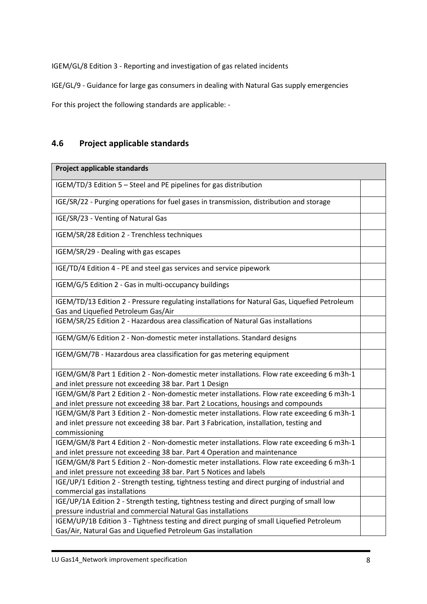IGEM/GL/8 Edition 3 - Reporting and investigation of gas related incidents

IGE/GL/9 - Guidance for large gas consumers in dealing with Natural Gas supply emergencies

For this project the following standards are applicable: -

#### <span id="page-104-0"></span>**4.6 Project applicable standards**

#### **Project applicable standards**

IGEM/TD/3 Edition 5 – Steel and PE pipelines for gas distribution

IGE/SR/22 - Purging operations for fuel gases in transmission, distribution and storage

IGE/SR/23 - Venting of Natural Gas

IGEM/SR/28 Edition 2 - Trenchless techniques

IGEM/SR/29 - Dealing with gas escapes

IGE/TD/4 Edition 4 - PE and steel gas services and service pipework

IGEM/G/5 Edition 2 - Gas in multi-occupancy buildings

IGEM/TD/13 Edition 2 - Pressure regulating installations for Natural Gas, Liquefied Petroleum Gas and Liquefied Petroleum Gas/Air

IGEM/SR/25 Edition 2 - Hazardous area classification of Natural Gas installations

IGEM/GM/6 Edition 2 - Non-domestic meter installations. Standard designs

IGEM/GM/7B - Hazardous area classification for gas metering equipment

IGEM/GM/8 Part 1 Edition 2 - Non-domestic meter installations. Flow rate exceeding 6 m3h-1 and inlet pressure not exceeding 38 bar. Part 1 Design

IGEM/GM/8 Part 2 Edition 2 - Non-domestic meter installations. Flow rate exceeding 6 m3h-1 and inlet pressure not exceeding 38 bar. Part 2 Locations, housings and compounds

IGEM/GM/8 Part 3 Edition 2 - Non-domestic meter installations. Flow rate exceeding 6 m3h-1 and inlet pressure not exceeding 38 bar. Part 3 Fabrication, installation, testing and commissioning

IGEM/GM/8 Part 4 Edition 2 - Non-domestic meter installations. Flow rate exceeding 6 m3h-1 and inlet pressure not exceeding 38 bar. Part 4 Operation and maintenance

IGEM/GM/8 Part 5 Edition 2 - Non-domestic meter installations. Flow rate exceeding 6 m3h-1 and inlet pressure not exceeding 38 bar. Part 5 Notices and labels

IGE/UP/1 Edition 2 - Strength testing, tightness testing and direct purging of industrial and commercial gas installations

IGE/UP/1A Edition 2 - Strength testing, tightness testing and direct purging of small low pressure industrial and commercial Natural Gas installations

IGEM/UP/1B Edition 3 - Tightness testing and direct purging of small Liquefied Petroleum Gas/Air, Natural Gas and Liquefied Petroleum Gas installation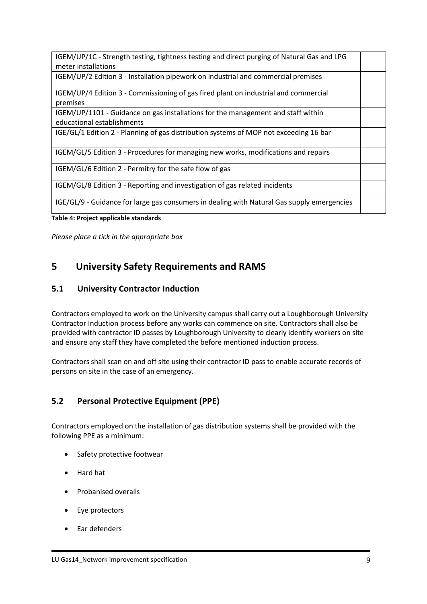| IGEM/UP/1C - Strength testing, tightness testing and direct purging of Natural Gas and LPG      |  |
|-------------------------------------------------------------------------------------------------|--|
| meter installations                                                                             |  |
| IGEM/UP/2 Edition 3 - Installation pipework on industrial and commercial premises               |  |
| IGEM/UP/4 Edition 3 - Commissioning of gas fired plant on industrial and commercial<br>premises |  |
| IGEM/UP/1101 - Guidance on gas installations for the management and staff within                |  |
| educational establishments                                                                      |  |
| IGE/GL/1 Edition 2 - Planning of gas distribution systems of MOP not exceeding 16 bar           |  |
| IGEM/GL/5 Edition 3 - Procedures for managing new works, modifications and repairs              |  |
| IGEM/GL/6 Edition 2 - Permitry for the safe flow of gas                                         |  |
| IGEM/GL/8 Edition 3 - Reporting and investigation of gas related incidents                      |  |
| IGE/GL/9 - Guidance for large gas consumers in dealing with Natural Gas supply emergencies      |  |
|                                                                                                 |  |

<span id="page-105-3"></span>**Table 4: Project applicable standards**

*Please place a tick in the appropriate box*

## <span id="page-105-0"></span>**5 University Safety Requirements and RAMS**

#### <span id="page-105-1"></span>**5.1 University Contractor Induction**

Contractors employed to work on the University campus shall carry out a Loughborough University Contractor Induction process before any works can commence on site. Contractors shall also be provided with contractor ID passes by Loughborough University to clearly identify workers on site and ensure any staff they have completed the before mentioned induction process.

Contractors shall scan on and off site using their contractor ID pass to enable accurate records of persons on site in the case of an emergency.

#### <span id="page-105-2"></span>**5.2 Personal Protective Equipment (PPE)**

Contractors employed on the installation of gas distribution systems shall be provided with the following PPE as a minimum:

- Safety protective footwear
- Hard hat
- Probanised overalls
- Eye protectors
- Ear defenders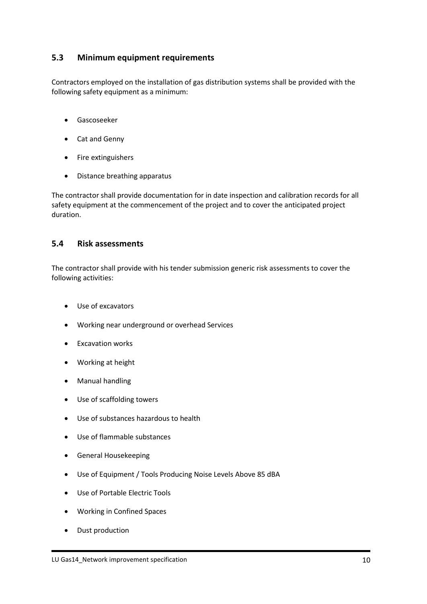#### <span id="page-106-0"></span>**5.3 Minimum equipment requirements**

Contractors employed on the installation of gas distribution systems shall be provided with the following safety equipment as a minimum:

- Gascoseeker
- Cat and Genny
- Fire extinguishers
- Distance breathing apparatus

The contractor shall provide documentation for in date inspection and calibration records for all safety equipment at the commencement of the project and to cover the anticipated project duration.

#### <span id="page-106-1"></span>**5.4 Risk assessments**

The contractor shall provide with his tender submission generic risk assessments to cover the following activities:

- Use of excavators
- Working near underground or overhead Services
- Excavation works
- Working at height
- Manual handling
- Use of scaffolding towers
- Use of substances hazardous to health
- Use of flammable substances
- General Housekeeping
- Use of Equipment / Tools Producing Noise Levels Above 85 dBA
- Use of Portable Electric Tools
- Working in Confined Spaces
- Dust production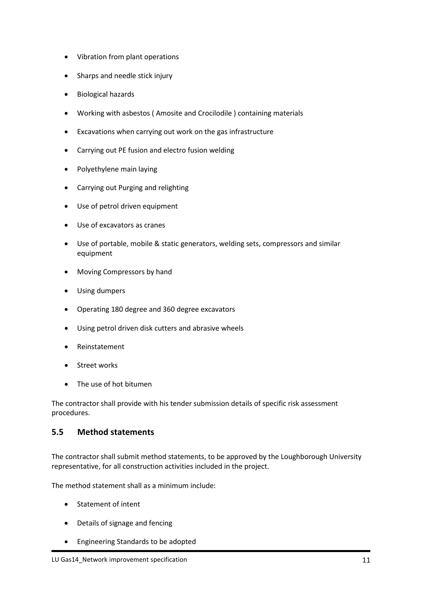- Vibration from plant operations
- Sharps and needle stick injury
- Biological hazards
- Working with asbestos ( Amosite and Crocilodile ) containing materials
- Excavations when carrying out work on the gas infrastructure
- Carrying out PE fusion and electro fusion welding
- Polyethylene main laying
- Carrying out Purging and relighting
- Use of petrol driven equipment
- Use of excavators as cranes
- Use of portable, mobile & static generators, welding sets, compressors and similar equipment
- Moving Compressors by hand
- Using dumpers
- Operating 180 degree and 360 degree excavators
- Using petrol driven disk cutters and abrasive wheels
- Reinstatement
- Street works
- The use of hot bitumen

The contractor shall provide with his tender submission details of specific risk assessment procedures.

#### <span id="page-107-0"></span>**5.5 Method statements**

The contractor shall submit method statements, to be approved by the Loughborough University representative, for all construction activities included in the project.

The method statement shall as a minimum include:

- Statement of intent
- Details of signage and fencing
- Engineering Standards to be adopted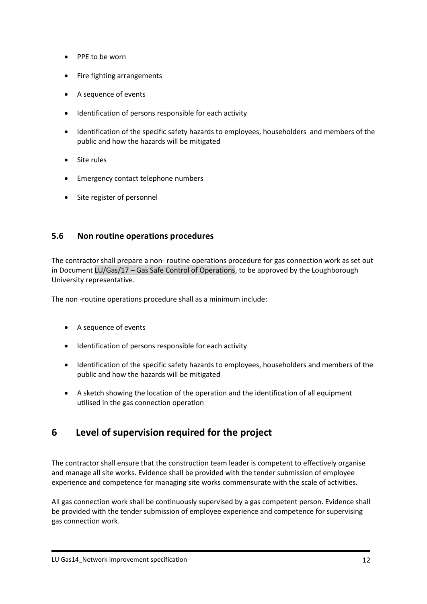- PPE to be worn
- Fire fighting arrangements
- A sequence of events
- Identification of persons responsible for each activity
- Identification of the specific safety hazards to employees, householders and members of the public and how the hazards will be mitigated
- Site rules
- Emergency contact telephone numbers
- Site register of personnel

## **5.6 Non routine operations procedures**

The contractor shall prepare a non- routine operations procedure for gas connection work as set out in Document LU/Gas/17 – Gas Safe Control of Operations, to be approved by the Loughborough University representative.

The non -routine operations procedure shall as a minimum include:

- A sequence of events
- Identification of persons responsible for each activity
- Identification of the specific safety hazards to employees, householders and members of the public and how the hazards will be mitigated
- A sketch showing the location of the operation and the identification of all equipment utilised in the gas connection operation

# **6 Level of supervision required for the project**

The contractor shall ensure that the construction team leader is competent to effectively organise and manage all site works. Evidence shall be provided with the tender submission of employee experience and competence for managing site works commensurate with the scale of activities.

All gas connection work shall be continuously supervised by a gas competent person. Evidence shall be provided with the tender submission of employee experience and competence for supervising gas connection work.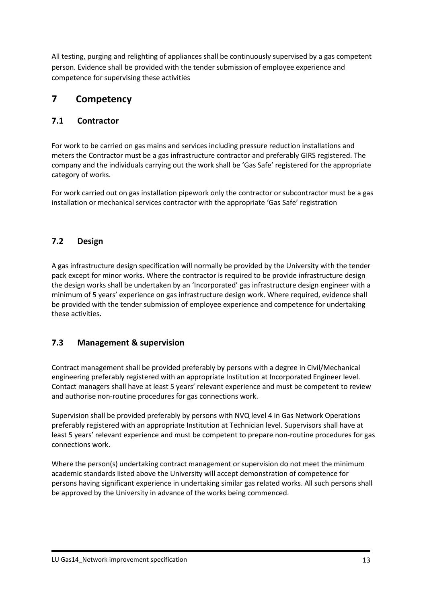All testing, purging and relighting of appliances shall be continuously supervised by a gas competent person. Evidence shall be provided with the tender submission of employee experience and competence for supervising these activities

# **7 Competency**

# **7.1 Contractor**

For work to be carried on gas mains and services including pressure reduction installations and meters the Contractor must be a gas infrastructure contractor and preferably GIRS registered. The company and the individuals carrying out the work shall be 'Gas Safe' registered for the appropriate category of works.

For work carried out on gas installation pipework only the contractor or subcontractor must be a gas installation or mechanical services contractor with the appropriate 'Gas Safe' registration

# **7.2 Design**

A gas infrastructure design specification will normally be provided by the University with the tender pack except for minor works. Where the contractor is required to be provide infrastructure design the design works shall be undertaken by an 'Incorporated' gas infrastructure design engineer with a minimum of 5 years' experience on gas infrastructure design work. Where required, evidence shall be provided with the tender submission of employee experience and competence for undertaking these activities.

## **7.3 Management & supervision**

Contract management shall be provided preferably by persons with a degree in Civil/Mechanical engineering preferably registered with an appropriate Institution at Incorporated Engineer level. Contact managers shall have at least 5 years' relevant experience and must be competent to review and authorise non-routine procedures for gas connections work.

Supervision shall be provided preferably by persons with NVQ level 4 in Gas Network Operations preferably registered with an appropriate Institution at Technician level. Supervisors shall have at least 5 years' relevant experience and must be competent to prepare non-routine procedures for gas connections work.

Where the person(s) undertaking contract management or supervision do not meet the minimum academic standards listed above the University will accept demonstration of competence for persons having significant experience in undertaking similar gas related works. All such persons shall be approved by the University in advance of the works being commenced.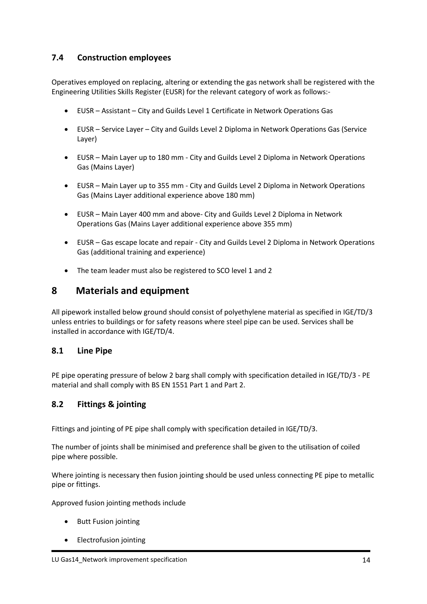# **7.4 Construction employees**

Operatives employed on replacing, altering or extending the gas network shall be registered with the Engineering Utilities Skills Register (EUSR) for the relevant category of work as follows:-

- EUSR Assistant City and Guilds Level 1 Certificate in Network Operations Gas
- EUSR Service Layer City and Guilds Level 2 Diploma in Network Operations Gas (Service Layer)
- EUSR Main Layer up to 180 mm City and Guilds Level 2 Diploma in Network Operations Gas (Mains Layer)
- EUSR Main Layer up to 355 mm City and Guilds Level 2 Diploma in Network Operations Gas (Mains Layer additional experience above 180 mm)
- EUSR Main Layer 400 mm and above- City and Guilds Level 2 Diploma in Network Operations Gas (Mains Layer additional experience above 355 mm)
- EUSR Gas escape locate and repair City and Guilds Level 2 Diploma in Network Operations Gas (additional training and experience)
- The team leader must also be registered to SCO level 1 and 2

# **8 Materials and equipment**

All pipework installed below ground should consist of polyethylene material as specified in IGE/TD/3 unless entries to buildings or for safety reasons where steel pipe can be used. Services shall be installed in accordance with IGE/TD/4.

#### **8.1 Line Pipe**

PE pipe operating pressure of below 2 barg shall comply with specification detailed in IGE/TD/3 - PE material and shall comply with BS EN 1551 Part 1 and Part 2.

## **8.2 Fittings & jointing**

Fittings and jointing of PE pipe shall comply with specification detailed in IGE/TD/3.

The number of joints shall be minimised and preference shall be given to the utilisation of coiled pipe where possible.

Where jointing is necessary then fusion jointing should be used unless connecting PE pipe to metallic pipe or fittings.

Approved fusion jointing methods include

- Butt Fusion jointing
- Electrofusion jointing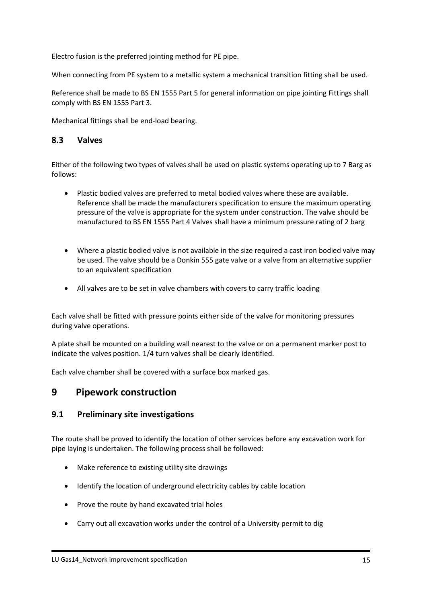Electro fusion is the preferred jointing method for PE pipe.

When connecting from PE system to a metallic system a mechanical transition fitting shall be used.

Reference shall be made to BS EN 1555 Part 5 for general information on pipe jointing Fittings shall comply with BS EN 1555 Part 3.

Mechanical fittings shall be end-load bearing.

#### **8.3 Valves**

Either of the following two types of valves shall be used on plastic systems operating up to 7 Barg as follows:

- Plastic bodied valves are preferred to metal bodied valves where these are available. Reference shall be made the manufacturers specification to ensure the maximum operating pressure of the valve is appropriate for the system under construction. The valve should be manufactured to BS EN 1555 Part 4 Valves shall have a minimum pressure rating of 2 barg
- Where a plastic bodied valve is not available in the size required a cast iron bodied valve may be used. The valve should be a Donkin 555 gate valve or a valve from an alternative supplier to an equivalent specification
- All valves are to be set in valve chambers with covers to carry traffic loading

Each valve shall be fitted with pressure points either side of the valve for monitoring pressures during valve operations.

A plate shall be mounted on a building wall nearest to the valve or on a permanent marker post to indicate the valves position. 1/4 turn valves shall be clearly identified.

Each valve chamber shall be covered with a surface box marked gas.

# **9 Pipework construction**

#### **9.1 Preliminary site investigations**

The route shall be proved to identify the location of other services before any excavation work for pipe laying is undertaken. The following process shall be followed:

- Make reference to existing utility site drawings
- Identify the location of underground electricity cables by cable location
- Prove the route by hand excavated trial holes
- Carry out all excavation works under the control of a University permit to dig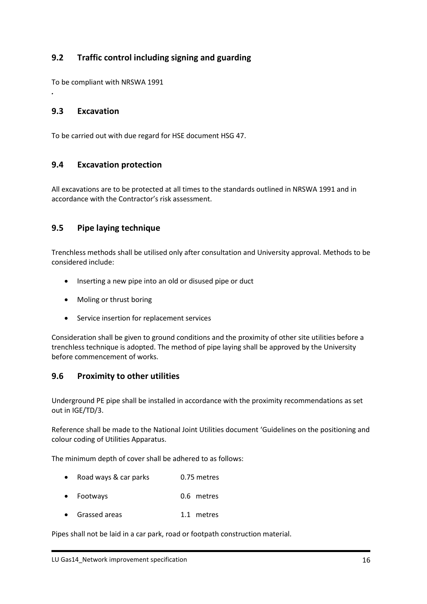# **9.2 Traffic control including signing and guarding**

To be compliant with NRSWA 1991

### **9.3 Excavation**

*.*

To be carried out with due regard for HSE document HSG 47.

#### **9.4 Excavation protection**

All excavations are to be protected at all times to the standards outlined in NRSWA 1991 and in accordance with the Contractor's risk assessment.

#### **9.5 Pipe laying technique**

Trenchless methods shall be utilised only after consultation and University approval. Methods to be considered include:

- Inserting a new pipe into an old or disused pipe or duct
- Moling or thrust boring
- Service insertion for replacement services

Consideration shall be given to ground conditions and the proximity of other site utilities before a trenchless technique is adopted. The method of pipe laying shall be approved by the University before commencement of works.

#### **9.6 Proximity to other utilities**

Underground PE pipe shall be installed in accordance with the proximity recommendations as set out in IGE/TD/3.

Reference shall be made to the National Joint Utilities document 'Guidelines on the positioning and colour coding of Utilities Apparatus.

The minimum depth of cover shall be adhered to as follows:

- Road ways & car parks 0.75 metres
- Footways 0.6 metres
- Grassed areas 1.1 metres

Pipes shall not be laid in a car park, road or footpath construction material.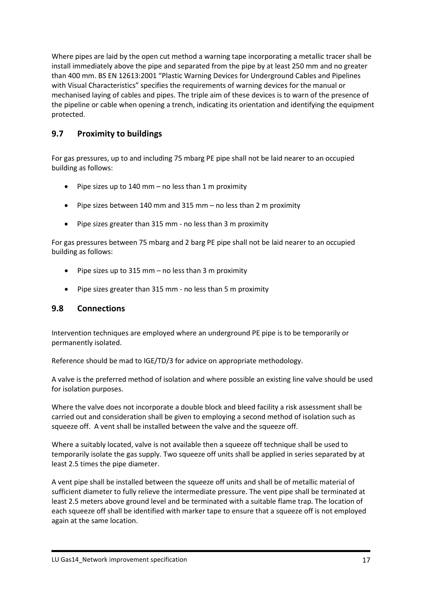Where pipes are laid by the open cut method a warning tape incorporating a metallic tracer shall be install immediately above the pipe and separated from the pipe by at least 250 mm and no greater than 400 mm. BS EN 12613:2001 "Plastic Warning Devices for Underground Cables and Pipelines with Visual Characteristics" specifies the requirements of warning devices for the manual or mechanised laying of cables and pipes. The triple aim of these devices is to warn of the presence of the pipeline or cable when opening a trench, indicating its orientation and identifying the equipment protected.

# **9.7 Proximity to buildings**

For gas pressures, up to and including 75 mbarg PE pipe shall not be laid nearer to an occupied building as follows:

- Pipe sizes up to 140 mm no less than 1 m proximity
- Pipe sizes between 140 mm and 315 mm no less than 2 m proximity
- Pipe sizes greater than 315 mm no less than 3 m proximity

For gas pressures between 75 mbarg and 2 barg PE pipe shall not be laid nearer to an occupied building as follows:

- Pipe sizes up to 315 mm no less than 3 m proximity
- Pipe sizes greater than 315 mm no less than 5 m proximity

## **9.8 Connections**

Intervention techniques are employed where an underground PE pipe is to be temporarily or permanently isolated.

Reference should be mad to IGE/TD/3 for advice on appropriate methodology.

A valve is the preferred method of isolation and where possible an existing line valve should be used for isolation purposes.

Where the valve does not incorporate a double block and bleed facility a risk assessment shall be carried out and consideration shall be given to employing a second method of isolation such as squeeze off. A vent shall be installed between the valve and the squeeze off.

Where a suitably located, valve is not available then a squeeze off technique shall be used to temporarily isolate the gas supply. Two squeeze off units shall be applied in series separated by at least 2.5 times the pipe diameter.

A vent pipe shall be installed between the squeeze off units and shall be of metallic material of sufficient diameter to fully relieve the intermediate pressure. The vent pipe shall be terminated at least 2.5 meters above ground level and be terminated with a suitable flame trap. The location of each squeeze off shall be identified with marker tape to ensure that a squeeze off is not employed again at the same location.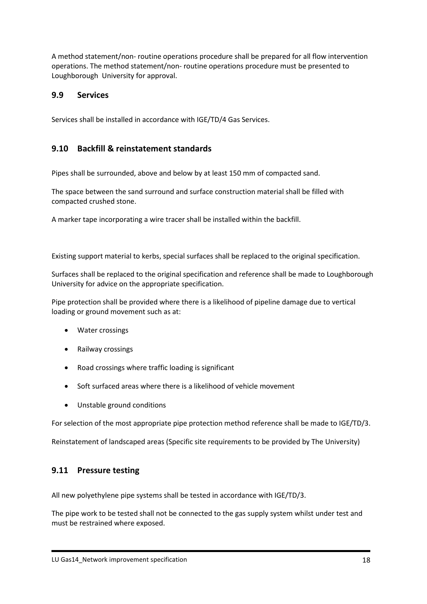A method statement/non- routine operations procedure shall be prepared for all flow intervention operations. The method statement/non- routine operations procedure must be presented to Loughborough University for approval.

### **9.9 Services**

Services shall be installed in accordance with IGE/TD/4 Gas Services.

## **9.10 Backfill & reinstatement standards**

Pipes shall be surrounded, above and below by at least 150 mm of compacted sand.

The space between the sand surround and surface construction material shall be filled with compacted crushed stone.

A marker tape incorporating a wire tracer shall be installed within the backfill.

Existing support material to kerbs, special surfaces shall be replaced to the original specification.

Surfaces shall be replaced to the original specification and reference shall be made to Loughborough University for advice on the appropriate specification.

Pipe protection shall be provided where there is a likelihood of pipeline damage due to vertical loading or ground movement such as at:

- Water crossings
- Railway crossings
- Road crossings where traffic loading is significant
- Soft surfaced areas where there is a likelihood of vehicle movement
- Unstable ground conditions

For selection of the most appropriate pipe protection method reference shall be made to IGE/TD/3.

Reinstatement of landscaped areas (Specific site requirements to be provided by The University)

## **9.11 Pressure testing**

All new polyethylene pipe systems shall be tested in accordance with IGE/TD/3.

The pipe work to be tested shall not be connected to the gas supply system whilst under test and must be restrained where exposed.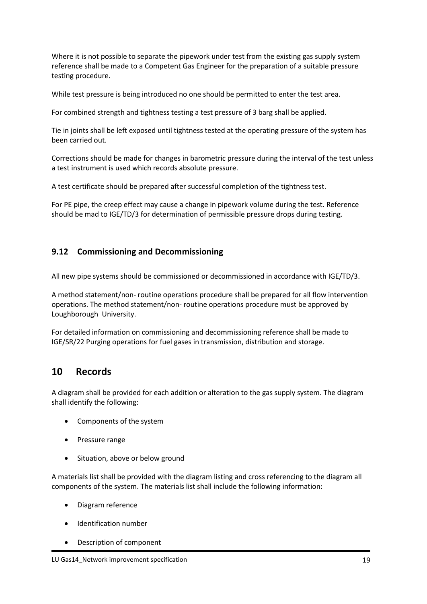Where it is not possible to separate the pipework under test from the existing gas supply system reference shall be made to a Competent Gas Engineer for the preparation of a suitable pressure testing procedure.

While test pressure is being introduced no one should be permitted to enter the test area.

For combined strength and tightness testing a test pressure of 3 barg shall be applied.

Tie in joints shall be left exposed until tightness tested at the operating pressure of the system has been carried out.

Corrections should be made for changes in barometric pressure during the interval of the test unless a test instrument is used which records absolute pressure.

A test certificate should be prepared after successful completion of the tightness test.

For PE pipe, the creep effect may cause a change in pipework volume during the test. Reference should be mad to IGE/TD/3 for determination of permissible pressure drops during testing.

# **9.12 Commissioning and Decommissioning**

All new pipe systems should be commissioned or decommissioned in accordance with IGE/TD/3.

A method statement/non- routine operations procedure shall be prepared for all flow intervention operations. The method statement/non- routine operations procedure must be approved by Loughborough University.

For detailed information on commissioning and decommissioning reference shall be made to IGE/SR/22 Purging operations for fuel gases in transmission, distribution and storage.

# **10 Records**

A diagram shall be provided for each addition or alteration to the gas supply system. The diagram shall identify the following:

- Components of the system
- Pressure range
- Situation, above or below ground

A materials list shall be provided with the diagram listing and cross referencing to the diagram all components of the system. The materials list shall include the following information:

- Diagram reference
- Identification number
- Description of component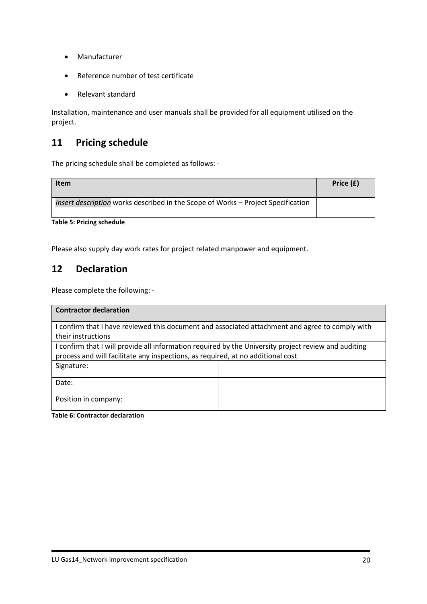- Manufacturer
- Reference number of test certificate
- Relevant standard

Installation, maintenance and user manuals shall be provided for all equipment utilised on the project.

# **11 Pricing schedule**

The pricing schedule shall be completed as follows: -

| <b>Item</b>                                                                      | Price (£) |
|----------------------------------------------------------------------------------|-----------|
| Insert description works described in the Scope of Works - Project Specification |           |

**Table 5: Pricing schedule**

Please also supply day work rates for project related manpower and equipment.

# **12 Declaration**

Please complete the following: -

| <b>Contractor declaration</b>                                                                        |  |  |
|------------------------------------------------------------------------------------------------------|--|--|
| I confirm that I have reviewed this document and associated attachment and agree to comply with      |  |  |
| their instructions                                                                                   |  |  |
| I confirm that I will provide all information required by the University project review and auditing |  |  |
| process and will facilitate any inspections, as required, at no additional cost                      |  |  |
| Signature:                                                                                           |  |  |
| Date:                                                                                                |  |  |
| Position in company:                                                                                 |  |  |

**Table 6: Contractor declaration**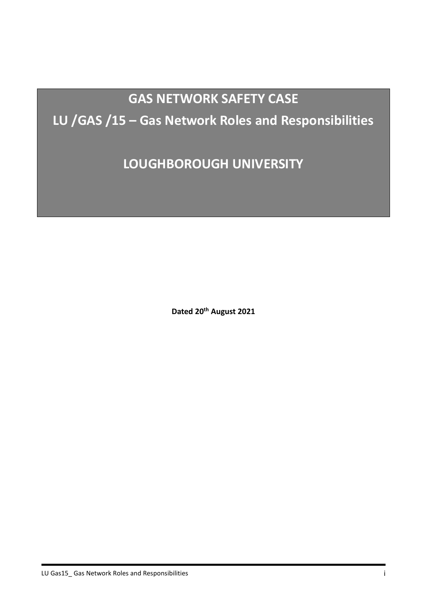# **GAS NETWORK SAFETY CASE**

# **LU /GAS /15 – Gas Network Roles and Responsibilities**

**LOUGHBOROUGH UNIVERSITY**

**Dated 20th August 2021**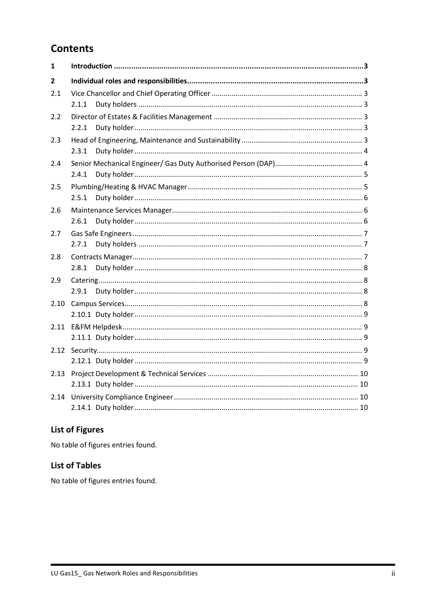# **Contents**

| $\mathbf{1}$   |       |
|----------------|-------|
| $\overline{2}$ |       |
| 2.1            | 2.1.1 |
| 2.2            | 2.2.1 |
| 2.3            | 2.3.1 |
| 2.4            | 2.4.1 |
| 2.5            | 2.5.1 |
| 2.6            | 2.6.1 |
| 2.7            | 2.7.1 |
| 2.8            | 2.8.1 |
| 2.9            | 2.9.1 |
| 2.10           |       |
|                |       |
| 2.12           |       |
| 2.13           |       |
| 2.14           |       |

# **List of Figures**

No table of figures entries found.

# **List of Tables**

No table of figures entries found.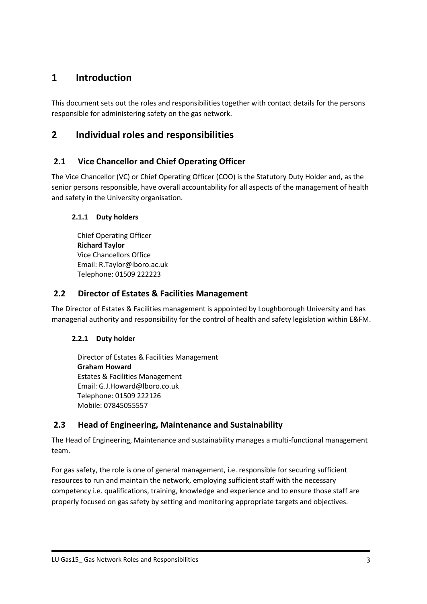# <span id="page-119-0"></span>**1 Introduction**

This document sets out the roles and responsibilities together with contact details for the persons responsible for administering safety on the gas network.

# <span id="page-119-1"></span>**2 Individual roles and responsibilities**

# <span id="page-119-2"></span>**2.1 Vice Chancellor and Chief Operating Officer**

The Vice Chancellor (VC) or Chief Operating Officer (COO) is the Statutory Duty Holder and, as the senior persons responsible, have overall accountability for all aspects of the management of health and safety in the University organisation.

## <span id="page-119-3"></span>**2.1.1 Duty holders**

Chief Operating Officer **Richard Taylor** Vice Chancellors Office Email: R.Taylor@lboro.ac.uk Telephone: 01509 222223

# <span id="page-119-4"></span>**2.2 Director of Estates & Facilities Management**

The Director of Estates & Facilities management is appointed by Loughborough University and has managerial authority and responsibility for the control of health and safety legislation within E&FM.

## <span id="page-119-5"></span>**2.2.1 Duty holder**

Director of Estates & Facilities Management **Graham Howard** Estates & Facilities Management Email: G.J.Howard@lboro.co.uk Telephone: 01509 222126 Mobile: 07845055557

# <span id="page-119-6"></span>**2.3 Head of Engineering, Maintenance and Sustainability**

The Head of Engineering, Maintenance and sustainability manages a multi-functional management team.

For gas safety, the role is one of general management, i.e. responsible for securing sufficient resources to run and maintain the network, employing sufficient staff with the necessary competency i.e. qualifications, training, knowledge and experience and to ensure those staff are properly focused on gas safety by setting and monitoring appropriate targets and objectives.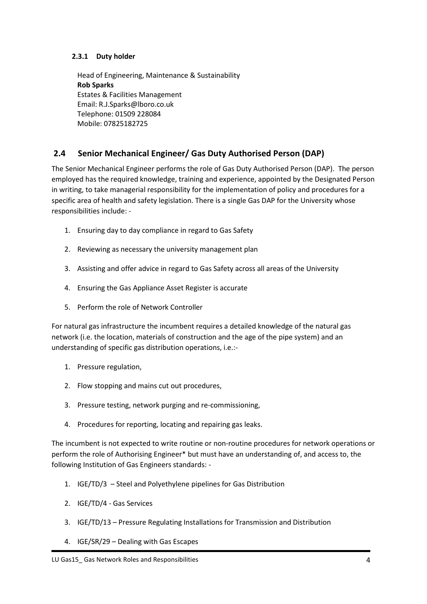#### <span id="page-120-0"></span>**2.3.1 Duty holder**

Head of Engineering, Maintenance & Sustainability **Rob Sparks** Estates & Facilities Management Email: R.J.Sparks@lboro.co.uk Telephone: 01509 228084 Mobile: 07825182725

# <span id="page-120-1"></span>**2.4 Senior Mechanical Engineer/ Gas Duty Authorised Person (DAP)**

The Senior Mechanical Engineer performs the role of Gas Duty Authorised Person (DAP). The person employed has the required knowledge, training and experience, appointed by the Designated Person in writing, to take managerial responsibility for the implementation of policy and procedures for a specific area of health and safety legislation. There is a single Gas DAP for the University whose responsibilities include: -

- 1. Ensuring day to day compliance in regard to Gas Safety
- 2. Reviewing as necessary the university management plan
- 3. Assisting and offer advice in regard to Gas Safety across all areas of the University
- 4. Ensuring the Gas Appliance Asset Register is accurate
- 5. Perform the role of Network Controller

For natural gas infrastructure the incumbent requires a detailed knowledge of the natural gas network (i.e. the location, materials of construction and the age of the pipe system) and an understanding of specific gas distribution operations, i.e.:-

- 1. Pressure regulation,
- 2. Flow stopping and mains cut out procedures,
- 3. Pressure testing, network purging and re-commissioning,
- 4. Procedures for reporting, locating and repairing gas leaks.

The incumbent is not expected to write routine or non-routine procedures for network operations or perform the role of Authorising Engineer\* but must have an understanding of, and access to, the following Institution of Gas Engineers standards: -

- 1. IGE/TD/3 Steel and Polyethylene pipelines for Gas Distribution
- 2. IGE/TD/4 Gas Services
- 3. IGE/TD/13 Pressure Regulating Installations for Transmission and Distribution
- 4. IGE/SR/29 Dealing with Gas Escapes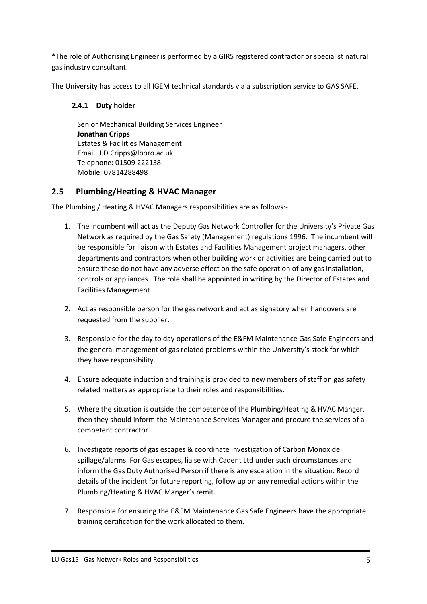\*The role of Authorising Engineer is performed by a GIRS registered contractor or specialist natural gas industry consultant.

<span id="page-121-0"></span>The University has access to all IGEM technical standards via a subscription service to GAS SAFE.

#### **2.4.1 Duty holder**

Senior Mechanical Building Services Engineer **Jonathan Cripps** Estates & Facilities Management Email: J.D.Cripps@lboro.ac.uk Telephone: 01509 222138 Mobile: 07814288498

# <span id="page-121-1"></span>**2.5 Plumbing/Heating & HVAC Manager**

The Plumbing / Heating & HVAC Managers responsibilities are as follows:-

- 1. The incumbent will act as the Deputy Gas Network Controller for the University's Private Gas Network as required by the Gas Safety (Management) regulations 1996. The incumbent will be responsible for liaison with Estates and Facilities Management project managers, other departments and contractors when other building work or activities are being carried out to ensure these do not have any adverse effect on the safe operation of any gas installation, controls or appliances. The role shall be appointed in writing by the Director of Estates and Facilities Management.
- 2. Act as responsible person for the gas network and act as signatory when handovers are requested from the supplier.
- 3. Responsible for the day to day operations of the E&FM Maintenance Gas Safe Engineers and the general management of gas related problems within the University's stock for which they have responsibility.
- 4. Ensure adequate induction and training is provided to new members of staff on gas safety related matters as appropriate to their roles and responsibilities.
- 5. Where the situation is outside the competence of the Plumbing/Heating & HVAC Manger, then they should inform the Maintenance Services Manager and procure the services of a competent contractor.
- 6. Investigate reports of gas escapes & coordinate investigation of Carbon Monoxide spillage/alarms. For Gas escapes, liaise with Cadent Ltd under such circumstances and inform the Gas Duty Authorised Person if there is any escalation in the situation. Record details of the incident for future reporting, follow up on any remedial actions within the Plumbing/Heating & HVAC Manger's remit.
- 7. Responsible for ensuring the E&FM Maintenance Gas Safe Engineers have the appropriate training certification for the work allocated to them.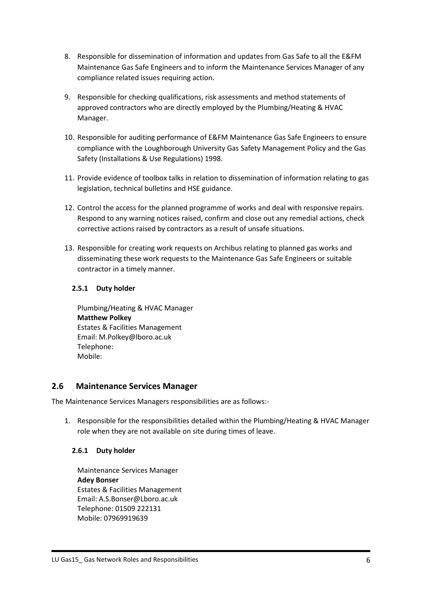- 8. Responsible for dissemination of information and updates from Gas Safe to all the E&FM Maintenance Gas Safe Engineers and to inform the Maintenance Services Manager of any compliance related issues requiring action.
- 9. Responsible for checking qualifications, risk assessments and method statements of approved contractors who are directly employed by the Plumbing/Heating & HVAC Manager.
- 10. Responsible for auditing performance of E&FM Maintenance Gas Safe Engineers to ensure compliance with the Loughborough University Gas Safety Management Policy and the Gas Safety (Installations & Use Regulations) 1998.
- 11. Provide evidence of toolbox talks in relation to dissemination of information relating to gas legislation, technical bulletins and HSE guidance.
- 12. Control the access for the planned programme of works and deal with responsive repairs. Respond to any warning notices raised, confirm and close out any remedial actions, check corrective actions raised by contractors as a result of unsafe situations.
- 13. Responsible for creating work requests on Archibus relating to planned gas works and disseminating these work requests to the Maintenance Gas Safe Engineers or suitable contractor in a timely manner.

#### <span id="page-122-0"></span>**2.5.1 Duty holder**

Plumbing/Heating & HVAC Manager **Matthew Polkey** Estates & Facilities Management Email: M.Polkey@lboro.ac.uk Telephone: Mobile:

## <span id="page-122-1"></span>**2.6 Maintenance Services Manager**

The Maintenance Services Managers responsibilities are as follows:-

1. Responsible for the responsibilities detailed within the Plumbing/Heating & HVAC Manager role when they are not available on site during times of leave.

## <span id="page-122-2"></span>**2.6.1 Duty holder**

Maintenance Services Manager **Adey Bonser** Estates & Facilities Management Email: A.S.Bonser@Lboro.ac.uk Telephone: 01509 222131 Mobile: 07969919639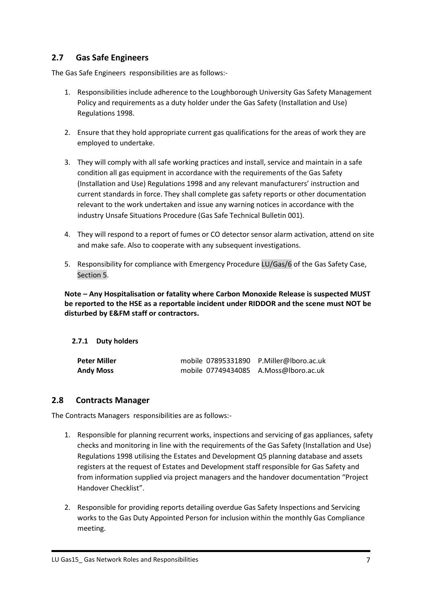# <span id="page-123-0"></span>**2.7 Gas Safe Engineers**

The Gas Safe Engineers responsibilities are as follows:-

- 1. Responsibilities include adherence to the Loughborough University Gas Safety Management Policy and requirements as a duty holder under the Gas Safety (Installation and Use) Regulations 1998.
- 2. Ensure that they hold appropriate current gas qualifications for the areas of work they are employed to undertake.
- 3. They will comply with all safe working practices and install, service and maintain in a safe condition all gas equipment in accordance with the requirements of the Gas Safety (Installation and Use) Regulations 1998 and any relevant manufacturers' instruction and current standards in force. They shall complete gas safety reports or other documentation relevant to the work undertaken and issue any warning notices in accordance with the industry Unsafe Situations Procedure (Gas Safe Technical Bulletin 001).
- 4. They will respond to a report of fumes or CO detector sensor alarm activation, attend on site and make safe. Also to cooperate with any subsequent investigations.
- 5. Responsibility for compliance with Emergency Procedure LU/Gas/6 of the Gas Safety Case, Section 5.

**Note – Any Hospitalisation or fatality where Carbon Monoxide Release is suspected MUST be reported to the HSE as a reportable incident under RIDDOR and the scene must NOT be disturbed by E&FM staff or contractors.**

#### <span id="page-123-1"></span>**2.7.1 Duty holders**

| <b>Peter Miller</b> | mobile 07895331890 P.Miller@lboro.ac.uk |  |
|---------------------|-----------------------------------------|--|
| <b>Andy Moss</b>    | mobile 07749434085 A.Moss@lboro.ac.uk   |  |

#### <span id="page-123-2"></span>**2.8 Contracts Manager**

The Contracts Managers responsibilities are as follows:-

- 1. Responsible for planning recurrent works, inspections and servicing of gas appliances, safety checks and monitoring in line with the requirements of the Gas Safety (Installation and Use) Regulations 1998 utilising the Estates and Development Q5 planning database and assets registers at the request of Estates and Development staff responsible for Gas Safety and from information supplied via project managers and the handover documentation "Project Handover Checklist".
- 2. Responsible for providing reports detailing overdue Gas Safety Inspections and Servicing works to the Gas Duty Appointed Person for inclusion within the monthly Gas Compliance meeting.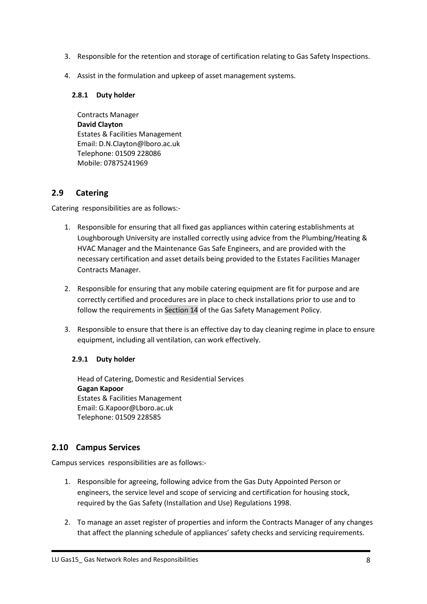- 3. Responsible for the retention and storage of certification relating to Gas Safety Inspections.
- 4. Assist in the formulation and upkeep of asset management systems.

#### <span id="page-124-0"></span>**2.8.1 Duty holder**

Contracts Manager **David Clayton** Estates & Facilities Management Email: D.N.Clayton@lboro.ac.uk Telephone: 01509 228086 Mobile: 07875241969

# <span id="page-124-1"></span>**2.9 Catering**

Catering responsibilities are as follows:-

- 1. Responsible for ensuring that all fixed gas appliances within catering establishments at Loughborough University are installed correctly using advice from the Plumbing/Heating & HVAC Manager and the Maintenance Gas Safe Engineers, and are provided with the necessary certification and asset details being provided to the Estates Facilities Manager Contracts Manager.
- 2. Responsible for ensuring that any mobile catering equipment are fit for purpose and are correctly certified and procedures are in place to check installations prior to use and to follow the requirements in Section 14 of the Gas Safety Management Policy.
- 3. Responsible to ensure that there is an effective day to day cleaning regime in place to ensure equipment, including all ventilation, can work effectively.

## <span id="page-124-2"></span>**2.9.1 Duty holder**

Head of Catering, Domestic and Residential Services **Gagan Kapoor** Estates & Facilities Management Email: G.Kapoor@Lboro.ac.uk Telephone: 01509 228585

# <span id="page-124-3"></span>**2.10 Campus Services**

Campus services responsibilities are as follows:-

- 1. Responsible for agreeing, following advice from the Gas Duty Appointed Person or engineers, the service level and scope of servicing and certification for housing stock, required by the Gas Safety (Installation and Use) Regulations 1998.
- 2. To manage an asset register of properties and inform the Contracts Manager of any changes that affect the planning schedule of appliances' safety checks and servicing requirements.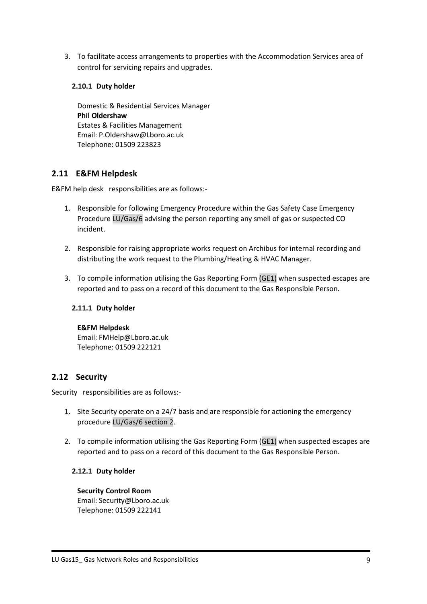3. To facilitate access arrangements to properties with the Accommodation Services area of control for servicing repairs and upgrades.

#### <span id="page-125-0"></span>**2.10.1 Duty holder**

Domestic & Residential Services Manager **Phil Oldershaw** Estates & Facilities Management Email: P.Oldershaw@Lboro.ac.uk Telephone: 01509 223823

## <span id="page-125-1"></span>**2.11 E&FM Helpdesk**

E&FM help desk responsibilities are as follows:-

- 1. Responsible for following Emergency Procedure within the Gas Safety Case Emergency Procedure LU/Gas/6 advising the person reporting any smell of gas or suspected CO incident.
- 2. Responsible for raising appropriate works request on Archibus for internal recording and distributing the work request to the Plumbing/Heating & HVAC Manager.
- 3. To compile information utilising the Gas Reporting Form (GE1) when suspected escapes are reported and to pass on a record of this document to the Gas Responsible Person.

#### <span id="page-125-2"></span>**2.11.1 Duty holder**

#### **E&FM Helpdesk**

Email: FMHelp@Lboro.ac.uk Telephone: 01509 222121

## <span id="page-125-3"></span>**2.12 Security**

Security responsibilities are as follows:-

- 1. Site Security operate on a 24/7 basis and are responsible for actioning the emergency procedure LU/Gas/6 section 2.
- 2. To compile information utilising the Gas Reporting Form (GE1) when suspected escapes are reported and to pass on a record of this document to the Gas Responsible Person.

#### <span id="page-125-4"></span>**2.12.1 Duty holder**

**Security Control Room** Email: Security@Lboro.ac.uk Telephone: 01509 222141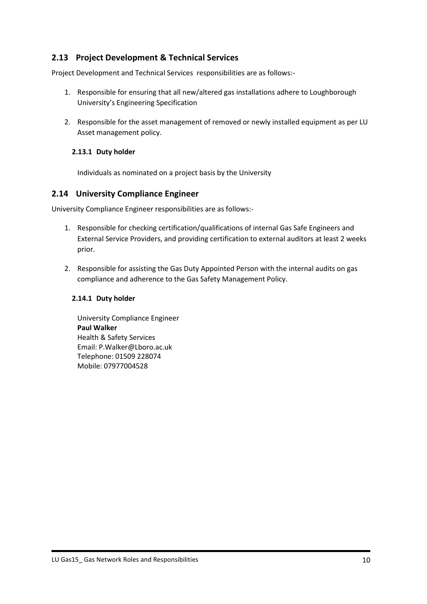# <span id="page-126-0"></span>**2.13 Project Development & Technical Services**

Project Development and Technical Services responsibilities are as follows:-

- 1. Responsible for ensuring that all new/altered gas installations adhere to Loughborough University's Engineering Specification
- 2. Responsible for the asset management of removed or newly installed equipment as per LU Asset management policy.

#### <span id="page-126-1"></span>**2.13.1 Duty holder**

Individuals as nominated on a project basis by the University

#### <span id="page-126-2"></span>**2.14 University Compliance Engineer**

University Compliance Engineer responsibilities are as follows:-

- 1. Responsible for checking certification/qualifications of internal Gas Safe Engineers and External Service Providers, and providing certification to external auditors at least 2 weeks prior.
- 2. Responsible for assisting the Gas Duty Appointed Person with the internal audits on gas compliance and adherence to the Gas Safety Management Policy.

#### <span id="page-126-3"></span>**2.14.1 Duty holder**

University Compliance Engineer **Paul Walker** Health & Safety Services Email: P.Walker@Lboro.ac.uk Telephone: 01509 228074 Mobile: 07977004528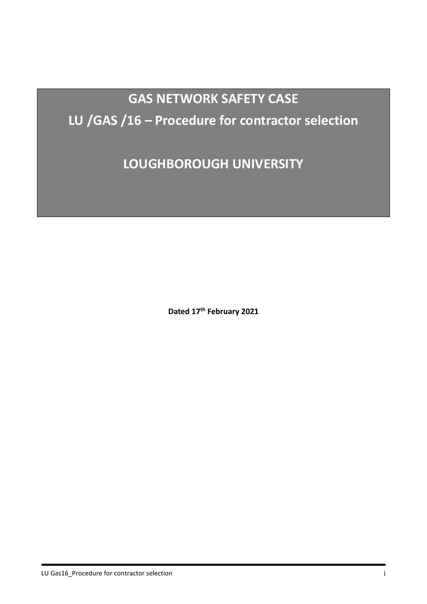# **GAS NETWORK SAFETY CASE LU /GAS /16 – Procedure for contractor selection**

**LOUGHBOROUGH UNIVERSITY**

**Dated 17th February 2021**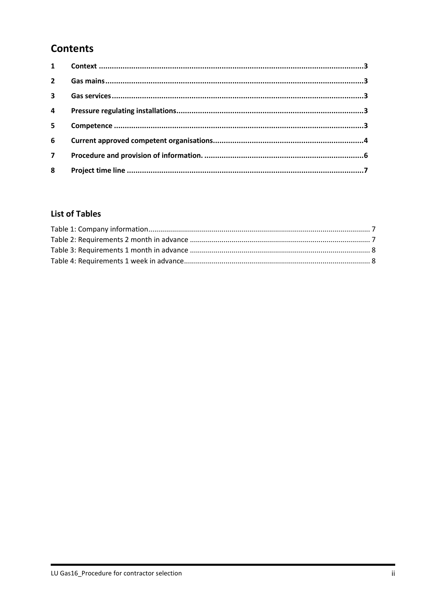# **Contents**

| $1 \quad \blacksquare$ |  |
|------------------------|--|
| $2^{\circ}$            |  |
| $\mathbf{3}$           |  |
| $\overline{4}$         |  |
| 5 <sup>5</sup>         |  |
| 6                      |  |
| $\overline{7}$         |  |
| 8                      |  |

# **List of Tables**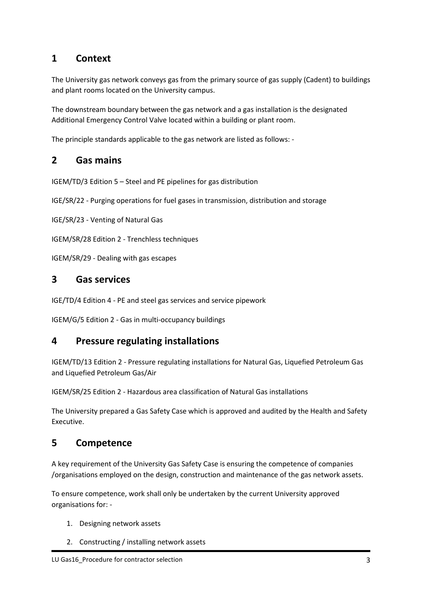# <span id="page-129-0"></span>**1 Context**

The University gas network conveys gas from the primary source of gas supply (Cadent) to buildings and plant rooms located on the University campus.

The downstream boundary between the gas network and a gas installation is the designated Additional Emergency Control Valve located within a building or plant room.

The principle standards applicable to the gas network are listed as follows: -

# <span id="page-129-1"></span>**2 Gas mains**

IGEM/TD/3 Edition 5 – Steel and PE pipelines for gas distribution

IGE/SR/22 - Purging operations for fuel gases in transmission, distribution and storage

IGE/SR/23 - Venting of Natural Gas

IGEM/SR/28 Edition 2 - Trenchless techniques

IGEM/SR/29 - Dealing with gas escapes

# <span id="page-129-2"></span>**3 Gas services**

IGE/TD/4 Edition 4 - PE and steel gas services and service pipework

IGEM/G/5 Edition 2 - Gas in multi-occupancy buildings

# <span id="page-129-3"></span>**4 Pressure regulating installations**

IGEM/TD/13 Edition 2 - Pressure regulating installations for Natural Gas, Liquefied Petroleum Gas and Liquefied Petroleum Gas/Air

IGEM/SR/25 Edition 2 - Hazardous area classification of Natural Gas installations

The University prepared a Gas Safety Case which is approved and audited by the Health and Safety Executive.

# <span id="page-129-4"></span>**5 Competence**

A key requirement of the University Gas Safety Case is ensuring the competence of companies /organisations employed on the design, construction and maintenance of the gas network assets.

To ensure competence, work shall only be undertaken by the current University approved organisations for: -

- 1. Designing network assets
- 2. Constructing / installing network assets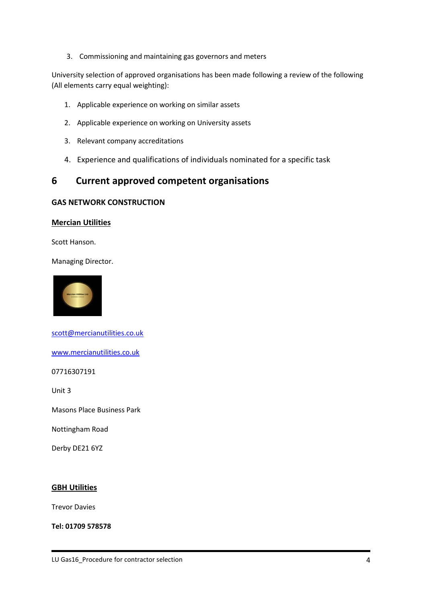3. Commissioning and maintaining gas governors and meters

University selection of approved organisations has been made following a review of the following (All elements carry equal weighting):

- 1. Applicable experience on working on similar assets
- 2. Applicable experience on working on University assets
- 3. Relevant company accreditations
- 4. Experience and qualifications of individuals nominated for a specific task

# <span id="page-130-0"></span>**6 Current approved competent organisations**

#### **GAS NETWORK CONSTRUCTION**

#### **Mercian Utilities**

Scott Hanson.

Managing Director.



[scott@mercianutilities.co.uk](mailto:scott@mercianutilities.co.uk)

[www.mercianutilities.co.uk](http://www.mercianutilities.co.uk/)

07716307191

Unit 3

Masons Place Business Park

Nottingham Road

Derby DE21 6YZ

#### **GBH Utilities**

Trevor Davies

**Tel: 01709 578578**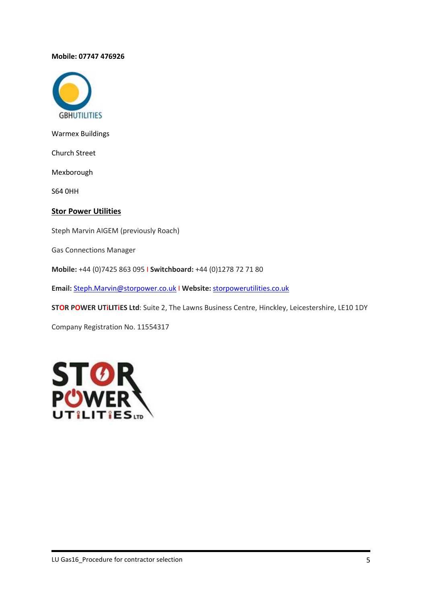#### **Mobile: 07747 476926**



Warmex Buildings

Church Street

Mexborough

S64 0HH

#### **Stor Power Utilities**

Steph Marvin AIGEM (previously Roach)

Gas Connections Manager

**Mobile:** +44 (0)7425 863 095 I **Switchboard:** +44 (0)1278 72 71 80

**Email:** [Steph.Marvin@storpower.co.uk](mailto:Steph.Marvin@storpower.co.uk) I **Website:** [storpowerutilities.co.uk](https://storpowerutilities.co.uk/)

**STOR POWER UTiLITiES Ltd**: Suite 2, The Lawns Business Centre, Hinckley, Leicestershire, LE10 1DY

Company Registration No. 11554317

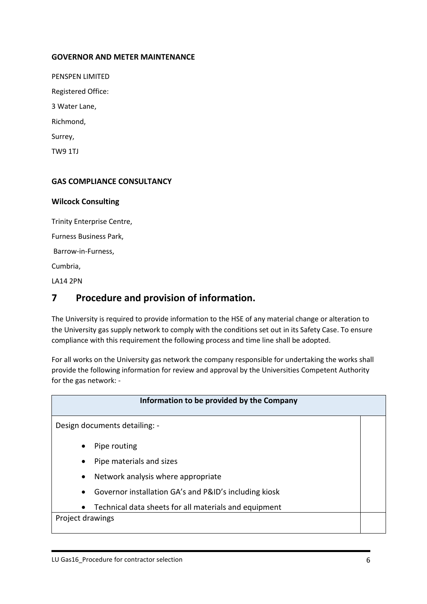### **GOVERNOR AND METER MAINTENANCE**

PENSPEN LIMITED Registered Office: 3 Water Lane, Richmond, Surrey, TW9 1TJ

#### **GAS COMPLIANCE CONSULTANCY**

#### **Wilcock Consulting**

Trinity Enterprise Centre,

Furness Business Park,

Barrow-in-Furness,

Cumbria,

LA14 2PN

# <span id="page-132-0"></span>**7 Procedure and provision of information.**

The University is required to provide information to the HSE of any material change or alteration to the University gas supply network to comply with the conditions set out in its Safety Case. To ensure compliance with this requirement the following process and time line shall be adopted.

For all works on the University gas network the company responsible for undertaking the works shall provide the following information for review and approval by the Universities Competent Authority for the gas network: -

# **Information to be provided by the Company** Design documents detailing: - Pipe routing • Pipe materials and sizes • Network analysis where appropriate • Governor installation GA's and P&ID's including kiosk • Technical data sheets for all materials and equipment Project drawings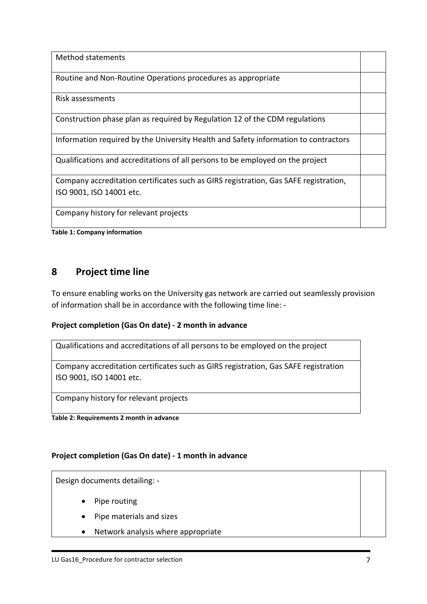Method statements Routine and Non-Routine Operations procedures as appropriate Risk assessments Construction phase plan as required by Regulation 12 of the CDM regulations Information required by the University Health and Safety information to contractors Qualifications and accreditations of all persons to be employed on the project Company accreditation certificates such as GIRS registration, Gas SAFE registration, ISO 9001, ISO 14001 etc. Company history for relevant projects

<span id="page-133-1"></span>**Table 1: Company information**

# <span id="page-133-0"></span>**8 Project time line**

To ensure enabling works on the University gas network are carried out seamlessly provision of information shall be in accordance with the following time line: -

## **Project completion (Gas On date) - 2 month in advance**

Qualifications and accreditations of all persons to be employed on the project

Company accreditation certificates such as GIRS registration, Gas SAFE registration ISO 9001, ISO 14001 etc.

Company history for relevant projects

<span id="page-133-2"></span>**Table 2: Requirements 2 month in advance**

## **Project completion (Gas On date) - 1 month in advance**

Design documents detailing: -

- Pipe routing
- Pipe materials and sizes
- Network analysis where appropriate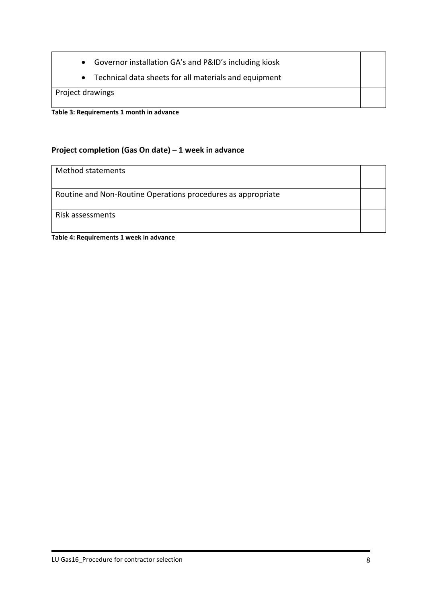- Governor installation GA's and P&ID's including kiosk
- Technical data sheets for all materials and equipment

Project drawings

<span id="page-134-0"></span>**Table 3: Requirements 1 month in advance**

# **Project completion (Gas On date) – 1 week in advance**

# Method statements

Routine and Non-Routine Operations procedures as appropriate

Risk assessments

<span id="page-134-1"></span>**Table 4: Requirements 1 week in advance**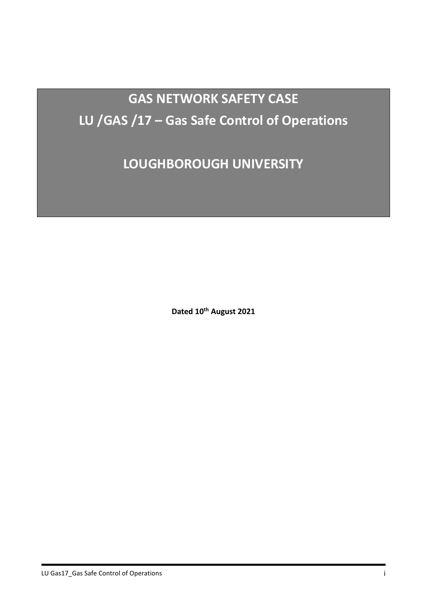# **GAS NETWORK SAFETY CASE LU /GAS /17 – Gas Safe Control of Operations**

**LOUGHBOROUGH UNIVERSITY**

**Dated 10th August 2021**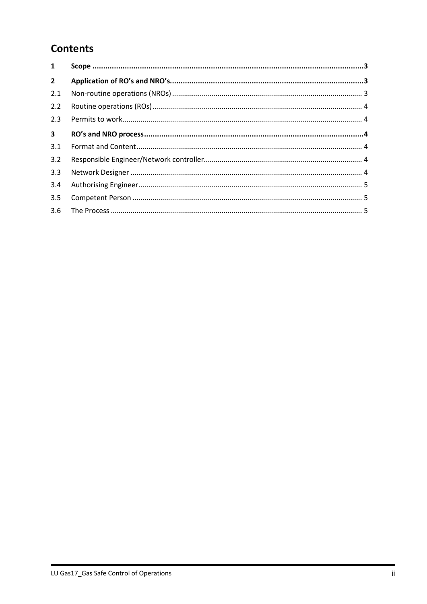# **Contents**

| $\mathbf{1}$   |  |
|----------------|--|
| $\overline{2}$ |  |
| 2.1            |  |
| 2.2            |  |
| 2.3            |  |
| $\mathbf{3}$   |  |
| 3.1            |  |
| 3.2            |  |
| 3.3            |  |
| 3.4            |  |
| 3.5            |  |
| 3.6            |  |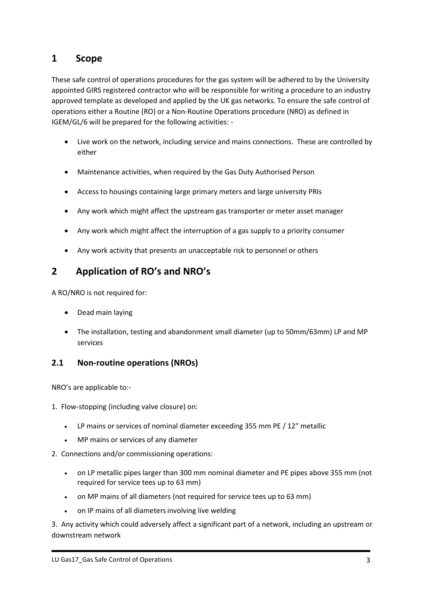# <span id="page-137-0"></span>**1 Scope**

These safe control of operations procedures for the gas system will be adhered to by the University appointed GIRS registered contractor who will be responsible for writing a procedure to an industry approved template as developed and applied by the UK gas networks. To ensure the safe control of operations either a Routine (RO) or a Non-Routine Operations procedure (NRO) as defined in IGEM/GL/6 will be prepared for the following activities: -

- Live work on the network, including service and mains connections. These are controlled by either
- Maintenance activities, when required by the Gas Duty Authorised Person
- Access to housings containing large primary meters and large university PRIs
- Any work which might affect the upstream gas transporter or meter asset manager
- Any work which might affect the interruption of a gas supply to a priority consumer
- Any work activity that presents an unacceptable risk to personnel or others

# <span id="page-137-1"></span>**2 Application of RO's and NRO's**

A RO/NRO is not required for:

- Dead main laying
- The installation, testing and abandonment small diameter (up to 50mm/63mm) LP and MP services

# <span id="page-137-2"></span>**2.1 Non-routine operations (NROs)**

NRO's are applicable to:-

1. Flow-stopping (including valve closure) on:

- LP mains or services of nominal diameter exceeding 355 mm PE / 12" metallic
- MP mains or services of any diameter
- 2. Connections and/or commissioning operations:
	- on LP metallic pipes larger than 300 mm nominal diameter and PE pipes above 355 mm (not required for service tees up to 63 mm)
	- on MP mains of all diameters (not required for service tees up to 63 mm)
	- on IP mains of all diameters involving live welding

3. Any activity which could adversely affect a significant part of a network, including an upstream or downstream network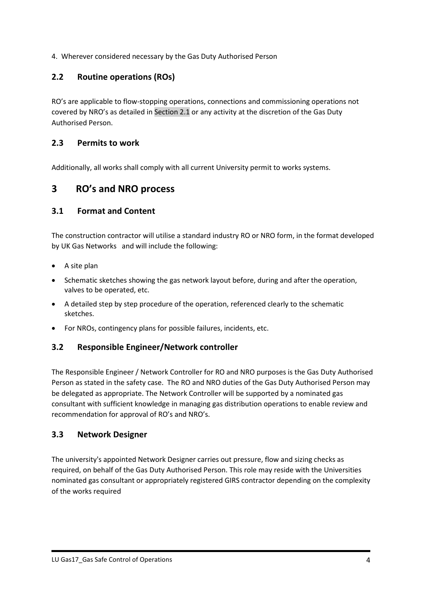4. Wherever considered necessary by the Gas Duty Authorised Person

# <span id="page-138-0"></span>**2.2 Routine operations (ROs)**

RO's are applicable to flow-stopping operations, connections and commissioning operations not covered by NRO's as detailed in Section 2.1 or any activity at the discretion of the Gas Duty Authorised Person.

## <span id="page-138-1"></span>**2.3 Permits to work**

Additionally, all works shall comply with all current University permit to works systems.

# <span id="page-138-2"></span>**3 RO's and NRO process**

## <span id="page-138-3"></span>**3.1 Format and Content**

The construction contractor will utilise a standard industry RO or NRO form, in the format developed by UK Gas Networks and will include the following:

- A site plan
- Schematic sketches showing the gas network layout before, during and after the operation, valves to be operated, etc.
- A detailed step by step procedure of the operation, referenced clearly to the schematic sketches.
- <span id="page-138-4"></span>• For NROs, contingency plans for possible failures, incidents, etc.

## **3.2 Responsible Engineer/Network controller**

The Responsible Engineer / Network Controller for RO and NRO purposes is the Gas Duty Authorised Person as stated in the safety case. The RO and NRO duties of the Gas Duty Authorised Person may be delegated as appropriate. The Network Controller will be supported by a nominated gas consultant with sufficient knowledge in managing gas distribution operations to enable review and recommendation for approval of RO's and NRO's.

## <span id="page-138-5"></span>**3.3 Network Designer**

The university's appointed Network Designer carries out pressure, flow and sizing checks as required, on behalf of the Gas Duty Authorised Person. This role may reside with the Universities nominated gas consultant or appropriately registered GIRS contractor depending on the complexity of the works required